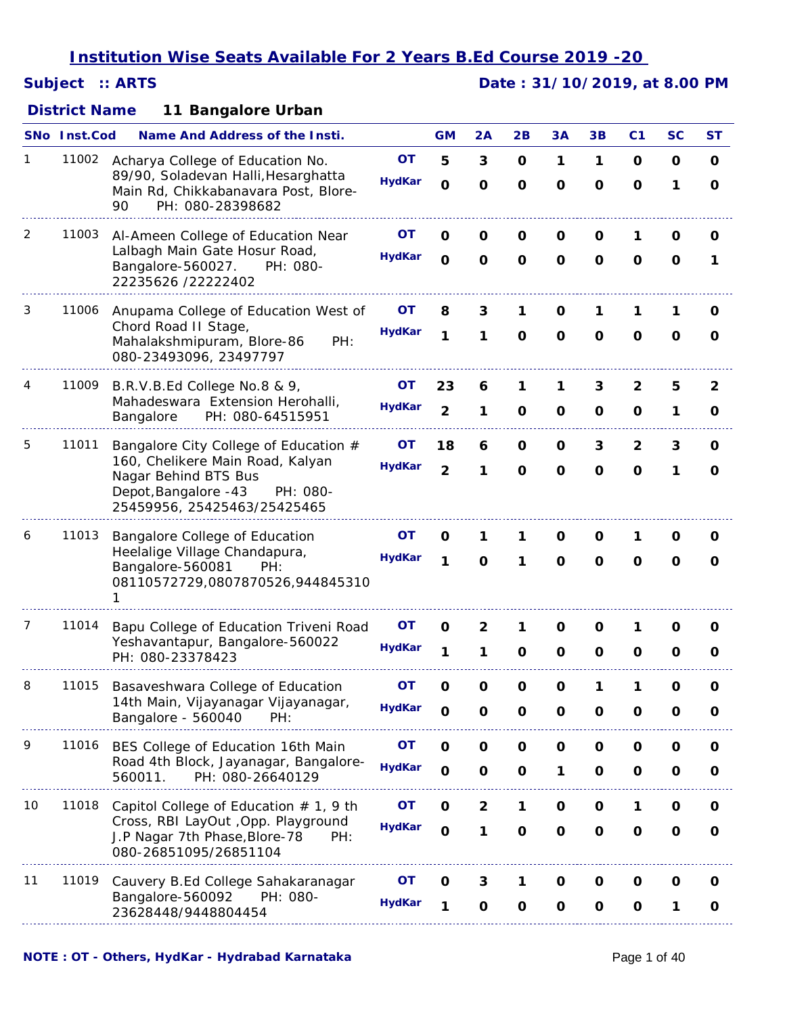## *Subject :: ARTS Date : 31/10/2019, at 8.00 PM*

|    | SNo Inst.Cod | <b>Name And Address of the Insti.</b>                                                                                                                                |                            | <b>GM</b>                   | 2A                           | 2B                          | 3A                         | 3B                          | C <sub>1</sub>    | <b>SC</b>         | ST                |
|----|--------------|----------------------------------------------------------------------------------------------------------------------------------------------------------------------|----------------------------|-----------------------------|------------------------------|-----------------------------|----------------------------|-----------------------------|-------------------|-------------------|-------------------|
|    | 11002        | Acharya College of Education No.<br>89/90, Soladevan Halli, Hesarghatta<br>Main Rd, Chikkabanavara Post, Blore-<br>PH: 080-28398682<br>90                            | <b>OT</b><br><b>HydKar</b> | 5<br>$\mathbf 0$            | 3<br>$\mathbf{o}$            | $\mathbf 0$<br>$\mathbf{o}$ | 1<br>O                     | 1<br>$\mathbf 0$            | O<br>$\mathbf 0$  | O<br>1            | 0<br>$\mathbf 0$  |
| 2  | 11003        | Al-Ameen College of Education Near<br>Lalbagh Main Gate Hosur Road,<br>Bangalore-560027.<br>PH: 080-<br>22235626 /22222402                                           | <b>OT</b><br><b>HydKar</b> | O<br>$\mathbf{o}$           | 0<br>$\mathbf 0$             | 0<br>$\mathbf{o}$           | O<br>$\mathbf 0$           | O<br>$\mathbf{o}$           | 1<br>$\mathbf 0$  | O<br>$\mathbf{o}$ | 0<br>1            |
| 3  | 11006        | Anupama College of Education West of<br>Chord Road II Stage,<br>Mahalakshmipuram, Blore-86<br>PH:<br>080-23493096, 23497797                                          | OТ<br><b>HydKar</b>        | 8<br>1                      | 3<br>1                       | 1<br>$\mathbf{o}$           | O<br>$\mathbf o$           | 1<br>$\mathbf{o}$           | 1<br>O            | 1<br>0            | 0<br>0            |
| 4  | 11009        | B.R.V.B.Ed College No.8 & 9,<br>Mahadeswara Extension Herohalli,<br>PH: 080-64515951<br>Bangalore                                                                    | OT<br><b>HydKar</b>        | 23<br>$\overline{2}$        | 6<br>1                       | 1<br>O                      | 1<br>O                     | 3<br>O                      | 2<br>0            | 5<br>1            | 2<br>0            |
| 5  | 11011        | Bangalore City College of Education #<br>160, Chelikere Main Road, Kalyan<br>Nagar Behind BTS Bus<br>Depot, Bangalore -43<br>PH: 080-<br>25459956, 25425463/25425465 | OТ<br><b>HydKar</b>        | 18<br>$\overline{2}$        | 6<br>1                       | O<br>$\mathbf 0$            | O<br>$\mathbf 0$           | 3<br>$\mathbf{o}$           | $\mathbf{2}$<br>O | 3<br>1            | O<br>$\mathbf 0$  |
| 6  | 11013        | Bangalore College of Education<br>Heelalige Village Chandapura,<br>Bangalore-560081<br>PH:<br>08110572729,0807870526,944845310                                       | OT<br><b>HydKar</b>        | 0<br>1                      | 1<br>$\mathbf 0$             | 1<br>1                      | 0<br>$\mathbf 0$           | 0<br>$\mathbf 0$            | 1<br>O            | O<br>O            | 0<br>0            |
| 7  | 11014        | Bapu College of Education Triveni Road<br>Yeshavantapur, Bangalore-560022<br>PH: 080-23378423                                                                        | <b>OT</b><br><b>HydKar</b> | 0<br>1                      | $\mathbf{2}$<br>1            | 1<br>$\mathbf 0$            | O<br>$\mathbf 0$           | O<br>$\Omega$               | 1<br>O            | O<br>0            | O<br>0            |
| 8  | 11015        | Basaveshwara College of Education<br>14th Main, Vijayanagar Vijayanagar,<br>Bangalore - 560040<br>PH:                                                                | OТ<br><b>HydKar</b>        | $\mathbf{o}$<br>0           | $\mathbf{o}$<br>$\mathbf{o}$ | $\mathbf o$<br>$\mathbf{o}$ | $\mathbf 0$<br>O           | 1<br>O                      | 1<br>O            | $\mathbf o$<br>O  | O<br>O            |
| 9  | 11016        | BES College of Education 16th Main<br>Road 4th Block, Jayanagar, Bangalore-<br>PH: 080-26640129<br>560011.                                                           | <b>OT</b><br><b>HydKar</b> | $\mathbf{o}$<br>$\mathbf 0$ | $\mathbf{o}$<br>$\mathbf{o}$ | $\mathbf o$<br>$\mathbf 0$  | $\mathbf 0$<br>1           | O<br>$\mathbf{o}$           | O<br>$\mathbf{o}$ | O<br>$\mathbf{o}$ | O<br>O            |
| 10 | 11018        | Capitol College of Education $# 1, 9$ th<br>Cross, RBI LayOut , Opp. Playground<br>J.P Nagar 7th Phase, Blore-78<br>PH:<br>080-26851095/26851104                     | <b>OT</b><br><b>HydKar</b> | $\mathbf 0$<br>$\mathbf 0$  | $\mathbf{2}$<br>1            | 1<br>$\mathbf{o}$           | $\mathbf 0$<br>$\mathbf 0$ | $\mathbf{o}$<br>$\mathbf 0$ | 1<br>$\mathbf{o}$ | O<br>$\mathbf 0$  | O<br>0            |
| 11 | 11019        | Cauvery B.Ed College Sahakaranagar<br>Bangalore-560092<br>PH: 080-<br>23628448/9448804454                                                                            | ΟT<br><b>HydKar</b>        | O<br>1                      | 3<br>$\mathbf{o}$            | 1<br>$\mathbf{o}$           | O<br>$\mathbf 0$           | O<br>$\mathbf 0$            | O<br>$\mathbf{o}$ | O<br>1            | 0<br>$\mathbf{o}$ |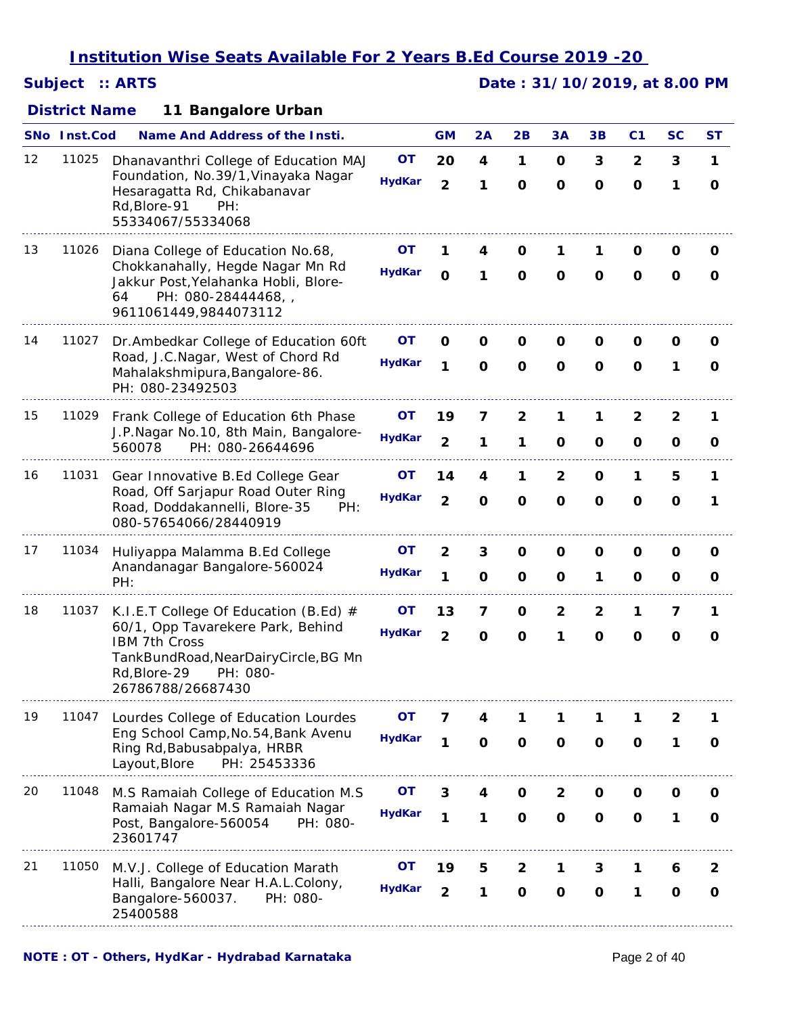## *Subject :: ARTS Date : 31/10/2019, at 8.00 PM*

|    | SNo Inst.Cod | <b>Name And Address of the Insti.</b>                                                                                                       |               | <b>GM</b>      | 2A          | 2B           | 3A                      | 3B           | C <sub>1</sub> | SC          | ST           |
|----|--------------|---------------------------------------------------------------------------------------------------------------------------------------------|---------------|----------------|-------------|--------------|-------------------------|--------------|----------------|-------------|--------------|
| 12 | 11025        | Dhanavanthri College of Education MAJ                                                                                                       | <b>OT</b>     | 20             | 4           | 1            | $\mathbf 0$             | 3            | $\overline{2}$ | 3           | $\mathbf{1}$ |
|    |              | Foundation, No.39/1, Vinayaka Nagar<br>Hesaragatta Rd, Chikabanavar<br>Rd, Blore-91<br>PH:<br>55334067/55334068                             | <b>HydKar</b> | $\overline{2}$ | 1           | $\mathbf 0$  | $\mathbf 0$             | $\mathbf 0$  | $\mathbf 0$    | 1           | O            |
| 13 | 11026        | Diana College of Education No.68,                                                                                                           | ΟT            | 1              | 4           | 0            | 1                       | 1            | O              | 0           | 0            |
|    |              | Chokkanahally, Hegde Nagar Mn Rd<br>Jakkur Post, Yelahanka Hobli, Blore-<br>PH: 080-28444468,<br>64<br>9611061449,9844073112                | <b>HydKar</b> | $\mathbf 0$    | 1           | $\mathbf{o}$ | O                       | O            | $\mathbf 0$    | $\mathbf 0$ | 0            |
| 14 | 11027        | Dr.Ambedkar College of Education 60ft                                                                                                       | OТ            | O              | O           | O            | 0                       | 0            | O              | O           | O            |
|    |              | Road, J.C.Nagar, West of Chord Rd<br>Mahalakshmipura, Bangalore-86.<br>PH: 080-23492503                                                     | <b>HydKar</b> | 1              | $\mathbf 0$ | $\mathbf{o}$ | $\mathbf{o}$            | O            | $\mathbf 0$    | 1           | 0            |
| 15 | 11029        | Frank College of Education 6th Phase                                                                                                        | ΟT            | 19             | 7           | 2            | 1                       | 1            | 2              | 2           | 1            |
|    |              | J.P.Nagar No.10, 8th Main, Bangalore-<br>560078<br>PH: 080-26644696                                                                         | <b>HydKar</b> | $\overline{2}$ | 1           | 1            | $\mathbf o$             | O            | 0              | O           | O            |
| 16 | 11031        | Gear Innovative B.Ed College Gear                                                                                                           | OΤ            | 14             | 4           | 1            | $\overline{\mathbf{c}}$ | O            | 1              | 5           | 1            |
|    |              | Road, Off Sarjapur Road Outer Ring<br>Road, Doddakannelli, Blore-35<br>PH:<br>080-57654066/28440919                                         | <b>HydKar</b> | $\overline{2}$ | $\mathbf 0$ | $\mathbf{o}$ | $\mathbf{o}$            | $\mathbf 0$  | $\mathbf 0$    | $\mathbf 0$ | 1            |
| 17 | 11034        | Huliyappa Malamma B.Ed College                                                                                                              | <b>OT</b>     | $\mathbf{2}$   | 3           | O            | O                       | O            | O              | O           | 0            |
|    |              | Anandanagar Bangalore-560024<br>PH:                                                                                                         | <b>HydKar</b> | 1              | $\mathbf 0$ | $\Omega$     | $\mathbf 0$             | 1            | $\mathbf 0$    | $\Omega$    | O            |
| 18 | 11037        | K.I.E.T College Of Education (B.Ed) $#$                                                                                                     | ΟT            | 13             | 7           | $\mathbf 0$  | $\overline{2}$          | $\mathbf{2}$ | 1              | 7           | 1            |
|    |              | 60/1, Opp Tavarekere Park, Behind<br>IBM 7th Cross<br>TankBundRoad, NearDairyCircle, BG Mn<br>Rd, Blore-29<br>PH: 080-<br>26786788/26687430 | <b>HydKar</b> | $\overline{2}$ | $\mathbf 0$ | O            | 1                       | O            | $\mathbf 0$    | $\mathbf 0$ | 0            |
| 19 | 11047        | Lourdes College of Education Lourdes                                                                                                        | OT            | 7              | 4           | 1            | 1                       | 1            | 1              | 2           |              |
|    |              | Eng School Camp, No. 54, Bank Avenu<br>Ring Rd, Babusabpalya, HRBR<br>Layout, Blore<br>PH: 25453336                                         | <b>HydKar</b> | 1              | $\mathbf 0$ | $\mathbf{o}$ | $\mathbf 0$             | $\mathbf 0$  | $\mathbf 0$    | 1           | 0            |
| 20 | 11048        | M.S Ramaiah College of Education M.S                                                                                                        | <b>OT</b>     | 3              | 4           | O            | 2                       | O            | O              | O           | O            |
|    |              | Ramaiah Nagar M.S Ramaiah Nagar<br>Post, Bangalore-560054<br>PH: 080-<br>23601747                                                           | <b>HydKar</b> | 1              | 1           | $\mathbf{o}$ | $\mathbf o$             | $\mathbf 0$  | $\mathbf 0$    | 1           | 0            |
| 21 | 11050        | M.V.J. College of Education Marath                                                                                                          | OT            | 19             | 5           | $\mathbf{2}$ | 1                       | 3            | 1              | 6           | 2            |
|    |              | Halli, Bangalore Near H.A.L.Colony,<br>Bangalore-560037.<br>PH: 080-<br>25400588                                                            | <b>HydKar</b> | $\overline{2}$ | 1           | $\mathbf 0$  | $\mathbf 0$             | $\mathbf 0$  | 1              | $\mathbf 0$ | O            |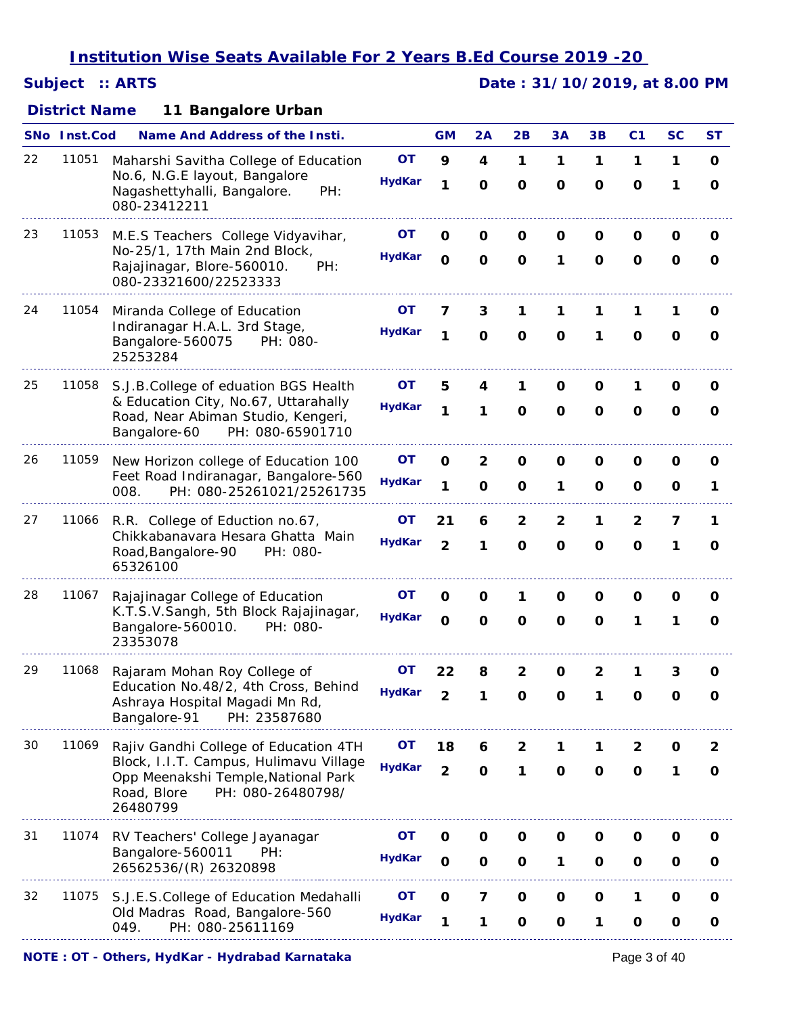## *Subject :: ARTS Date : 31/10/2019, at 8.00 PM*

|    | <b>SNo</b> Inst.Cod | <b>Name And Address of the Insti.</b>                                                                                                                                  |                            | <b>GM</b>                     | 2A                          | 2B                                     | 3A                             | 3B                | C <sub>1</sub>                | <b>SC</b>                    | <b>ST</b>                  |
|----|---------------------|------------------------------------------------------------------------------------------------------------------------------------------------------------------------|----------------------------|-------------------------------|-----------------------------|----------------------------------------|--------------------------------|-------------------|-------------------------------|------------------------------|----------------------------|
| 22 | 11051               | Maharshi Savitha College of Education<br>No.6, N.G.E layout, Bangalore<br>Nagashettyhalli, Bangalore.<br>PH:<br>080-23412211                                           | <b>OT</b><br><b>HydKar</b> | 9<br>1                        | 4<br>$\mathbf{o}$           | 1<br>$\mathbf 0$                       | 1<br>$\mathbf 0$               | 1<br>$\mathbf 0$  | 1<br>$\mathbf 0$              | 1<br>1                       | $\mathbf 0$<br>$\mathbf 0$ |
| 23 | 11053               | M.E.S Teachers College Vidyavihar,<br>No-25/1, 17th Main 2nd Block,<br>Rajajinagar, Blore-560010.<br>PH:<br>080-23321600/22523333                                      | OΤ<br><b>HydKar</b>        | O<br>$\mathbf{o}$             | 0<br>$\mathbf 0$            | O<br>$\mathbf{o}$                      | O<br>1                         | 0<br>$\mathbf{o}$ | O<br>$\mathbf 0$              | O<br>$\mathbf 0$             | O<br>$\mathbf 0$           |
| 24 | 11054               | Miranda College of Education<br>Indiranagar H.A.L. 3rd Stage,<br>Bangalore-560075<br>PH: 080-<br>25253284                                                              | OТ<br><b>HydKar</b>        | 7<br>1                        | 3<br>$\mathbf{o}$           | 1<br>$\mathbf{o}$                      | 1<br>$\mathbf{o}$              | 1<br>1            | 1<br>O                        | $\mathbf 0$                  | O<br>$\mathbf 0$           |
| 25 | 11058               | S.J.B.College of eduation BGS Health<br>& Education City, No.67, Uttarahally<br>Road, Near Abiman Studio, Kengeri,<br>Bangalore-60<br>PH: 080-65901710                 | OТ<br><b>HydKar</b>        | 5<br>1                        | 4<br>1                      | 1<br>$\mathbf{o}$                      | O<br>$\mathbf{o}$              | 0<br>$\mathbf{o}$ | 1<br>$\mathbf 0$              | O<br>$\mathbf 0$             | O<br>O                     |
| 26 | 11059               | New Horizon college of Education 100<br>Feet Road Indiranagar, Bangalore-560<br>008.<br>PH: 080-25261021/25261735                                                      | <b>OT</b><br><b>HydKar</b> | 0<br>1                        | $\overline{2}$<br>O         | O<br>O                                 | O<br>1                         | O<br>O            | O<br>O                        | O<br>O                       | O<br>1                     |
| 27 | 11066               | R.R. College of Eduction no.67,<br>Chikkabanavara Hesara Ghatta Main<br>Road, Bangalore-90<br>PH: 080-<br>65326100                                                     | OТ<br><b>HydKar</b>        | 21<br>$\overline{2}$          | 6<br>1                      | $\overline{\mathbf{c}}$<br>$\mathbf 0$ | $\overline{2}$<br>$\mathbf{o}$ | 1<br>O            | $\overline{2}$<br>$\mathbf 0$ | 7<br>1                       | 1<br>$\mathbf 0$           |
| 28 | 11067               | Rajajinagar College of Education<br>K.T.S.V.Sangh, 5th Block Rajajinagar,<br>Bangalore-560010.<br>PH: 080-<br>23353078                                                 | OT<br><b>HydKar</b>        | 0<br>$\mathbf 0$              | $\mathbf 0$<br>$\mathbf 0$  | 1<br>$\mathbf 0$                       | O<br>$\mathbf{o}$              | O<br>$\mathbf 0$  | O<br>1                        | 0<br>1                       | O<br>$\Omega$              |
| 29 | 11068               | Rajaram Mohan Roy College of<br>Education No.48/2, 4th Cross, Behind<br>Ashraya Hospital Magadi Mn Rd,<br>Bangalore-91<br>PH: 23587680                                 | OT<br><b>HydKar</b>        | 22<br>$\overline{\mathbf{c}}$ | 8<br>1                      | 2<br>O                                 | O<br>$\mathbf{o}$              | 2<br>1            | 1<br>$\mathbf 0$              | 3<br>O                       | O                          |
| 30 | 11069               | Rajiv Gandhi College of Education 4TH<br>Block, I.I.T. Campus, Hulimavu Village<br>Opp Meenakshi Temple, National Park<br>Road, Blore<br>PH: 080-26480798/<br>26480799 | OT<br><b>HydKar</b>        | 18<br>$\overline{2}$          | 6<br>$\mathbf o$            | 2<br>1                                 | $\mathbf{o}$                   | O                 | 2<br>$\mathbf{o}$             | O<br>1                       | 2<br>0                     |
| 31 | 11074               | RV Teachers' College Jayanagar<br>Bangalore-560011<br>PH:<br>26562536/(R) 26320898                                                                                     | OТ<br><b>HydKar</b>        | O<br>$\mathbf 0$              | $\mathbf 0$<br>$\mathbf{o}$ | O<br>O                                 | O<br>1                         | O<br>$\mathbf{o}$ | O<br>$\mathbf{o}$             | O<br>$\mathbf{o}$            | 0<br>O                     |
| 32 | 11075               | S.J.E.S.College of Education Medahalli<br>Old Madras Road, Bangalore-560<br>049.<br>PH: 080-25611169                                                                   | <b>OT</b><br><b>HydKar</b> | $\mathbf 0$<br>1              | 7<br>1                      | $\mathbf{o}$<br>$\mathbf 0$            | $\mathbf{o}$<br>$\mathbf 0$    | $\mathbf{o}$<br>1 | 1<br>$\mathbf 0$              | $\mathbf{o}$<br>$\mathbf{o}$ | 0<br>$\mathbf 0$           |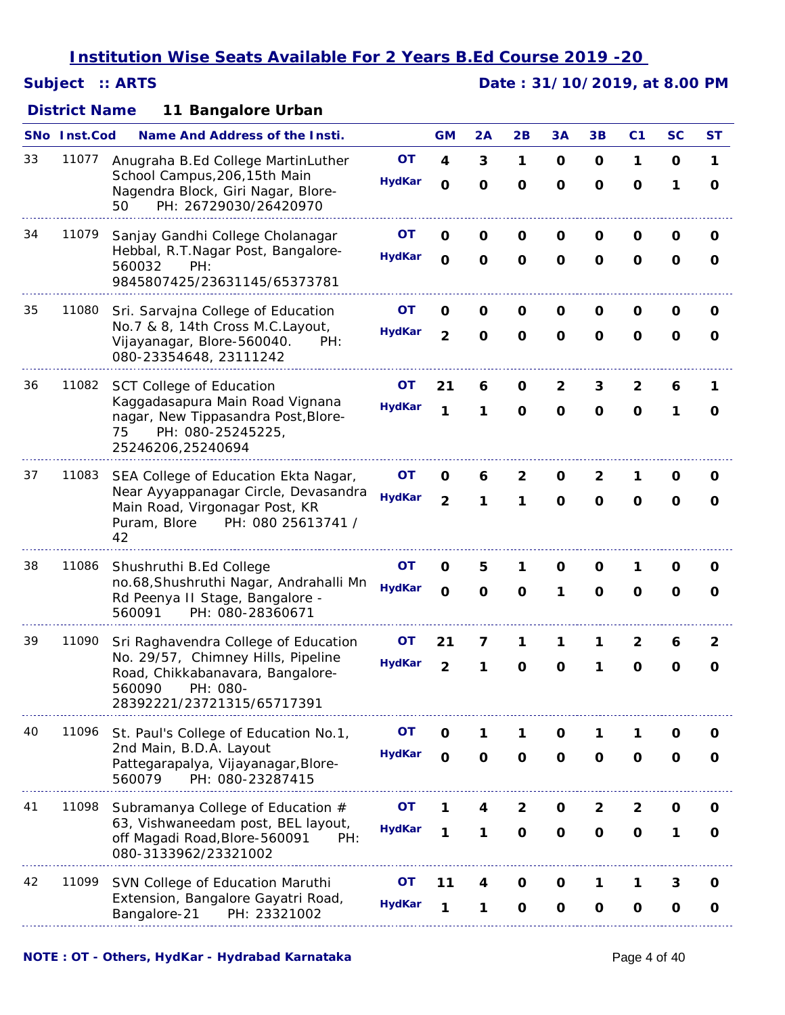## *Subject :: ARTS Date : 31/10/2019, at 8.00 PM*

|    | SNo Inst.Cod | <b>Name And Address of the Insti.</b>                                                                                                                              |                    |                            | <b>GM</b>                       | 2A                | 2B                             | 3A                         | 3B                                      | C <sub>1</sub>               | SC                | ST                |
|----|--------------|--------------------------------------------------------------------------------------------------------------------------------------------------------------------|--------------------|----------------------------|---------------------------------|-------------------|--------------------------------|----------------------------|-----------------------------------------|------------------------------|-------------------|-------------------|
| 33 | 11077        | Anugraha B.Ed College MartinLuther<br>School Campus, 206, 15th Main<br>Nagendra Block, Giri Nagar, Blore-<br>PH: 26729030/26420970<br>50                           |                    | <b>OT</b><br><b>HydKar</b> | $\boldsymbol{4}$<br>$\mathbf 0$ | 3<br>$\mathbf{o}$ | 1<br>$\mathbf 0$               | $\mathbf 0$<br>$\mathbf 0$ | $\mathbf 0$<br>$\mathbf{o}$             | 1<br>$\mathbf 0$             | $\Omega$<br>1     | 1<br>$\mathbf{o}$ |
| 34 | 11079        | Sanjay Gandhi College Cholanagar<br>Hebbal, R.T.Nagar Post, Bangalore-<br>PH:<br>560032<br>9845807425/23631145/65373781                                            |                    | OT<br><b>HydKar</b>        | 0<br>$\mathbf 0$                | O<br>$\mathbf 0$  | O<br>$\mathbf 0$               | O<br>$\mathbf{o}$          | 0<br>$\mathbf 0$                        | O<br>$\mathbf 0$             | O<br>O            | O<br>O            |
| 35 | 11080        | Sri. Sarvajna College of Education<br>No.7 & 8, 14th Cross M.C.Layout,<br>Vijayanagar, Blore-560040.<br>080-23354648, 23111242                                     | PH:                | OΤ<br><b>HydKar</b>        | 0<br>$\overline{2}$             | O<br>$\mathbf 0$  | O<br>$\mathbf{o}$              | O<br>$\mathbf{o}$          | 0<br>$\mathbf 0$                        | 0<br>$\mathbf 0$             | O<br>O            | 0<br>O            |
| 36 | 11082        | <b>SCT College of Education</b><br>Kaggadasapura Main Road Vignana<br>nagar, New Tippasandra Post, Blore-<br>PH: 080-25245225,<br>75<br>25246206,25240694          |                    | OT<br><b>HydKar</b>        | 21<br>1                         | 6<br>1            | O<br>$\mathbf 0$               | 2<br>O                     | 3<br>$\mathbf 0$                        | 2<br>$\mathbf 0$             | 6<br>1            | 1<br>0            |
| 37 | 11083        | SEA College of Education Ekta Nagar,<br>Near Ayyappanagar Circle, Devasandra<br>Main Road, Virgonagar Post, KR<br>Puram, Blore<br>42                               | PH: 080 25613741 / | OТ<br><b>HydKar</b>        | O<br>$\overline{2}$             | 6<br>1            | 2<br>1                         | O<br>$\mathbf{o}$          | 2<br>$\mathbf 0$                        | 1<br>O                       | 0<br>$\Omega$     | O<br>0            |
| 38 | 11086        | Shushruthi B.Ed College<br>no.68, Shushruthi Nagar, Andrahalli Mn<br>Rd Peenya II Stage, Bangalore -<br>560091<br>PH: 080-28360671                                 |                    | <b>OT</b><br><b>HydKar</b> | O<br>$\mathbf O$                | 5<br>$\mathbf 0$  | 1<br>$\mathbf 0$               | O<br>1                     | 0<br>$\mathbf 0$                        | 1<br>$\Omega$                | O<br>$\mathbf 0$  | 0<br>$\Omega$     |
| 39 | 11090        | Sri Raghavendra College of Education<br>No. 29/57, Chimney Hills, Pipeline<br>Road, Chikkabanavara, Bangalore-<br>PH: 080-<br>560090<br>28392221/23721315/65717391 |                    | OТ<br><b>HydKar</b>        | 21<br>$\overline{2}$            | 7<br>1            | 1<br>$\mathbf 0$               | 1<br>$\Omega$              | 1<br>1                                  | 2<br>$\Omega$                | 6<br>O            | 2<br>0            |
| 40 | 11096        | St. Paul's College of Education No.1,<br>2nd Main, B.D.A. Layout<br>Pattegarapalya, Vijayanagar, Blore-<br>PH: 080-23287415<br>560079                              |                    | OТ<br><b>HydKar</b>        | O<br>$\mathbf 0$                | Ί<br>$\mathbf{o}$ | $\mathbf{o}$                   | O<br>$\mathbf{o}$          | 1<br>$\mathbf{o}$                       | 1<br>$\mathbf 0$             | 0<br>$\mathbf 0$  | O<br>O            |
| 41 | 11098        | Subramanya College of Education #<br>63, Vishwaneedam post, BEL layout,<br>off Magadi Road, Blore-560091<br>080-3133962/23321002                                   | PH:                | OТ<br><b>HydKar</b>        | 1<br>1                          | 4<br>1            | $\overline{2}$<br>$\mathbf{o}$ | O<br>$\mathbf{o}$          | $\overline{\mathbf{2}}$<br>$\mathbf{o}$ | $\mathbf{2}$<br>$\mathbf{o}$ | O<br>1            | 0<br>O            |
| 42 | 11099        | SVN College of Education Maruthi<br>Extension, Bangalore Gayatri Road,<br>Bangalore-21                                                                             | PH: 23321002       | OТ<br><b>HydKar</b>        | 11<br>1                         | 4<br>1            | O<br>$\mathbf{o}$              | O<br>$\mathbf{o}$          | 1<br>$\mathbf 0$                        | 1<br>$\mathbf 0$             | 3<br>$\mathbf{o}$ | 0<br>O            |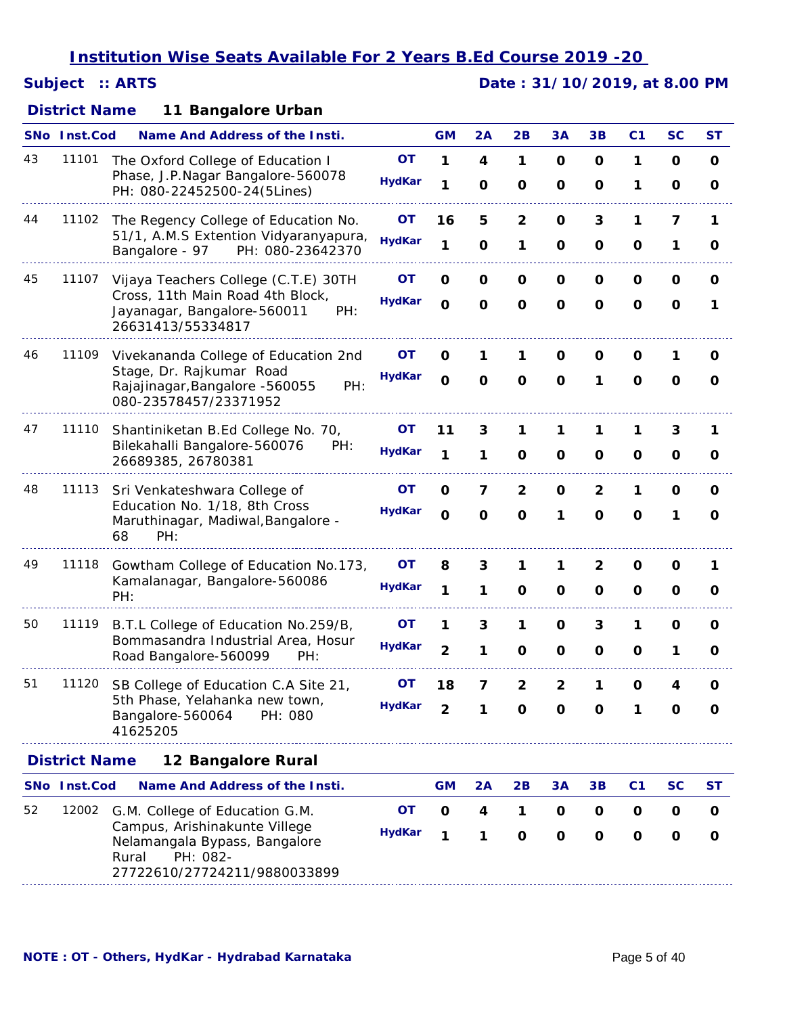## *Subject :: ARTS Date : 31/10/2019, at 8.00 PM*

|       | <b>Name And Address of the Insti.</b>                                                                                                                 |                                                                                     | <b>GM</b>                  | 2A               | 2B                                      | 3A                           | 3B                                     | C <sub>1</sub>   | SC               | ST     |
|-------|-------------------------------------------------------------------------------------------------------------------------------------------------------|-------------------------------------------------------------------------------------|----------------------------|------------------|-----------------------------------------|------------------------------|----------------------------------------|------------------|------------------|--------|
| 11101 | The Oxford College of Education I<br>Phase, J.P.Nagar Bangalore-560078                                                                                | <b>OT</b><br><b>HydKar</b>                                                          | 1<br>1                     | 4                | 1                                       | O                            | O                                      | 1<br>1           | O<br>O           | 0<br>O |
| 11102 | The Regency College of Education No.<br>51/1, A.M.S Extention Vidyaranyapura,<br>PH: 080-23642370<br>Bangalore - 97                                   | <b>OT</b><br><b>HydKar</b>                                                          | 16<br>1                    | 5<br>O           | $\overline{2}$<br>1                     | $\mathbf 0$<br>O             | 3<br>O                                 | 1<br>$\mathbf 0$ | 7<br>1           | 1<br>O |
| 11107 | Vijaya Teachers College (C.T.E) 30TH<br>Cross, 11th Main Road 4th Block,<br>Jayanagar, Bangalore-560011<br>PH:<br>26631413/55334817                   | <b>OT</b><br><b>HydKar</b>                                                          | $\mathbf 0$<br>$\mathbf 0$ | O<br>$\mathbf 0$ | O<br>$\mathbf 0$                        | O<br>$\mathbf{o}$            | O<br>$\mathbf 0$                       | O<br>$\mathbf 0$ | O<br>$\mathbf 0$ | 0<br>1 |
| 11109 | Vivekananda College of Education 2nd<br>Stage, Dr. Rajkumar Road<br>Rajajinagar, Bangalore - 560055<br>PH:<br>080-23578457/23371952                   | OТ<br><b>HydKar</b>                                                                 | 0<br>$\mathbf O$           | 1<br>O           | 1<br>O                                  | 0<br>O                       | 0<br>1                                 | O<br>$\mathbf 0$ | 1<br>$\mathbf 0$ | O<br>0 |
| 11110 | Shantiniketan B.Ed College No. 70,<br>Bilekahalli Bangalore-560076<br>PH:<br>26689385, 26780381                                                       | OТ<br><b>HydKar</b>                                                                 | 11<br>1                    | 3<br>1           | 1<br>O                                  | 1<br>0                       | 1<br>O                                 | 1<br>O           | 3<br>O           | 1<br>0 |
| 11113 | Sri Venkateshwara College of<br>Education No. 1/18, 8th Cross<br>Maruthinagar, Madiwal, Bangalore -<br>68<br>PH:                                      | OТ<br><b>HydKar</b>                                                                 | O<br>$\mathbf 0$           | 7<br>O           | $\overline{\mathbf{2}}$<br>$\mathbf{o}$ | O<br>1                       | $\overline{\mathbf{2}}$<br>$\mathbf O$ | 1<br>$\mathbf 0$ | O<br>1           | 0<br>O |
| 11118 | Gowtham College of Education No.173,<br>Kamalanagar, Bangalore-560086<br>PH:                                                                          | ΟT<br><b>HydKar</b>                                                                 | 8<br>1                     | 3<br>1           | 1<br>$\mathbf 0$                        | 1<br>O                       | $\mathbf{2}$<br>O                      | O<br>$\mathbf 0$ | O<br>$\mathbf 0$ | 1<br>0 |
| 11119 | B.T.L College of Education No.259/B,<br>Bommasandra Industrial Area, Hosur<br>Road Bangalore-560099<br>PH:                                            | ΟT<br><b>HydKar</b>                                                                 | 1<br>$\overline{2}$        | 3<br>1           | 1<br>$\mathbf 0$                        | O<br>O                       | 3<br>O                                 | 1<br>$\mathbf 0$ | O<br>1           | O<br>0 |
| 11120 | SB College of Education C.A Site 21,<br>5th Phase, Yelahanka new town,<br>Bangalore-560064<br>PH: 080<br>41625205                                     | OТ<br><b>HydKar</b>                                                                 | 18<br>2                    | 7                | $\overline{\mathbf{2}}$<br>O            | $\overline{\mathbf{2}}$<br>Ő | 1<br>Ő                                 | $\mathbf{o}$     | 4<br>Ő           | O<br>O |
|       | 12 Bangalore Rural                                                                                                                                    |                                                                                     |                            |                  |                                         |                              |                                        |                  |                  |        |
|       | <b>Name And Address of the Insti.</b>                                                                                                                 |                                                                                     | <b>GM</b>                  | 2A               | 2B                                      | 3A                           | 3B                                     | C <sub>1</sub>   | SC               | ST     |
| 12002 | G.M. College of Education G.M.<br>Campus, Arishinakunte Villege<br>Nelamangala Bypass, Bangalore<br>PH: 082-<br>Rural<br>27722610/27724211/9880033899 | <b>OT</b><br><b>HydKar</b>                                                          | O<br>1                     | 4<br>1           | 1<br>O                                  | O<br>O                       | 0<br>O                                 | 0<br>O           | 0<br>O           | O<br>O |
|       |                                                                                                                                                       | SNo Inst.Cod<br>PH: 080-22452500-24(5Lines)<br><b>District Name</b><br>SNo Inst.Cod |                            |                  | $\mathbf 0$                             | $\mathbf 0$                  | O                                      | O                |                  |        |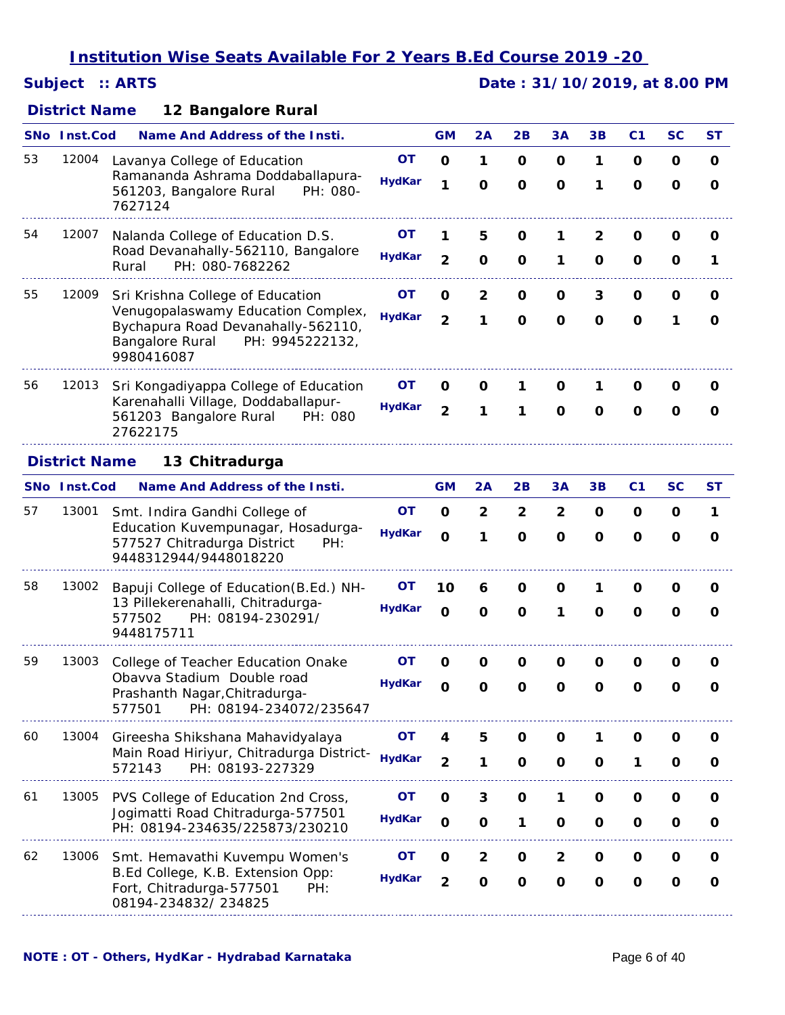## *Subject :: ARTS Date : 31/10/2019, at 8.00 PM*

### **12 Bangalore Rural** *District Name*

|    | SNo Inst.Cod         | <b>Name And Address of the Insti.</b>                                                             |                            | <b>GM</b>           | 2A                      | 2B               | 3A             | 3B           | C <sub>1</sub> | <b>SC</b>   | ST          |
|----|----------------------|---------------------------------------------------------------------------------------------------|----------------------------|---------------------|-------------------------|------------------|----------------|--------------|----------------|-------------|-------------|
| 53 | 12004                | Lavanya College of Education                                                                      | <b>OT</b>                  | $\mathbf 0$         | 1                       | O                | O              | 1            | 0              | 0           | O           |
|    |                      | Ramananda Ashrama Doddaballapura-<br>561203, Bangalore Rural<br>PH: 080-<br>7627124               | <b>HydKar</b>              | 1                   | $\mathbf 0$             | $\mathbf{o}$     | $\mathbf{o}$   | 1            | $\mathbf 0$    | $\mathbf 0$ | O           |
| 54 | 12007                | Nalanda College of Education D.S.<br>Road Devanahally-562110, Bangalore                           | <b>OT</b><br><b>HydKar</b> | 1<br>$\overline{2}$ | 5<br>O                  | $\mathbf 0$<br>O | 1<br>1         | 2<br>O       | 0<br>0         | 0<br>O      | O<br>1      |
|    |                      | PH: 080-7682262<br>Rural                                                                          |                            |                     |                         |                  |                |              |                |             |             |
| 55 | 12009                | Sri Krishna College of Education<br>Venugopalaswamy Education Complex,                            | OТ                         | 0                   | $\overline{\mathbf{2}}$ | O                | O              | 3            | 0              | O           | O           |
|    |                      | Bychapura Road Devanahally-562110,<br>Bangalore Rural<br>PH: 9945222132,<br>9980416087            | <b>HydKar</b>              | $\overline{2}$      | 1                       | $\mathbf{o}$     | $\mathbf{o}$   | $\mathbf{o}$ | $\mathbf 0$    | 1           | 0           |
| 56 | 12013                | Sri Kongadiyappa College of Education                                                             | OΤ                         | 0                   | 0                       | 1                | O              | 1            | O              | O           | O           |
|    |                      | Karenahalli Village, Doddaballapur-<br>561203 Bangalore Rural<br>PH: 080<br>27622175              | <b>HydKar</b>              | $\overline{2}$      | 1                       | 1                | O              | O            | O              | O           | O           |
|    | <b>District Name</b> | 13 Chitradurga                                                                                    |                            |                     |                         |                  |                |              |                |             |             |
|    | SNo Inst.Cod         | <b>Name And Address of the Insti.</b>                                                             |                            | <b>GM</b>           | 2A                      | 2B               | 3A             | 3B           | C1             | SC          | ST          |
| 57 | 13001                | Smt. Indira Gandhi College of                                                                     | <b>OT</b>                  | $\mathbf 0$         | 2                       | $\mathbf{2}$     | $\overline{2}$ | O            | O              | O           | 1           |
|    |                      | Education Kuvempunagar, Hosadurga-<br>577527 Chitradurga District<br>PH:<br>9448312944/9448018220 | <b>HydKar</b>              | $\mathbf 0$         | 1                       | $\mathbf{o}$     | $\mathbf 0$    | $\mathbf 0$  | $\mathbf O$    | $\mathbf 0$ | $\mathbf 0$ |
| 58 | 13002                | Bapuji College of Education (B.Ed.) NH-                                                           | OΤ                         | 10                  | 6                       | 0                | O              | 1            | 0              | O           | O           |
|    |                      | 13 Pillekerenahalli, Chitradurga-<br>PH: 08194-230291/<br>577502<br>9448175711                    | <b>HydKar</b>              | $\mathbf{o}$        | $\mathbf 0$             | $\mathbf{o}$     | 1              | $\mathbf{o}$ | O              | $\mathbf 0$ | O           |
| 59 | 13003                | College of Teacher Education Onake                                                                | OТ                         | 0                   | 0                       | 0                | O              | 0            | O              | 0           | O           |
|    |                      | Obavva Stadium Double road<br>Prashanth Nagar, Chitradurga-<br>PH: 08194-234072/235647<br>577501  | <b>HydKar</b>              | O                   | O                       | O                | O              | O            | O              | O           | 0           |
| 60 | 13004                | Gireesha Shikshana Mahavidyalaya                                                                  | <b>OT</b>                  | 4                   | 5                       | O                | O              | 1            | O              | O           | 0           |
|    |                      | Main Road Hiriyur, Chitradurga District-<br>572143<br>PH: 08193-227329                            | <b>HydKar</b>              | $\overline{2}$      | 1                       | $\mathbf 0$      | $\mathbf{o}$   | O            | 1              | $\mathbf 0$ | 0           |
| 61 | 13005                | PVS College of Education 2nd Cross,                                                               | OT                         | $\mathbf 0$         | 3                       | $\mathbf 0$      | 1              | O            | O              | O           | 0           |
|    |                      | Jogimatti Road Chitradurga-577501<br>PH: 08194-234635/225873/230210                               | <b>HydKar</b>              | $\mathbf 0$         | $\mathbf 0$             | 1                | $\mathbf{o}$   | $\mathbf{o}$ | $\mathbf 0$    | O           | O           |
| 62 | 13006                | Smt. Hemavathi Kuvempu Women's                                                                    | OТ                         | O                   | $\overline{2}$          | O                | 2              | O            | 0              | O           | 0           |
|    |                      | B.Ed College, K.B. Extension Opp:<br>Fort, Chitradurga-577501<br>PH:<br>08194-234832/234825       | <b>HydKar</b>              | $\overline{2}$      | $\mathbf{o}$            | $\mathbf{o}$     | $\mathbf{o}$   | $\mathbf{o}$ | $\mathbf 0$    | $\mathbf 0$ | O           |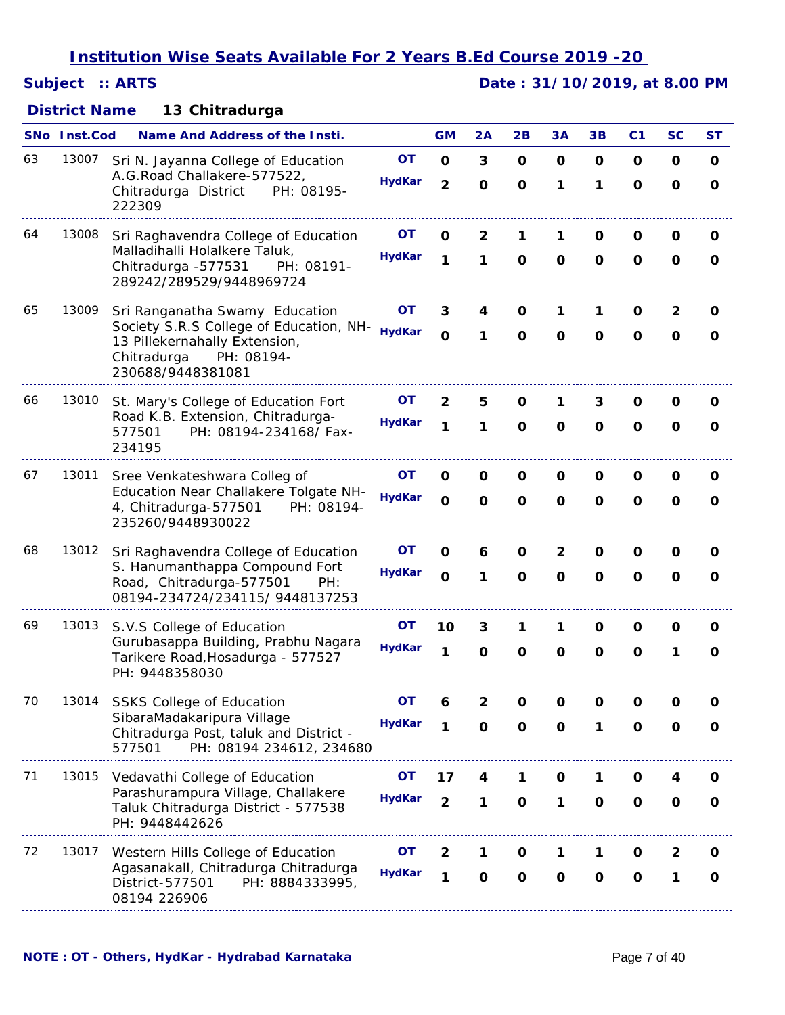## *Subject :: ARTS Date : 31/10/2019, at 8.00 PM*

### **13 Chitradurga** *District Name*

|    | <b>SNo</b> Inst.Cod | <b>Name And Address of the Insti.</b>                                                                                                                        |                            | <b>GM</b>                  | 2Α                         | 2B                          | 3А                            | 3В               | C1                | <b>SC</b>                   | <b>ST</b>                  |
|----|---------------------|--------------------------------------------------------------------------------------------------------------------------------------------------------------|----------------------------|----------------------------|----------------------------|-----------------------------|-------------------------------|------------------|-------------------|-----------------------------|----------------------------|
| 63 | 13007               | Sri N. Jayanna College of Education<br>A.G.Road Challakere-577522,<br>Chitradurga District<br>PH: 08195-<br>222309                                           | <b>OT</b><br><b>HydKar</b> | $\Omega$<br>$\overline{2}$ | 3<br>$\mathbf 0$           | $\mathbf 0$<br>$\mathbf{o}$ | O<br>1                        | $\mathbf 0$<br>1 | 0<br>$\mathbf{o}$ | $\mathbf 0$<br>$\mathbf{o}$ | $\mathbf 0$<br>$\mathbf 0$ |
| 64 | 13008               | Sri Raghavendra College of Education<br>Malladihalli Holalkere Taluk,<br>Chitradurga -577531<br>PH: 08191-<br>289242/289529/9448969724                       | ΟT<br><b>HydKar</b>        | 0<br>1                     | 2<br>1                     | 1<br>$\mathbf 0$            | 1<br>O                        | O<br>$\mathbf 0$ | 0<br>$\mathbf{o}$ | O<br>O                      | 0<br>0                     |
| 65 | 13009               | Sri Ranganatha Swamy Education<br>Society S.R.S College of Education, NH-<br>13 Pillekernahally Extension,<br>Chitradurga<br>PH: 08194-<br>230688/9448381081 | OΤ<br><b>HydKar</b>        | 3<br>$\Omega$              | 4<br>1                     | 0<br>$\mathbf{o}$           | 1<br>O                        | 1<br>O           | 0<br>$\mathbf 0$  | 2<br>0                      | O<br>0                     |
| 66 | 13010               | St. Mary's College of Education Fort<br>Road K.B. Extension, Chitradurga-<br>PH: 08194-234168/ Fax-<br>577501<br>234195                                      | OΤ<br><b>HydKar</b>        | 2<br>1                     | 5<br>1                     | O<br>$\mathbf{o}$           | 1<br>O                        | 3<br>O           | O<br>$\mathbf 0$  | O<br>$\mathbf 0$            | O<br>0                     |
| 67 | 13011               | Sree Venkateshwara Colleg of<br>Education Near Challakere Tolgate NH-<br>4, Chitradurga-577501<br>PH: 08194-<br>235260/9448930022                            | OΤ<br><b>HydKar</b>        | O<br>$\mathbf 0$           | O<br>O                     | 0<br>$\mathbf{o}$           | 0<br>$\Omega$                 | 0<br>$\mathbf 0$ | 0<br>$\mathbf 0$  | 0<br>$\mathbf 0$            | 0<br>0                     |
| 68 | 13012               | Sri Raghavendra College of Education<br>S. Hanumanthappa Compound Fort<br>Road, Chitradurga-577501<br>PH:<br>08194-234724/234115/9448137253                  | OΤ<br><b>HydKar</b>        | O<br>$\Omega$              | 6<br>1                     | O<br>$\mathbf 0$            | $\overline{2}$<br>$\mathbf 0$ | O<br>$\mathbf 0$ | O<br>$\mathbf 0$  | 0<br>$\mathbf 0$            | O<br>O                     |
| 69 | 13013               | S.V.S College of Education<br>Gurubasappa Building, Prabhu Nagara<br>Tarikere Road, Hosadurga - 577527<br>PH: 9448358030                                     | OΤ<br><b>HydKar</b>        | 10<br>1                    | 3<br>0                     | 1<br>$\mathbf 0$            | 1<br>O                        | 0<br>$\Omega$    | 0<br>O            | O<br>1                      | 0<br>$\Omega$              |
| 70 | 13014               | SSKS College of Education<br>SibaraMadakaripura Village<br>Chitradurga Post, taluk and District -<br>577501<br>PH: 08194 234612, 234680                      | <b>OT</b><br><b>HydKar</b> | 6<br>1                     | $\mathbf 2$<br>$\mathbf 0$ | $\mathbf 0$<br>$\mathbf{o}$ | O<br>$\mathbf 0$              | $\mathbf 0$<br>1 | 0<br>O            | 0<br>O                      | O<br>O                     |
| 71 | 13015               | Vedavathi College of Education<br>Parashurampura Village, Challakere<br>Taluk Chitradurga District - 577538<br>PH: 9448442626                                | ΟT<br><b>HydKar</b>        | 17<br>$\overline{2}$       | 4<br>1                     | 1<br>$\mathbf o$            | 0<br>1                        | 1<br>$\mathbf 0$ | 0<br>0            | O                           | O<br>$\mathbf{o}$          |
| 72 | 13017               | Western Hills College of Education<br>Agasanakall, Chitradurga Chitradurga<br>District-577501<br>PH: 8884333995,<br>08194 226906                             | OΤ<br><b>HydKar</b>        | $\mathbf{2}$<br>1          | 1<br>$\mathbf 0$           | O<br>$\mathbf{o}$           | 1<br>$\mathbf 0$              | 1<br>$\mathbf 0$ | O<br>O            | 2<br>1                      | O<br>$\mathbf 0$           |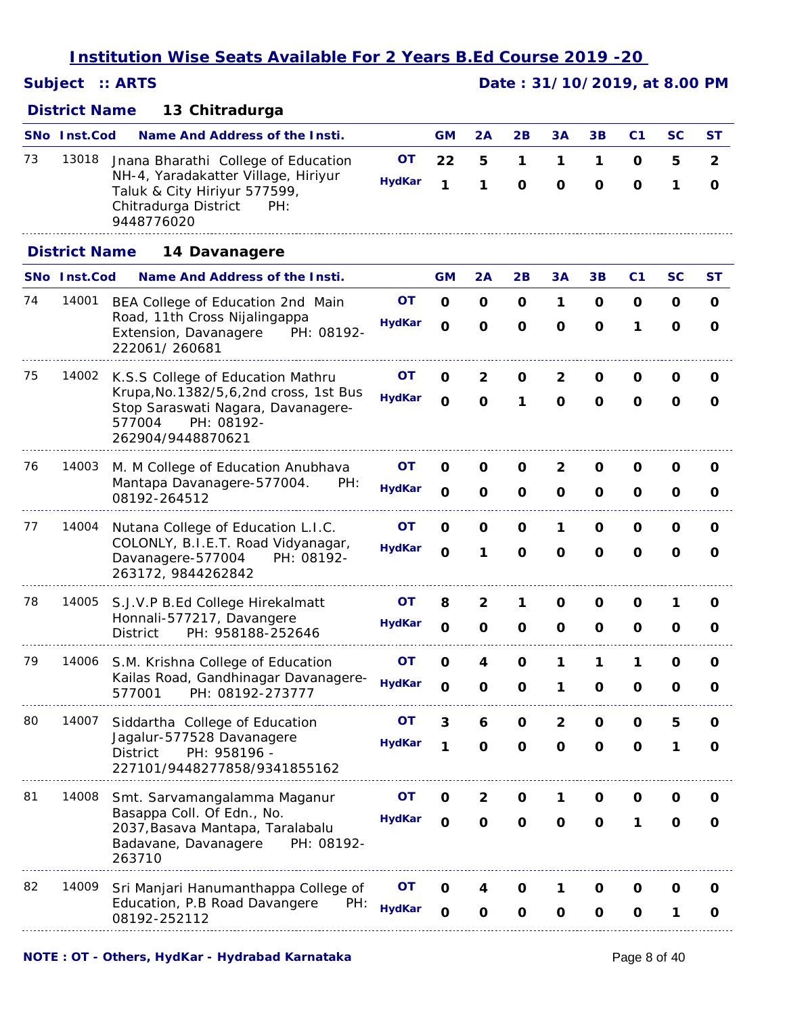|    |                      | <u>Institution Wise Seats Available For 2 Years B.Ed Course 2019 -20</u>                                         |               |           |              |              |              |              |                |                              |                |
|----|----------------------|------------------------------------------------------------------------------------------------------------------|---------------|-----------|--------------|--------------|--------------|--------------|----------------|------------------------------|----------------|
|    |                      | Subject :: ARTS                                                                                                  |               |           |              |              |              |              |                | Date: 31/10/2019, at 8.00 PM |                |
|    | <b>District Name</b> | 13 Chitradurga                                                                                                   |               |           |              |              |              |              |                |                              |                |
|    | <b>SNo</b> Inst.Cod  | Name And Address of the Insti.                                                                                   |               | <b>GM</b> | 2A           | 2B           | 3A           | 3B           | C1             | <b>SC</b>                    | ST             |
| 73 | 13018                | Jnana Bharathi College of Education                                                                              | OΤ            | 22        | 5            | 1            | 1            | 1            | O              | 5                            | $\overline{2}$ |
|    |                      | NH-4, Yaradakatter Village, Hiriyur<br>Taluk & City Hiriyur 577599,<br>Chitradurga District<br>PH:<br>9448776020 | <b>HydKar</b> | 1         | 1            | $\Omega$     | $\Omega$     | $\Omega$     | $\Omega$       | 1                            | $\Omega$       |
|    | <b>District Name</b> | 14 Davanagere                                                                                                    |               |           |              |              |              |              |                |                              |                |
|    | <b>SNo</b> Inst.Cod  | Name And Address of the Insti.                                                                                   |               | <b>GM</b> | 2A           | 2B           | 3A           | 3B           | C <sub>1</sub> | <b>SC</b>                    | ST             |
| 74 | 14001                | BEA College of Education 2nd Main                                                                                | OT.           | $\Omega$  | O            | $\mathbf{o}$ | 1            | O            | O              | $\mathbf{o}$                 | $\Omega$       |
|    |                      | Road, 11th Cross Nijalingappa<br>PH: 08192-<br>Extension, Davanagere<br>222061/260681                            | <b>HydKar</b> | $\Omega$  | $\Omega$     | $\Omega$     | $\Omega$     | O            | 1              | $\Omega$                     | O              |
| 75 | 14002                | K.S.S College of Education Mathru                                                                                | OT            | C         | $\mathbf{2}$ | O            | 2            | O            | O              | <sup>n</sup>                 | <sup>n</sup>   |
|    |                      | Krupa, No. 1382/5, 6, 2nd cross, 1st Bus                                                                         | <b>HydKar</b> | O         | <sup>0</sup> | 1            | <sup>0</sup> | <sup>o</sup> | <sup>o</sup>   | O                            | O              |

|    | <b>SNo</b> Inst.Cod | <b>Name And Address of the Insti.</b>                                                                                                                            |                            | <b>GM</b>                  | 2A                             | 2B                          | 3A                            | 3B                | C <sub>1</sub>    | <b>SC</b>        | ST            |
|----|---------------------|------------------------------------------------------------------------------------------------------------------------------------------------------------------|----------------------------|----------------------------|--------------------------------|-----------------------------|-------------------------------|-------------------|-------------------|------------------|---------------|
| 74 | 14001               | BEA College of Education 2nd Main<br>Road, 11th Cross Nijalingappa<br>Extension, Davanagere<br>PH: 08192-<br>222061/260681                                       | <b>OT</b><br><b>HydKar</b> | O<br>$\mathbf O$           | 0<br>$\mathbf{o}$              | O<br>$\mathbf{o}$           | 1<br>$\mathbf{o}$             | 0<br>$\mathbf{o}$ | 0<br>1            | 0<br>$\mathbf 0$ | 0<br>O        |
| 75 | 14002               | K.S.S College of Education Mathru<br>Krupa, No. 1382/5, 6, 2nd cross, 1st Bus<br>Stop Saraswati Nagara, Davanagere-<br>577004<br>PH: 08192-<br>262904/9448870621 | <b>OT</b><br><b>HydKar</b> | 0<br>$\mathbf O$           | $\overline{2}$<br>$\mathbf{o}$ | O<br>1                      | $\overline{2}$<br>$\mathbf 0$ | O<br>$\mathbf{o}$ | 0<br>$\mathbf{o}$ | O<br>$\mathbf 0$ | O<br>O        |
| 76 | 14003               | M. M College of Education Anubhava<br>Mantapa Davanagere-577004.<br>PH:<br>08192-264512                                                                          | <b>OT</b><br><b>HydKar</b> | 0<br>$\mathbf 0$           | O<br>$\mathbf 0$               | O<br>$\mathbf 0$            | $\mathbf{2}$<br>$\mathbf 0$   | O<br>$\Omega$     | 0<br>O            | 0<br>0           | 0<br>O        |
| 77 | 14004               | Nutana College of Education L.I.C.<br>COLONLY, B.I.E.T. Road Vidyanagar,<br>Davanagere-577004<br>PH: 08192-<br>263172, 9844262842                                | OT<br><b>HydKar</b>        | O<br>$\mathbf 0$           | $\mathbf 0$<br>1               | $\mathbf 0$<br>$\mathbf 0$  | 1<br>$\mathbf 0$              | O<br>$\mathbf{o}$ | 0<br>$\mathbf{o}$ | O<br>$\mathbf 0$ | O<br>O        |
| 78 | 14005               | S.J.V.P B.Ed College Hirekalmatt<br>Honnali-577217, Davangere<br><b>District</b><br>PH: 958188-252646                                                            | OТ<br><b>HydKar</b>        | 8<br>$\mathbf 0$           | 2<br>$\mathbf 0$               | 1<br>$\mathbf 0$            | O<br>$\mathbf 0$              | 0<br>O            | 0<br>O            | 1<br>O           | O<br>O        |
| 79 | 14006               | S.M. Krishna College of Education<br>Kailas Road, Gandhinagar Davanagere-<br>PH: 08192-273777<br>577001                                                          | <b>OT</b><br><b>HydKar</b> | $\mathbf 0$<br>$\mathbf 0$ | 4<br>$\mathbf 0$               | $\mathbf 0$<br>$\mathbf 0$  | 1<br>1                        | 1<br>O            | 1<br>O            | $\mathbf 0$<br>O | O<br>0        |
| 80 | 14007               | Siddartha College of Education<br>Jagalur-577528 Davanagere<br>PH: 958196 -<br><b>District</b><br>227101/9448277858/9341855162                                   | OT<br><b>HydKar</b>        | 3<br>1                     | 6<br>$\mathbf 0$               | $\mathbf{o}$<br>$\mathbf 0$ | $\overline{2}$<br>$\mathbf 0$ | O<br>$\mathbf 0$  | O<br>$\mathbf 0$  | 5<br>1           | O<br>$\Omega$ |
| 81 | 14008               | Smt. Sarvamangalamma Maganur<br>Basappa Coll. Of Edn., No.<br>2037, Basava Mantapa, Taralabalu<br>PH: 08192-<br>Badavane, Davanagere<br>263710                   | OT<br><b>HydKar</b>        | O<br>$\Omega$              | 2<br>$\mathbf 0$               | O<br>$\Omega$               | 1<br>$\Omega$                 | O<br>$\Omega$     | O<br>1            | O<br>$\mathbf 0$ | O<br>O        |
| 82 | 14009               | Sri Manjari Hanumanthappa College of<br>Education, P.B Road Davangere<br>PH:<br>08192-252112                                                                     | OТ<br><b>HydKar</b>        | O<br>$\mathbf 0$           | 4<br>O                         | $\mathbf O$<br>$\mathbf 0$  | 1<br>$\mathbf 0$              | $\mathbf O$<br>O  | O<br>O            | O<br>1           | O<br>O        |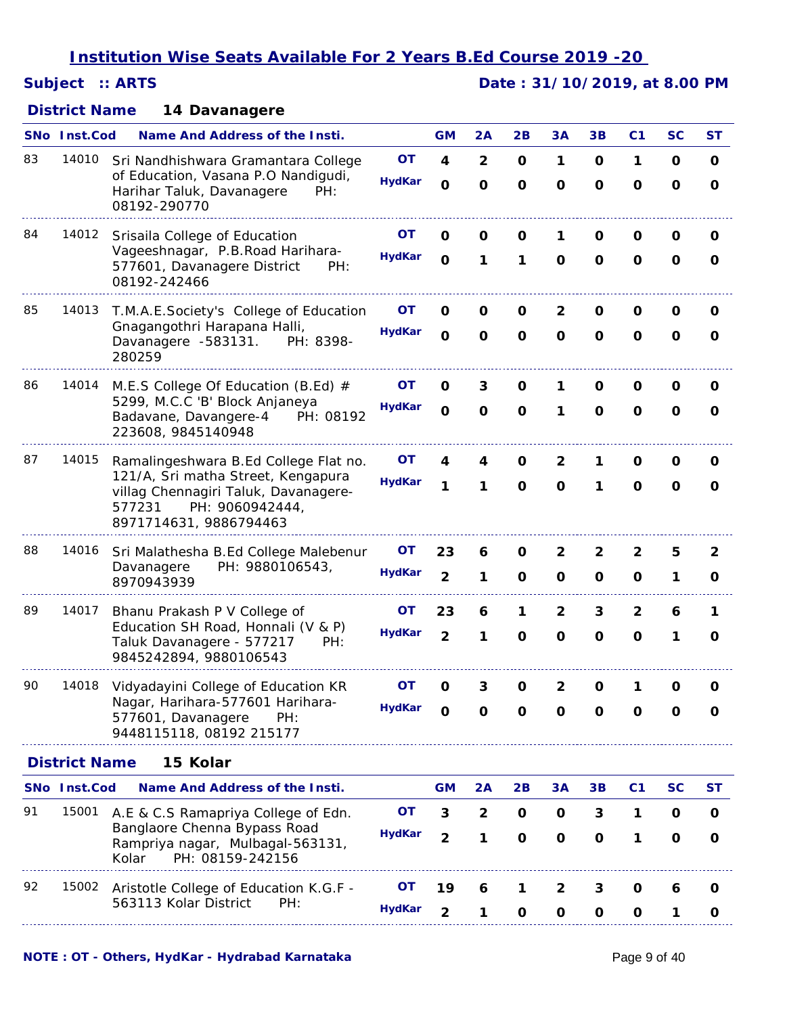## *Subject :: ARTS Date : 31/10/2019, at 8.00 PM*

### **14 Davanagere** *District Name*

|    | SNo Inst.Cod         | <b>Name And Address of the Insti.</b>                                                                                                                                      |                            | <b>GM</b>            | 2A                                      | 2B                          | 3A                           | 3B                           | C <sub>1</sub>              | SC                | ST                |
|----|----------------------|----------------------------------------------------------------------------------------------------------------------------------------------------------------------------|----------------------------|----------------------|-----------------------------------------|-----------------------------|------------------------------|------------------------------|-----------------------------|-------------------|-------------------|
| 83 | 14010                | Sri Nandhishwara Gramantara College<br>of Education, Vasana P.O Nandigudi,<br>Harihar Taluk, Davanagere<br>PH:<br>08192-290770                                             | <b>OT</b><br><b>HydKar</b> | 4<br>$\mathbf{o}$    | $\overline{\mathbf{c}}$<br>$\mathbf{o}$ | $\mathbf 0$<br>$\mathbf{o}$ | 1<br>$\mathbf{o}$            | O<br>$\mathbf{o}$            | 1<br>$\mathbf 0$            | O<br>$\mathbf 0$  | 0<br>$\mathbf{o}$ |
| 84 | 14012                | Srisaila College of Education<br>Vageeshnagar, P.B. Road Harihara-<br>577601, Davanagere District<br>PH:<br>08192-242466                                                   | <b>OT</b><br><b>HydKar</b> | 0<br>$\mathbf{o}$    | O<br>1                                  | $\mathbf 0$<br>1            | 1<br>$\mathbf 0$             | 0<br>$\mathbf{o}$            | O<br>$\mathbf 0$            | 0<br>$\mathbf 0$  | O<br>O            |
| 85 | 14013                | T.M.A.E.Society's College of Education<br>Gnagangothri Harapana Halli,<br>Davanagere -583131.<br>PH: 8398-<br>280259                                                       | OТ<br><b>HydKar</b>        | O<br>$\mathbf 0$     | O<br>$\mathbf 0$                        | O<br>$\mathbf 0$            | 2<br>$\mathbf{o}$            | 0<br>$\mathbf{o}$            | O<br>$\mathbf 0$            | 0<br>$\mathbf 0$  | 0<br>O            |
| 86 | 14014                | M.E.S College Of Education (B.Ed) $#$<br>5299, M.C.C 'B' Block Anjaneya<br>Badavane, Davangere-4<br>PH: 08192<br>223608, 9845140948                                        | OТ<br><b>HydKar</b>        | O<br>$\mathbf 0$     | 3<br>$\mathbf 0$                        | O<br>$\mathbf 0$            | 1<br>1                       | 0<br>$\mathbf{o}$            | 0<br>$\mathbf 0$            | 0<br>$\mathbf 0$  | O<br>0            |
| 87 | 14015                | Ramalingeshwara B.Ed College Flat no.<br>121/A, Sri matha Street, Kengapura<br>villag Chennagiri Taluk, Davanagere-<br>577231<br>PH: 9060942444,<br>8971714631, 9886794463 | OΤ<br><b>HydKar</b>        | 4<br>1               | 4<br>1                                  | 0<br>$\mathbf 0$            | 2<br>$\mathbf{o}$            | 1<br>1                       | O<br>$\mathbf 0$            | O<br>$\mathbf 0$  | 0<br>0            |
| 88 | 14016                | Sri Malathesha B.Ed College Malebenur<br>Davanagere<br>PH: 9880106543,<br>8970943939                                                                                       | OΤ<br><b>HydKar</b>        | 23<br>$\overline{2}$ | 6<br>1                                  | O<br>O                      | $\overline{2}$<br>O          | $\overline{\mathbf{2}}$<br>0 | $\overline{2}$<br>O         | 5<br>1            | 2<br>0            |
| 89 | 14017                | Bhanu Prakash P V College of<br>Education SH Road, Honnali (V & P)<br>Taluk Davanagere - 577217<br>PH:<br>9845242894, 9880106543                                           | OΤ<br><b>HydKar</b>        | 23<br>$\overline{2}$ | 6<br>1                                  | 1<br>$\mathbf 0$            | $\overline{2}$<br>$\Omega$   | 3<br>O                       | $\mathbf{2}$<br>$\mathbf 0$ | 6<br>1            | 1<br>$\Omega$     |
| 90 | 14018                | Vidyadayini College of Education KR<br>Nagar, Harihara-577601 Harihara-<br>577601, Davanagere<br>PH:<br>9448115118, 08192 215177                                           | OT<br><b>HydKar</b>        | O<br>O               | 3<br>O                                  | O<br>O                      | $\overline{\mathbf{2}}$<br>O | $\mathbf{o}$<br>O            | 1<br>O                      | O<br>O            | O<br>0            |
|    | <b>District Name</b> | 15 Kolar                                                                                                                                                                   |                            |                      |                                         |                             |                              |                              |                             |                   |                   |
|    | SNo Inst.Cod         | <b>Name And Address of the Insti.</b>                                                                                                                                      |                            | <b>GM</b>            | 2A                                      | 2B                          | 3A                           | 3B                           | C <sub>1</sub>              | <b>SC</b>         | ST                |
| 91 | 15001                | A.E & C.S Ramapriya College of Edn.<br>Banglaore Chenna Bypass Road<br>Rampriya nagar, Mulbagal-563131,<br>PH: 08159-242156<br>Kolar                                       | OT<br><b>HydKar</b>        | 3<br>$\overline{2}$  | $\overline{2}$<br>1                     | 0<br>$\mathbf{o}$           | 0<br>$\mathbf o$             | 3<br>$\mathbf 0$             | 1<br>1                      | O<br>$\mathbf{o}$ | O<br>O            |
| 92 | 15002                | Aristotle College of Education K.G.F -<br>563113 Kolar District<br>PH:                                                                                                     | OΤ<br><b>HydKar</b>        | 19<br>$\overline{2}$ | 6<br>1                                  | 1<br>O                      | 2<br>O                       | 3<br>O                       | O<br>O                      | 6<br>1            | 0<br>0            |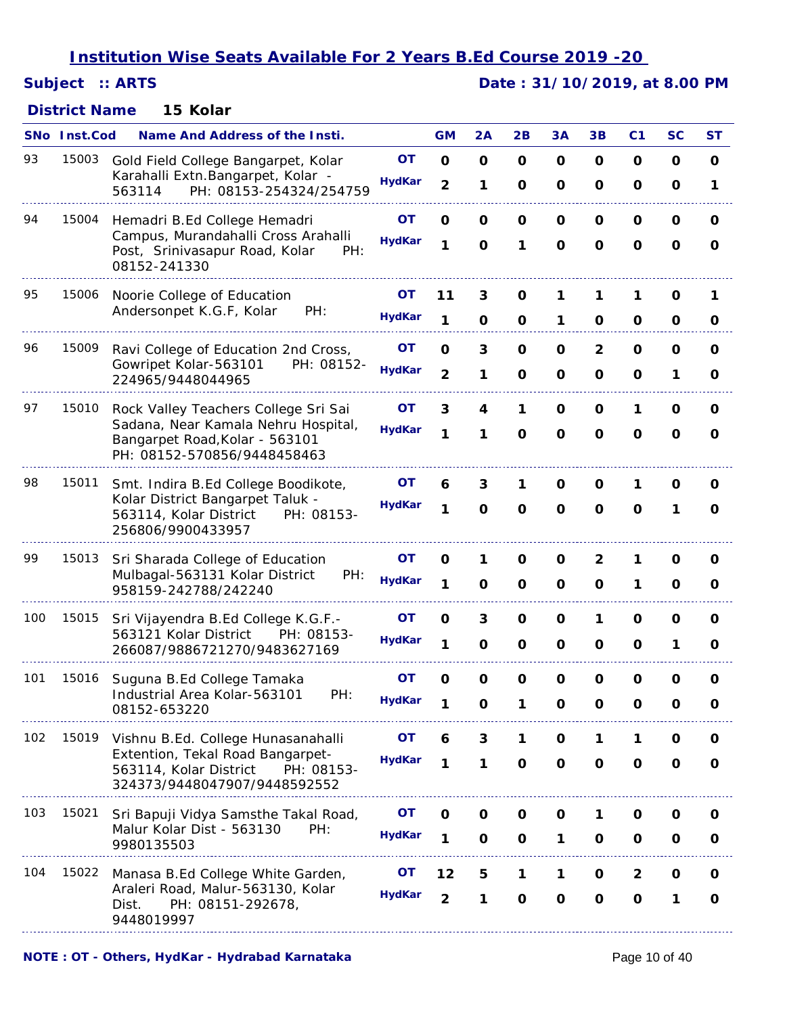## *Subject :: ARTS Date : 31/10/2019, at 8.00 PM*

### **15 Kolar** *District Name*

|     | SNo Inst.Cod | <b>Name And Address of the Insti.</b>                                                                    |               | <b>GM</b>      | 2A           | 2B           | 3А          | 3B             | C <sub>1</sub> | <b>SC</b>    | ST           |
|-----|--------------|----------------------------------------------------------------------------------------------------------|---------------|----------------|--------------|--------------|-------------|----------------|----------------|--------------|--------------|
| 93  | 15003        | Gold Field College Bangarpet, Kolar<br>Karahalli Extn. Bangarpet, Kolar -                                | <b>OT</b>     | $\mathbf 0$    | $\mathbf 0$  | $\mathbf 0$  | O           | O              | O              | O            | $\mathbf{o}$ |
|     |              | PH: 08153-254324/254759<br>563114                                                                        | <b>HydKar</b> | $\overline{2}$ | 1            | $\mathbf 0$  | O           | 0              | 0              | O            | 1            |
| 94  | 15004        | Hemadri B.Ed College Hemadri                                                                             | OΤ            | O              | O            | $\mathbf 0$  | 0           | O              | O              | O            | O            |
|     |              | Campus, Murandahalli Cross Arahalli<br>Post, Srinivasapur Road, Kolar<br>PH:<br>08152-241330             | <b>HydKar</b> | 1              | $\mathbf{o}$ | 1            | $\mathbf 0$ | $\mathbf O$    | O              | O            | O            |
| 95  | 15006        | Noorie College of Education                                                                              | OТ            | 11             | 3            | 0            | 1           | 1              | 1              | O            | 1            |
|     |              | PH:<br>Andersonpet K.G.F, Kolar                                                                          | <b>HydKar</b> | 1              | 0            | O            | 1           | O              | 0              | O            | O            |
| 96  | 15009        | Ravi College of Education 2nd Cross,                                                                     | OT            | $\mathbf 0$    | 3            | $\mathbf 0$  | O           | $\overline{2}$ | O              | O            | O            |
|     |              | Gowripet Kolar-563101<br>PH: 08152-<br>224965/9448044965                                                 | <b>HydKar</b> | $\overline{2}$ | 1            | $\mathbf 0$  | O           | O              | O              | 1            | O            |
| 97  | 15010        | Rock Valley Teachers College Sri Sai                                                                     | OΤ            | 3              | 4            | 1            | O           | O              | 1              | O            | O            |
|     |              | Sadana, Near Kamala Nehru Hospital,<br>Bangarpet Road, Kolar - 563101<br>PH: 08152-570856/9448458463     | <b>HydKar</b> | 1              | 1            | $\mathbf{o}$ | $\mathbf 0$ | $\mathbf 0$    | $\mathbf 0$    | $\mathbf 0$  | $\mathbf 0$  |
| 98  | 15011        | Smt. Indira B.Ed College Boodikote,                                                                      | OΤ            | 6              | 3            | 1            | O           | O              | 1              | O            | 0            |
|     |              | Kolar District Bangarpet Taluk -<br>563114, Kolar District<br>PH: 08153-<br>256806/9900433957            | <b>HydKar</b> | 1              | $\mathbf{o}$ | $\mathbf 0$  | $\mathbf 0$ | $\mathbf{o}$   | $\mathbf 0$    | 1            | $\mathbf 0$  |
| 99  | 15013        | Sri Sharada College of Education                                                                         | OΤ            | O              | 1            | O            | O           | 2              | 1              | 0            | 0            |
|     |              | Mulbagal-563131 Kolar District<br>PH:<br>958159-242788/242240                                            | <b>HydKar</b> | 1              | $\mathbf 0$  | O            | O           | O              | 1              | O            | O            |
| 100 | 15015        | Sri Vijayendra B.Ed College K.G.F.-<br>563121 Kolar District<br>PH: 08153-                               | OТ            | O              | 3            | 0            | O           | 1              | O              | O            | O            |
|     |              | 266087/9886721270/9483627169                                                                             | <b>HydKar</b> | 1              | $\mathbf{o}$ | O            | O           | 0              | O              | 1            | O            |
| 101 | 15016        | Suguna B.Ed College Tamaka                                                                               | <b>OT</b>     | $\mathbf 0$    | O            | $\mathbf 0$  | O           | O              | O              | $\mathbf 0$  | $\mathbf 0$  |
|     |              | Industrial Area Kolar-563101<br>PH:<br>08152-653220                                                      | <b>HydKar</b> |                | $\mathbf 0$  |              | $\mathbf 0$ | $\mathbf{o}$   | $\mathbf 0$    | $\mathbf{o}$ | 0            |
| 102 |              | 15019 Vishnu B.Ed. College Hunasanahalli                                                                 | <b>OT</b>     | 6              | 3            | 1            | 0           | 1              | 1              | O            | O            |
|     |              | Extention, Tekal Road Bangarpet-<br>563114, Kolar District<br>PH: 08153-<br>324373/9448047907/9448592552 | <b>HydKar</b> | 1              | 1            | $\mathbf{o}$ | $\mathbf o$ | $\mathbf{o}$   | $\mathbf 0$    | $\mathbf{o}$ | $\mathbf 0$  |
| 103 | 15021        | Sri Bapuji Vidya Samsthe Takal Road,                                                                     | OΤ            | O              | 0            | O            | O           | 1              | 0              | 0            | O            |
|     |              | Malur Kolar Dist - 563130<br>PH:<br>9980135503                                                           | <b>HydKar</b> | 1              | $\mathbf 0$  | $\mathbf 0$  | 1           | O              | O              | O            | $\mathbf{o}$ |
| 104 | 15022        | Manasa B.Ed College White Garden,                                                                        | OТ            | 12             | 5            | 1            | 1           | 0              | 2              | 0            | O            |
|     |              | Araleri Road, Malur-563130, Kolar<br>PH: 08151-292678,<br>Dist.<br>9448019997                            | <b>HydKar</b> | $\overline{2}$ | 1            | $\mathbf 0$  | $\mathbf 0$ | $\mathbf{o}$   | O              | 1            | O            |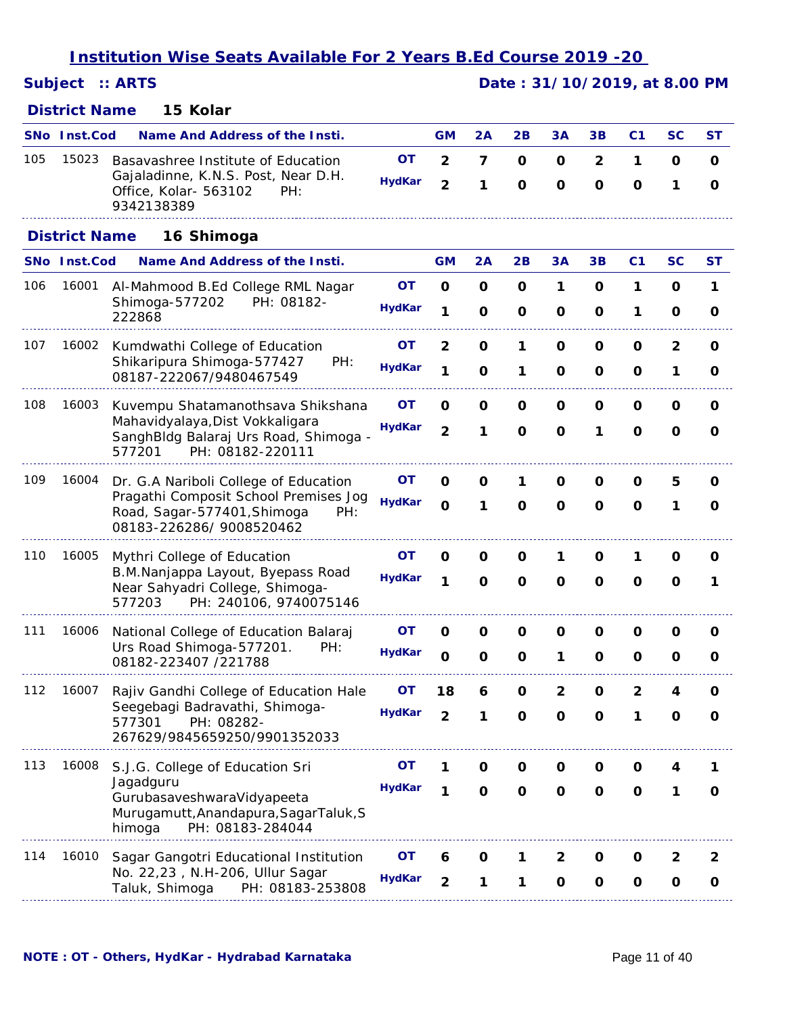| Subject |  | :: <b>ARTS</b> |  |
|---------|--|----------------|--|
|---------|--|----------------|--|

## *Subject :: ARTS Date : 31/10/2019, at 8.00 PM*

### **15 Kolar** *District Name*

|     | <b>SNo Inst.Cod</b>  | <b>Name And Address of the Insti.</b>                                                                                   |                     | <b>GM</b>                        | 2A                         | 2B                | 3A                | 3B                           | C <sub>1</sub>   | <b>SC</b>     | ST                |
|-----|----------------------|-------------------------------------------------------------------------------------------------------------------------|---------------------|----------------------------------|----------------------------|-------------------|-------------------|------------------------------|------------------|---------------|-------------------|
| 105 | 15023                | Basavashree Institute of Education<br>Gajaladinne, K.N.S. Post, Near D.H.<br>Office, Kolar- 563102<br>PH:<br>9342138389 | ΟT<br><b>HydKar</b> | $\overline{2}$<br>$\overline{2}$ | 7<br>1                     | O<br>$\mathbf{o}$ | 0<br>$\mathbf{o}$ | $\mathbf{2}$<br>$\mathbf{o}$ | 1<br>$\mathbf 0$ | O<br>1        | 0<br>O            |
|     | <b>District Name</b> | 16 Shimoga                                                                                                              |                     |                                  |                            |                   |                   |                              |                  |               |                   |
|     | <b>SNo</b> Inst.Cod  | <b>Name And Address of the Insti.</b>                                                                                   |                     | <b>GM</b>                        | 2A                         | 2B                | 3A                | 3B                           | C <sub>1</sub>   | SC            | ST                |
| 106 | 16001                | Al-Mahmood B.Ed College RML Nagar<br>Shimoga-577202<br>PH: 08182-<br>222868                                             | ΟT<br><b>HydKar</b> | $\mathbf 0$<br>1                 | $\mathbf 0$<br>$\mathbf 0$ | O<br>$\mathbf 0$  | 1<br>O            | 0<br>$\Omega$                | 1<br>1           | O<br>$\Omega$ | $\mathbf{1}$<br>O |
| 107 | 16002                | Kumdwathi College of Education                                                                                          | ΟT                  | $\mathbf{2}$                     | $\mathbf 0$                | 1                 | O                 | O                            | O                | $\mathbf{2}$  | O                 |
|     |                      | Shikaripura Shimoga-577427<br>PH:<br>08187-222067/9480467549                                                            | <b>HydKar</b>       | 1                                | $\mathbf 0$                | 1                 | O                 | O                            | $\mathbf 0$      | 1             | O                 |
| 108 | 16003                | Kuvempu Shatamanothsava Shikshana                                                                                       | OΤ                  | $\mathbf 0$                      | 0                          | $\mathbf 0$       | O                 | O                            | 0                | O             | O                 |
|     |                      | Mahavidyalaya, Dist Vokkaligara<br>SanghBldg Balaraj Urs Road, Shimoga -<br>PH: 08182-220111<br>577201                  | <b>HydKar</b>       | $\overline{2}$                   | 1                          | $\mathbf{o}$      | $\mathbf{o}$      | 1                            | $\mathbf{o}$     | $\mathbf{o}$  | O                 |
| 109 | 16004                | Dr. G.A Nariboli College of Education                                                                                   | OΤ                  | O                                | 0                          | 1                 | O                 | 0                            | 0                | 5             | O                 |
|     |                      | Pragathi Composit School Premises Jog<br>Road, Sagar-577401, Shimoga<br>PH:<br>08183-226286/9008520462                  | <b>HydKar</b>       | $\mathbf 0$                      | 1                          | $\mathbf{o}$      | $\mathbf{o}$      | $\mathbf{o}$                 | $\mathbf{o}$     | 1             | O                 |
| 110 | 16005                | Mythri College of Education                                                                                             | ΟT                  | O                                | 0                          | O                 | 1                 | 0                            | 1                | O             | 0                 |
|     |                      | B.M.Nanjappa Layout, Byepass Road<br>Near Sahyadri College, Shimoga-<br>PH: 240106, 9740075146<br>577203                | <b>HydKar</b>       | 1                                | $\mathbf 0$                | $\mathbf{o}$      | $\mathbf{o}$      | $\mathbf{o}$                 | O                | O             | 1                 |
| 111 | 16006                | National College of Education Balaraj                                                                                   | OΤ                  | O                                | O                          | O                 | O                 | 0                            | 0                | 0             | O                 |
|     |                      | Urs Road Shimoga-577201.<br>PH:<br>08182-223407 /221788                                                                 | <b>HydKar</b>       | $\mathbf 0$                      | $\mathbf 0$                | $\mathbf 0$       | 1                 | O                            | 0                | O             | 0                 |
| 112 | 16007                | Rajiv Gandhi College of Education Hale                                                                                  | <b>OT</b>           | 18                               | 6                          | 0                 | 2                 | $\mathbf{o}$                 | $\overline{2}$   | 4             | 0                 |
|     |                      | Seegebagi Badravathi, Shimoga-<br>577301<br>PH: 08282-<br>267629/9845659250/9901352033                                  | <b>HydKar</b>       | $\overline{2}$                   | 1                          | 0                 | 0                 | 0                            | 1                | O             | O                 |
| 113 | 16008                | S.J.G. College of Education Sri                                                                                         | OΤ                  | 1                                | O                          | O                 | O                 | 0                            | 0                | 4             |                   |
|     |                      | Jagadguru<br>GurubasaveshwaraVidyapeeta<br>Murugamutt, Anandapura, SagarTaluk, S<br>PH: 08183-284044<br>himoga          | <b>HydKar</b>       | 1                                | $\mathbf{o}$               | $\mathbf{o}$      | $\mathbf o$       | $\mathbf o$                  | $\mathbf 0$      | 1             | O                 |
| 114 | 16010                | Sagar Gangotri Educational Institution                                                                                  | OΤ                  | 6                                | O                          | 1                 | 2                 | 0                            | O                | 2             | 2                 |
|     |                      | No. 22,23, N.H-206, Ullur Sagar<br>Taluk, Shimoga<br>PH: 08183-253808                                                   | <b>HydKar</b>       | $\overline{2}$                   | 1                          | 1                 | O                 | O                            | 0                | O             | O                 |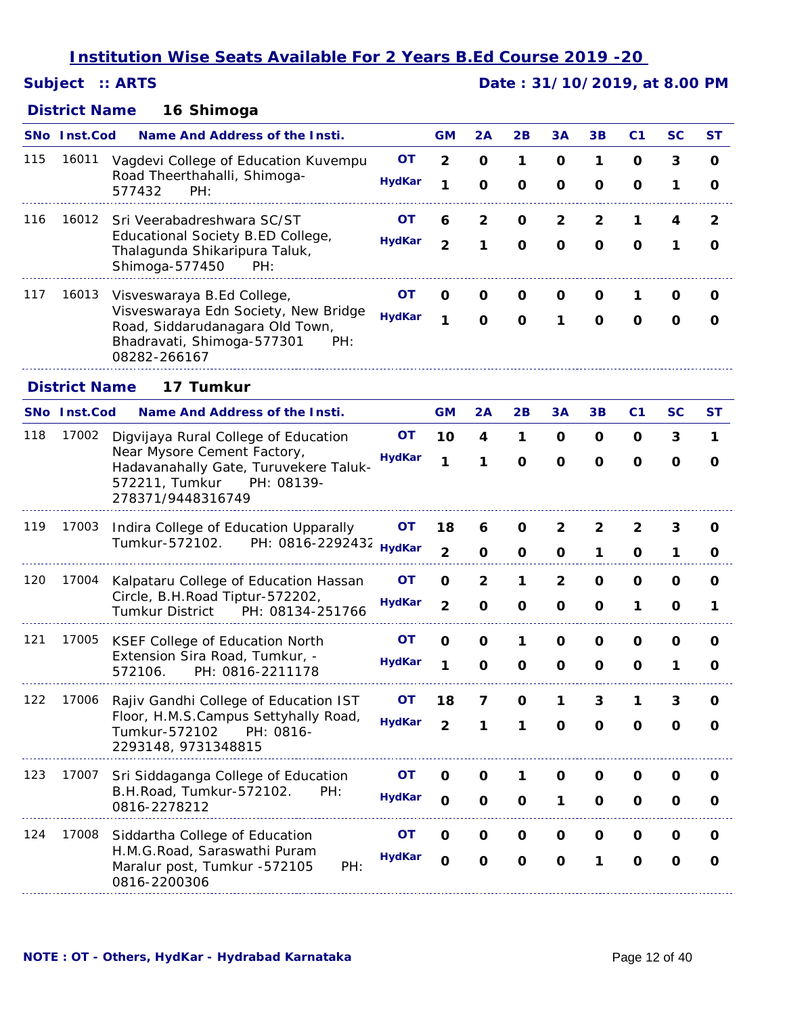## *Subject :: ARTS Date : 31/10/2019, at 8.00 PM*

### **16 Shimoga** *District Name*

|     | SNo Inst.Cod         | Name And Address of the Insti.                                                                                                                                    |                            | <b>GM</b>                    | 2Α                          | 2В                           | 3А                            | 3В                          | C1                | SC               | <b>ST</b>         |
|-----|----------------------|-------------------------------------------------------------------------------------------------------------------------------------------------------------------|----------------------------|------------------------------|-----------------------------|------------------------------|-------------------------------|-----------------------------|-------------------|------------------|-------------------|
| 115 | 16011                | Vagdevi College of Education Kuvempu<br>Road Theerthahalli, Shimoga-<br>577432<br>PH:                                                                             | <b>OT</b><br><b>HydKar</b> | $\overline{2}$<br>1          | $\mathbf 0$<br>O            | 1<br>O                       | O<br>O                        | 1<br>O                      | 0<br>0            | 3<br>1           | O<br>O            |
| 116 | 16012                | Sri Veerabadreshwara SC/ST<br>Educational Society B.ED College,<br>Thalagunda Shikaripura Taluk,<br>Shimoga-577450<br>PH:                                         | OΤ<br><b>HydKar</b>        | 6<br>2                       | $\overline{2}$<br>1         | $\mathbf 0$<br>$\mathbf 0$   | $\overline{2}$<br>$\mathbf 0$ | $\mathbf{2}$<br>$\mathbf 0$ | 1<br>O            | 4<br>1           | $\mathbf{2}$<br>0 |
| 117 | 16013                | Visveswaraya B.Ed College,<br>Visveswaraya Edn Society, New Bridge<br>Road, Siddarudanagara Old Town,<br>Bhadravati, Shimoga-577301<br>PH:<br>08282-266167        | OΤ<br><b>HydKar</b>        | O<br>1                       | 0<br>O                      | O<br>O                       | 0<br>1                        | O<br>O                      | 1<br>O            | 0<br>O           | 0<br>0            |
|     | <b>District Name</b> | 17 Tumkur                                                                                                                                                         |                            |                              |                             |                              |                               |                             |                   |                  |                   |
|     | <b>SNo</b> Inst.Cod  | <b>Name And Address of the Insti.</b>                                                                                                                             |                            | <b>GM</b>                    | 2A                          | 2B                           | 3A                            | 3В                          | C <sub>1</sub>    | SC               | <b>ST</b>         |
| 118 | 17002                | Digvijaya Rural College of Education<br>Near Mysore Cement Factory,<br>Hadavanahally Gate, Turuvekere Taluk-<br>572211, Tumkur<br>PH: 08139-<br>278371/9448316749 | OТ<br><b>HydKar</b>        | 10<br>1                      | 4<br>1                      | 1<br>O                       | O<br>$\mathbf 0$              | 0<br>$\mathbf 0$            | 0<br>O            | 3<br>$\mathbf 0$ | 1<br>0            |
| 119 | 17003                | Indira College of Education Upparally<br>Tumkur-572102.<br>PH: 0816-2292432 HydKar                                                                                | OΤ                         | 18<br>$\overline{2}$         | 6<br>0                      | O<br>O                       | 2<br>0                        | 2<br>1                      | 2<br>0            | 3<br>1           | O<br>0            |
| 120 | 17004                | Kalpataru College of Education Hassan<br>Circle, B.H.Road Tiptur-572202,<br>Tumkur District<br>PH: 08134-251766                                                   | OΤ<br><b>HydKar</b>        | 0<br>$\overline{2}$          | $\mathbf{2}$<br>$\mathbf 0$ | 1<br>O                       | $\mathbf{2}$<br>0             | O<br>0                      | O<br>1            | O<br>O           | O<br>1            |
| 121 | 17005                | <b>KSEF College of Education North</b><br>Extension Sira Road, Tumkur, -<br>PH: 0816-2211178<br>572106.                                                           | OΤ<br><b>HydKar</b>        | O<br>1                       | O<br>$\mathbf 0$            | 1<br>0                       | O<br>0                        | O<br>0                      | O<br>0            | O<br>1           | 0<br>0            |
| 122 | 17006                | Rajiv Gandhi College of Education IST<br>Floor, H.M.S.Campus Settyhally Road,<br>Tumkur-572102<br>PH: 0816-<br>2293148, 9731348815                                | OT<br><b>HydKar</b>        | 18<br>$\overline{2}$         | 7<br>1                      | $\mathbf 0$<br>1             | $\mathbf o$                   | 3<br>O                      | O                 | 3<br>0           | 0<br>0            |
| 123 | 17007                | Sri Siddaganga College of Education<br>B.H.Road, Tumkur-572102.<br>PH:<br>0816-2278212                                                                            | OT<br><b>HydKar</b>        | O<br>$\mathbf{o}$            | O<br>$\mathbf o$            | 1<br>O                       | O<br>1                        | O<br>O                      | O<br>O            | O<br>O           | O<br>0            |
| 124 | 17008                | Siddartha College of Education<br>H.M.G.Road, Saraswathi Puram<br>Maralur post, Tumkur -572105<br>PH:<br>0816-2200306                                             | OТ<br><b>HydKar</b>        | $\mathbf{o}$<br>$\mathbf{o}$ | $\mathbf o$<br>$\mathbf{o}$ | $\mathbf{o}$<br>$\mathbf{o}$ | O<br>$\mathbf o$              | O<br>1                      | 0<br>$\mathbf{o}$ | O<br>$\mathbf 0$ | O<br>$\mathbf{o}$ |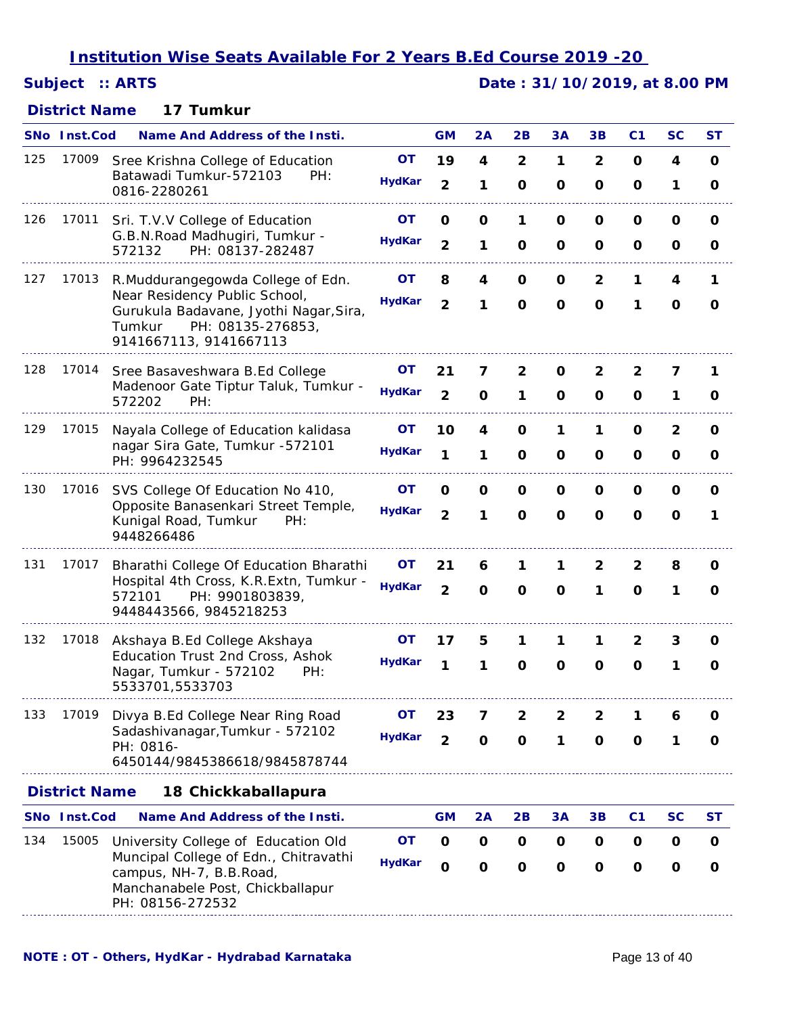## *Subject :: ARTS Date : 31/10/2019, at 8.00 PM*

### **17 Tumkur** *District Name*

|     | <b>SNo</b> Inst.Cod                         | <b>Name And Address of the Insti.</b>                                                                                                                                 |                            | <b>GM</b>                     | 2A                          | 2B                             | 3A                          | 3B                            | C <sub>1</sub>              | <b>SC</b>                  | ST            |
|-----|---------------------------------------------|-----------------------------------------------------------------------------------------------------------------------------------------------------------------------|----------------------------|-------------------------------|-----------------------------|--------------------------------|-----------------------------|-------------------------------|-----------------------------|----------------------------|---------------|
| 125 | 17009                                       | Sree Krishna College of Education<br>Batawadi Tumkur-572103<br>PH:<br>0816-2280261                                                                                    | <b>OT</b><br><b>HydKar</b> | 19<br>$\overline{2}$          | 4<br>1                      | $\overline{2}$<br>$\mathbf{o}$ | 1<br>$\mathbf 0$            | $\overline{2}$<br>$\mathbf o$ | $\mathbf 0$<br>O            | 4<br>1                     | O<br>0        |
| 126 | 17011                                       | Sri. T.V.V College of Education<br>G.B.N. Road Madhugiri, Tumkur -<br>572132<br>PH: 08137-282487                                                                      | <b>OT</b><br><b>HydKar</b> | $\mathbf 0$<br>$\overline{2}$ | $\mathbf 0$<br>1            | 1<br>$\mathbf 0$               | $\mathbf 0$<br>$\mathbf 0$  | O<br>O                        | O<br>O                      | O<br>O                     | O<br>0        |
| 127 | 17013                                       | R.Muddurangegowda College of Edn.<br>Near Residency Public School,<br>Gurukula Badavane, Jyothi Nagar, Sira,<br>Tumkur<br>PH: 08135-276853,<br>9141667113, 9141667113 | OΤ<br><b>HydKar</b>        | 8<br>$\overline{2}$           | 4<br>1                      | O<br>$\mathbf 0$               | O<br>$\mathbf 0$            | $\overline{2}$<br>$\mathbf 0$ | 1<br>1                      | 4<br>O                     | 1<br>O        |
| 128 | 17014                                       | Sree Basaveshwara B.Ed College<br>Madenoor Gate Tiptur Taluk, Tumkur -<br>572202<br>PH:                                                                               | OT<br><b>HydKar</b>        | 21<br>$\overline{2}$          | 7<br>$\mathbf 0$            | 2<br>1                         | O<br>$\mathbf 0$            | 2<br>O                        | 2<br>0                      | 7<br>1                     | 1<br>0        |
| 129 | 17015                                       | Nayala College of Education kalidasa<br>nagar Sira Gate, Tumkur -572101<br>PH: 9964232545                                                                             | OΤ<br><b>HydKar</b>        | 10<br>1                       | 4<br>1                      | $\mathbf 0$<br>O               | 1<br>$\mathbf 0$            | 1<br>O                        | O<br>O                      | $\mathbf{2}$<br>O          | O<br>O        |
| 130 | 17016                                       | SVS College Of Education No 410,<br>Opposite Banasenkari Street Temple,<br>Kunigal Road, Tumkur<br>PH:<br>9448266486                                                  | <b>OT</b><br><b>HydKar</b> | O<br>$\overline{2}$           | $\mathbf 0$<br>1            | $\mathbf 0$<br>$\mathbf 0$     | $\mathbf 0$<br>$\mathbf 0$  | O<br>$\mathbf 0$              | O<br>$\mathbf 0$            | $\mathbf 0$<br>$\mathbf 0$ | O<br>1        |
| 131 | 17017                                       | Bharathi College Of Education Bharathi<br>Hospital 4th Cross, K.R.Extn, Tumkur -<br>PH: 9901803839,<br>572101<br>9448443566, 9845218253                               | OТ<br><b>HydKar</b>        | 21<br>$\overline{2}$          | 6<br>$\mathbf 0$            | 1<br>$\mathbf 0$               | 1<br>$\mathbf 0$            | 2<br>1                        | $\mathbf{2}$<br>$\Omega$    | 8<br>1                     | 0<br>$\Omega$ |
| 132 | 17018                                       | Akshaya B.Ed College Akshaya<br>Education Trust 2nd Cross, Ashok<br>Nagar, Tumkur - 572102<br>PH:<br>5533701,5533703                                                  | OΤ<br><b>HydKar</b>        | 17<br>1                       | 5<br>1                      | 1<br>$\mathbf 0$               | 1<br>$\mathbf 0$            | 1<br>$\Omega$                 | 2<br>O                      | 3<br>1                     | O<br>0        |
| 133 | 17019                                       | Divya B.Ed College Near Ring Road<br>Sadashivanagar, Tumkur - 572102<br>PH: 0816-<br>6450144/9845386618/9845878744                                                    | OT<br><b>HydKar</b>        | 23<br>$\overline{2}$          | 7<br>$\mathbf 0$            | $\overline{2}$<br>$\mathbf 0$  | 2<br>1                      | 2<br>$\mathbf 0$              | 1<br>$\mathbf 0$            | 6<br>1                     | O<br>O        |
|     | <b>District Name</b><br>18 Chickkaballapura |                                                                                                                                                                       |                            |                               |                             |                                |                             |                               |                             |                            |               |
|     | SNo Inst.Cod                                | <b>Name And Address of the Insti.</b>                                                                                                                                 |                            | <b>GM</b>                     | 2A                          | 2B                             | 3A                          | 3B                            | C <sub>1</sub>              | <b>SC</b>                  | ST            |
| 134 | 15005                                       | University College of Education Old<br>Muncipal College of Edn., Chitravathi<br>campus, NH-7, B.B.Road,<br>Manchanabele Post, Chickballapur<br>PH: 08156-272532       | <b>OT</b><br><b>HydKar</b> | $\mathbf 0$<br>$\mathbf{o}$   | $\mathbf 0$<br>$\mathbf{o}$ | $\mathbf 0$<br>$\mathbf{o}$    | $\mathbf 0$<br>$\mathbf{o}$ | O<br>$\mathbf{o}$             | $\mathbf 0$<br>$\mathbf{o}$ | O<br>$\mathbf{o}$          | O<br>O        |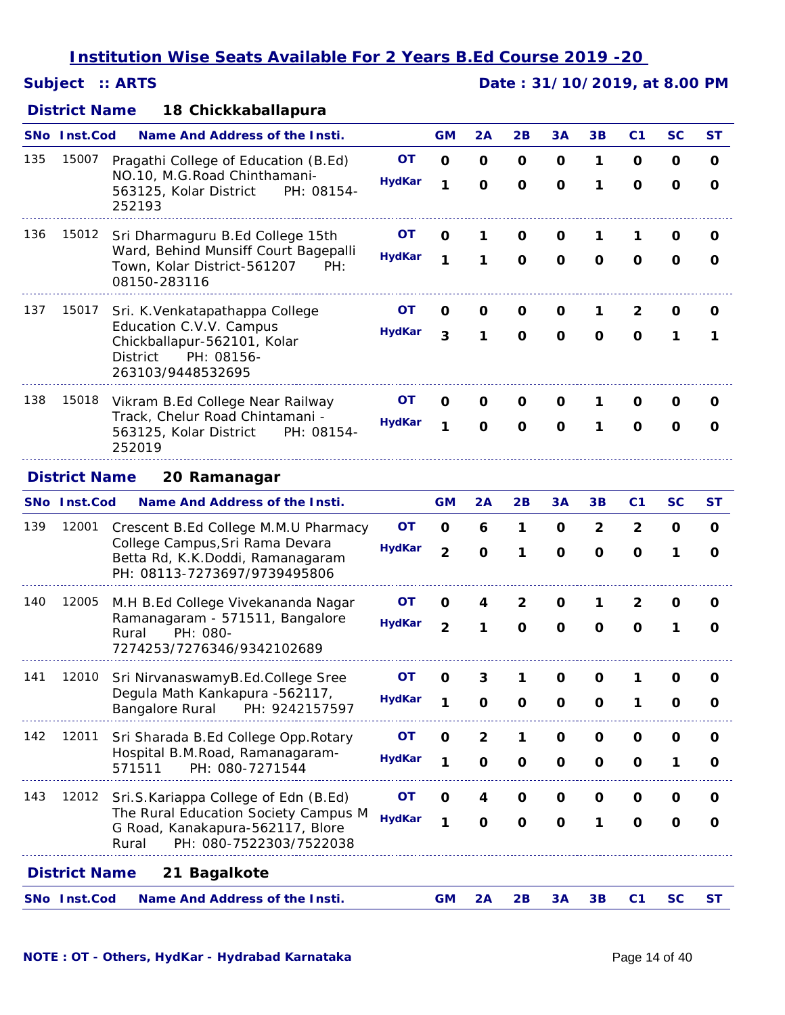## *Subject :: ARTS Date : 31/10/2019, at 8.00 PM*

### **18 Chickkaballapura** *District Name*

|     | SNo Inst.Cod         | <b>Name And Address of the Insti.</b>                                                                        |               | <b>GM</b>      | 2A             | 2B           | 3A           | 3B             | C <sub>1</sub> | <b>SC</b>    | ST           |
|-----|----------------------|--------------------------------------------------------------------------------------------------------------|---------------|----------------|----------------|--------------|--------------|----------------|----------------|--------------|--------------|
| 135 | 15007                | Pragathi College of Education (B.Ed)                                                                         | OT            | $\mathbf 0$    | O              | 0            | 0            | 1              | 0              | 0            | 0            |
|     |                      | NO.10, M.G.Road Chinthamani-<br>563125, Kolar District<br>PH: 08154-<br>252193                               | <b>HydKar</b> | 1              | $\mathbf{o}$   | $\mathbf 0$  | $\mathbf{o}$ | 1              | $\mathbf{o}$   | $\mathbf 0$  | O            |
| 136 | 15012                | Sri Dharmaguru B.Ed College 15th                                                                             | OT            | 0              | 1              | 0            | O            | 1              | 1              | O            | O            |
|     |                      | Ward, Behind Munsiff Court Bagepalli<br>Town, Kolar District-561207<br>PH:<br>08150-283116                   | <b>HydKar</b> | 1              | 1              | $\mathbf 0$  | $\mathbf{o}$ | $\mathbf{o}$   | $\mathbf{o}$   | $\mathbf 0$  | O            |
| 137 | 15017                | Sri. K. Venkatapathappa College                                                                              | OΤ            | 0              | O              | O            | 0            | 1              | 2              | 0            | O            |
|     |                      | Education C.V.V. Campus<br>Chickballapur-562101, Kolar<br>PH: 08156-<br>District<br>263103/9448532695        | <b>HydKar</b> | 3              | 1              | $\mathbf 0$  | $\mathbf{o}$ | O              | O              | 1            | 1            |
| 138 | 15018                | Vikram B.Ed College Near Railway                                                                             | OT            | 0              | O              | O            | 0            | 1              | 0              | O            | 0            |
|     |                      | Track, Chelur Road Chintamani -<br>563125, Kolar District<br>PH: 08154-<br>252019                            | <b>HydKar</b> | 1              | $\mathbf{o}$   | $\mathbf{o}$ | $\mathbf o$  | 1              | $\mathbf 0$    | $\mathbf 0$  | O            |
|     | <b>District Name</b> | 20 Ramanagar                                                                                                 |               |                |                |              |              |                |                |              |              |
|     | <b>SNo Inst.Cod</b>  | <b>Name And Address of the Insti.</b>                                                                        |               | <b>GM</b>      | 2A             | 2B           | 3A           | 3B             | C <sub>1</sub> | SC           | <b>ST</b>    |
| 139 | 12001                | Crescent B.Ed College M.M.U Pharmacy                                                                         | <b>OT</b>     | O              | 6              | 1            | 0            | $\overline{2}$ | $\overline{2}$ | O            | $\mathbf{o}$ |
|     |                      | College Campus, Sri Rama Devara<br>Betta Rd, K.K.Doddi, Ramanagaram<br>PH: 08113-7273697/9739495806          | <b>HydKar</b> | $\overline{2}$ | $\mathbf 0$    | 1            | $\mathbf{o}$ | $\mathbf 0$    | O              | 1            | O            |
| 140 | 12005                | M.H B.Ed College Vivekananda Nagar                                                                           | <b>OT</b>     | O              | 4              | 2            | 0            | 1              | 2              | 0            | 0            |
|     |                      | Ramanagaram - 571511, Bangalore<br>PH: 080-<br>Rural<br>7274253/7276346/9342102689                           | <b>HydKar</b> | $\overline{2}$ | 1              | $\mathbf 0$  | $\mathbf{o}$ | O              | $\mathbf 0$    | 1            | $\mathbf 0$  |
| 141 | 12010                | Sri NirvanaswamyB.Ed.College Sree                                                                            | OΤ            | 0              | 3              | 1            | 0            | 0              | 1              | O            | 0            |
|     |                      | Degula Math Kankapura -562117,<br>Bangalore Rural<br>PH: 9242157597                                          | <b>HydKar</b> | 1              | $\mathbf 0$    | $\mathbf{o}$ | $\mathbf o$  | $\mathbf o$    | 1              | $\mathbf{o}$ | O            |
| 142 | 12011                | Sri Sharada B.Ed College Opp.Rotary<br>Hospital B.M.Road, Ramanagaram-                                       | OT            | $\mathbf{o}$   | $\overline{2}$ | 1            | $\mathbf o$  | $\mathbf o$    | $\mathbf{o}$   | $\mathbf{o}$ | O            |
|     |                      | PH: 080-7271544<br>571511                                                                                    | <b>HydKar</b> | 1              | $\mathbf{o}$   | $\mathbf{o}$ | $\mathbf{o}$ | $\mathbf{o}$   | O              | 1            | O            |
| 143 | 12012                | Sri.S. Kariappa College of Edn (B.Ed)                                                                        | <b>OT</b>     | $\mathbf 0$    | 4              | $\mathbf 0$  | O            | O              | O              | O            | O            |
|     |                      | The Rural Education Society Campus M<br>G Road, Kanakapura-562117, Blore<br>PH: 080-7522303/7522038<br>Rural | <b>HydKar</b> | 1              | $\mathbf{o}$   | $\mathbf 0$  | $\mathbf 0$  | 1              | $\mathbf{o}$   | $\mathbf 0$  | $\mathbf{o}$ |
|     | <b>District Name</b> | 21 Bagalkote                                                                                                 |               |                |                |              |              |                |                |              |              |
|     | SNo Inst.Cod         | <b>Name And Address of the Insti.</b>                                                                        |               | <b>GM</b>      | 2A             | 2B           | 3A           | 3B             | C <sub>1</sub> | <b>SC</b>    | ST           |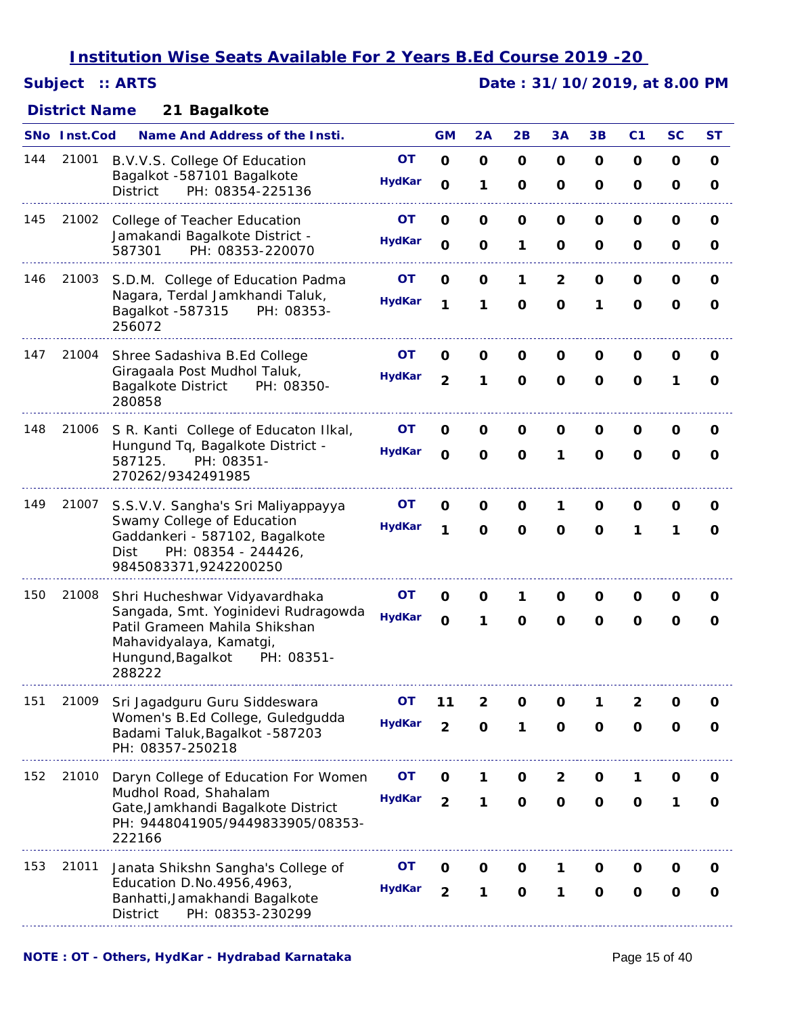## *Subject :: ARTS Date : 31/10/2019, at 8.00 PM*

### **21 Bagalkote** *District Name*

|     | <b>SNo</b> Inst.Cod | <b>Name And Address of the Insti.</b>                                                                                                                                         |                            | <b>GM</b>                  | 2A                         | 2B                          | 3A                            | 3B               | C <sub>1</sub>   | <b>SC</b>        | <b>ST</b>                  |
|-----|---------------------|-------------------------------------------------------------------------------------------------------------------------------------------------------------------------------|----------------------------|----------------------------|----------------------------|-----------------------------|-------------------------------|------------------|------------------|------------------|----------------------------|
| 144 | 21001               | B.V.V.S. College Of Education<br>Bagalkot -587101 Bagalkote<br><b>District</b><br>PH: 08354-225136                                                                            | <b>OT</b><br><b>HydKar</b> | $\mathbf 0$<br>$\mathbf 0$ | $\mathbf 0$<br>1           | $\mathbf 0$<br>$\mathbf{o}$ | $\mathbf 0$<br>O              | $\mathbf 0$<br>O | 0<br>$\mathbf 0$ | O<br>O           | $\mathbf 0$<br>O           |
| 145 | 21002               | College of Teacher Education<br>Jamakandi Bagalkote District -<br>PH: 08353-220070<br>587301                                                                                  | ΟT<br><b>HydKar</b>        | $\mathbf 0$<br>$\mathbf 0$ | $\mathbf 0$<br>$\mathbf 0$ | $\mathbf{o}$<br>1           | $\mathbf{o}$<br>O             | $\mathbf 0$<br>O | $\mathbf 0$<br>O | O<br>O           | 0<br>O                     |
| 146 | 21003               | S.D.M. College of Education Padma<br>Nagara, Terdal Jamkhandi Taluk,<br>Bagalkot -587315<br>PH: 08353-<br>256072                                                              | OΤ<br><b>HydKar</b>        | 0<br>1                     | $\mathbf{o}$<br>1          | 1<br>$\mathbf{o}$           | $\overline{2}$<br>$\mathbf 0$ | O<br>1           | O<br>$\mathbf 0$ | O<br>$\mathbf 0$ | O<br>0                     |
| 147 | 21004               | Shree Sadashiva B.Ed College<br>Giragaala Post Mudhol Taluk,<br><b>Bagalkote District</b><br>PH: 08350-<br>280858                                                             | OΤ<br><b>HydKar</b>        | O<br>$\overline{2}$        | O<br>1                     | 0<br>$\mathbf 0$            | 0<br>$\mathbf{o}$             | O<br>$\mathbf 0$ | O<br>$\Omega$    | O<br>1           | O<br>0                     |
| 148 | 21006               | S R. Kanti College of Educaton Ilkal,<br>Hungund Tq, Bagalkote District -<br>PH: 08351-<br>587125.<br>270262/9342491985                                                       | OΤ<br><b>HydKar</b>        | O<br>$\mathbf 0$           | O<br>$\mathbf 0$           | O<br>$\mathbf{o}$           | O<br>1                        | 0<br>$\Omega$    | 0<br>$\mathbf 0$ | 0<br>$\mathbf 0$ | 0<br>O                     |
| 149 | 21007               | S.S.V.V. Sangha's Sri Maliyappayya<br>Swamy College of Education<br>Gaddankeri - 587102, Bagalkote<br>PH: 08354 - 244426,<br>Dist<br>9845083371,9242200250                    | ΟT<br><b>HydKar</b>        | O<br>1                     | O<br>$\mathbf 0$           | O<br>$\mathbf 0$            | 1<br>$\Omega$                 | O<br>$\mathbf 0$ | O<br>1           | 0<br>1           | 0<br>$\mathbf 0$           |
| 150 | 21008               | Shri Hucheshwar Vidyavardhaka<br>Sangada, Smt. Yoginidevi Rudragowda<br>Patil Grameen Mahila Shikshan<br>Mahavidyalaya, Kamatgi,<br>Hungund, Bagalkot<br>PH: 08351-<br>288222 | ΟT<br><b>HydKar</b>        | O<br>$\mathbf 0$           | O<br>1                     | 1<br>O                      | O<br>$\mathbf 0$              | O<br>O           | O<br>$\mathbf 0$ | 0<br>O           | 0<br>0                     |
| 151 | 21009               | Sri Jagadguru Guru Siddeswara<br>Women's B.Ed College, Guledgudda<br>Badami Taluk, Bagalkot -587203<br>PH: 08357-250218                                                       | ΟT<br><b>HydKar</b>        | 11<br>$\overline{2}$       | 2<br>$\mathbf{o}$          | $\mathbf{o}$<br>1           | 0<br>$\mathbf{o}$             | O                | 2<br>O           | O<br>$\mathbf 0$ | 0<br>O                     |
| 152 | 21010               | Daryn College of Education For Women<br>Mudhol Road, Shahalam<br>Gate, Jamkhandi Bagalkote District<br>PH: 9448041905/9449833905/08353-<br>222166                             | OТ<br><b>HydKar</b>        | 0<br>$\overline{2}$        | 1<br>1                     | O<br>$\mathbf{o}$           | 2<br>0                        | O<br>$\mathbf 0$ | 1<br>O           | O<br>1           | 0<br>$\mathbf{o}$          |
| 153 | 21011               | Janata Shikshn Sangha's College of<br>Education D.No.4956,4963,<br>Banhatti, Jamakhandi Bagalkote<br>PH: 08353-230299<br>District                                             | OТ<br><b>HydKar</b>        | O<br>$\overline{2}$        | O<br>1                     | O<br>$\mathbf 0$            | 1                             | Ő<br>$\mathbf 0$ | O<br>$\mathbf 0$ | O<br>O           | $\mathbf o$<br>$\mathbf 0$ |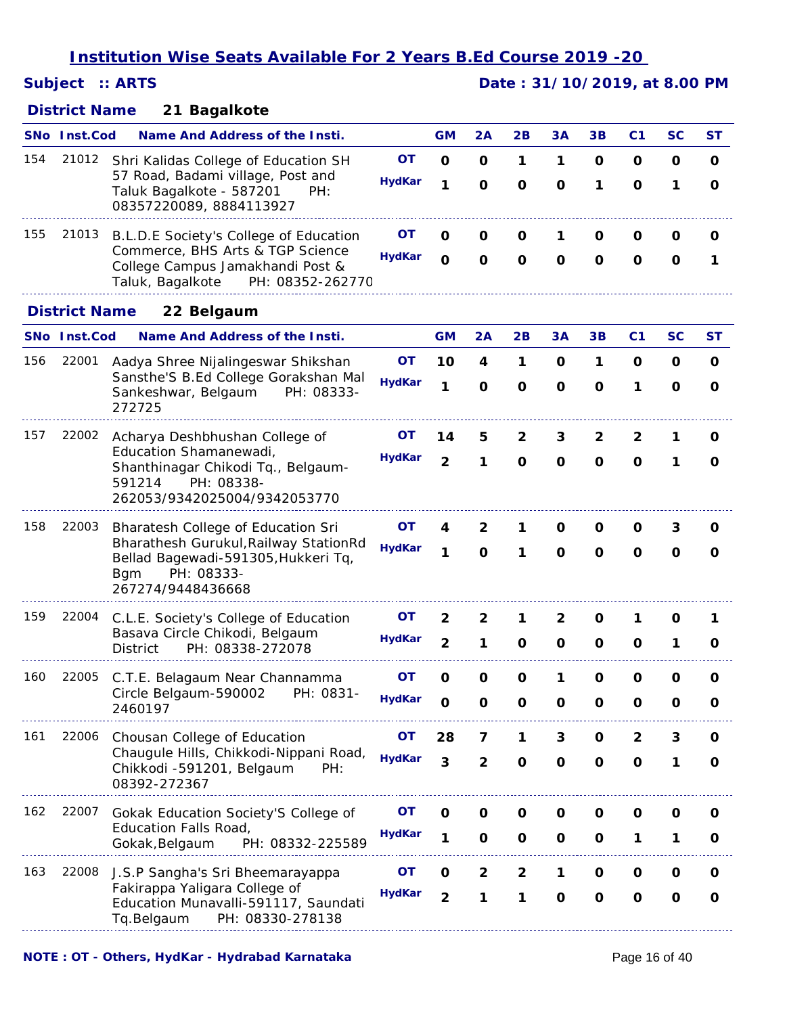## *Subject :: ARTS Date : 31/10/2019, at 8.00 PM*

### **21 Bagalkote** *District Name*

|     | <b>SNo Inst.Cod</b>                                          | <b>Name And Address of the Insti.</b>                                                                                         |               | <b>GM</b>      | 2A                      | 2B           | 3A           | 3B          | C <sub>1</sub> | SC          | <b>ST</b>    |
|-----|--------------------------------------------------------------|-------------------------------------------------------------------------------------------------------------------------------|---------------|----------------|-------------------------|--------------|--------------|-------------|----------------|-------------|--------------|
| 154 | 21012                                                        | Shri Kalidas College of Education SH                                                                                          | <b>OT</b>     | $\mathbf 0$    | O                       | 1            | 1            | O           | $\mathbf 0$    | O           | $\mathbf{o}$ |
|     |                                                              | 57 Road, Badami village, Post and<br>Taluk Bagalkote - 587201<br>PH:<br>08357220089, 8884113927                               | <b>HydKar</b> | 1              | O                       | $\mathbf 0$  | $\mathbf 0$  | 1           | $\mathbf 0$    | 1           | O            |
| 155 | 21013                                                        | B.L.D.E Society's College of Education                                                                                        | OT            | 0              | 0                       | O            | 1            | O           | 0              | 0           | O            |
|     |                                                              | Commerce, BHS Arts & TGP Science<br>College Campus Jamakhandi Post &<br>Taluk, Bagalkote<br>PH: 08352-262770                  | <b>HydKar</b> | $\mathbf 0$    | O                       | O            | O            | O           | $\mathbf 0$    | O           | 1            |
|     | <b>District Name</b>                                         | 22 Belgaum                                                                                                                    |               |                |                         |              |              |             |                |             |              |
|     | <b>SNo Inst.Cod</b><br><b>Name And Address of the Insti.</b> |                                                                                                                               |               | <b>GM</b>      | 2A                      | 2В           | 3А           | 3В          | C1             | <b>SC</b>   | ST           |
| 156 | 22001                                                        | Aadya Shree Nijalingeswar Shikshan                                                                                            | OT            | 10             | 4                       | 1            | O            | 1           | O              | O           | O            |
|     |                                                              | Sansthe'S B.Ed College Gorakshan Mal<br>Sankeshwar, Belgaum<br>PH: 08333-<br>272725                                           | <b>HydKar</b> | 1              | $\mathbf{o}$            | $\mathbf 0$  | O            | $\mathbf 0$ | 1              | $\mathbf 0$ | 0            |
| 157 | 22002                                                        | Acharya Deshbhushan College of                                                                                                | OT            | 14             | 5                       | $\mathbf{2}$ | 3            | 2           | 2              | 1           | O            |
|     |                                                              | Education Shamanewadi,<br>Shanthinagar Chikodi Tq., Belgaum-<br>591214<br>PH: 08338-<br>262053/9342025004/9342053770          | <b>HydKar</b> | $\overline{2}$ | 1                       | O            | $\mathbf 0$  | O           | $\mathbf 0$    | 1           | O            |
| 158 | 22003                                                        | Bharatesh College of Education Sri                                                                                            | <b>OT</b>     | 4              | 2                       | 1            | 0            | O           | O              | 3           | O            |
|     |                                                              | Bharathesh Gurukul, Railway StationRd<br>Bellad Bagewadi-591305, Hukkeri Tq,<br>PH: 08333-<br><b>Bgm</b><br>267274/9448436668 | <b>HydKar</b> | 1              | O                       | 1            | O            | O           | O              | 0           | 0            |
| 159 | 22004                                                        | C.L.E. Society's College of Education                                                                                         | OТ            | 2              | 2                       | 1            | 2            | O           |                | O           |              |
|     |                                                              | Basava Circle Chikodi, Belgaum<br>PH: 08338-272078<br>District                                                                | <b>HydKar</b> | $\overline{2}$ | 1                       | O            | O            | O           | O              | 1           | 0            |
| 160 | 22005                                                        | C.T.E. Belagaum Near Channamma                                                                                                | OТ            | O              | O                       | O            | 1            | O           | O              | O           | O            |
|     |                                                              | Circle Belgaum-590002<br>PH: 0831-<br>2460197                                                                                 | <b>HydKar</b> | $\mathbf{o}$   | O                       | O            | O            | O           | O              | 0           | O            |
| 161 | 22006                                                        | Chousan College of Education                                                                                                  | OT            | 28             | 7                       | 1            | 3            | 0           | $\overline{2}$ | 3           | O            |
|     |                                                              | Chaugule Hills, Chikkodi-Nippani Road,<br>Chikkodi -591201, Belgaum<br>PH:<br>08392-272367                                    | <b>HydKar</b> | 3              | $\overline{\mathbf{2}}$ | $\mathbf{o}$ | $\mathbf{o}$ | $\mathbf 0$ | $\mathbf{o}$   | 1           | O            |
| 162 | 22007                                                        | Gokak Education Society'S College of                                                                                          | OТ            | 0              | O                       | O            | 0            | 0           | 0              | O           | O            |
|     |                                                              | Education Falls Road,<br>PH: 08332-225589<br>Gokak, Belgaum                                                                   | <b>HydKar</b> | 1              | O                       | O            | O            | O           | 1              | 1           | 0            |
| 163 | 22008                                                        | J.S.P Sangha's Sri Bheemarayappa                                                                                              | OT            | O              | 2                       | 2            | 1            | O           | O              | 0           | O            |
|     |                                                              | Fakirappa Yaligara College of<br>Education Munavalli-591117, Saundati<br>PH: 08330-278138<br>Tq.Belgaum                       | <b>HydKar</b> | $\mathbf{2}$   | 1                       | 1            | $\mathbf{o}$ | O           | $\mathbf 0$    | O           | O            |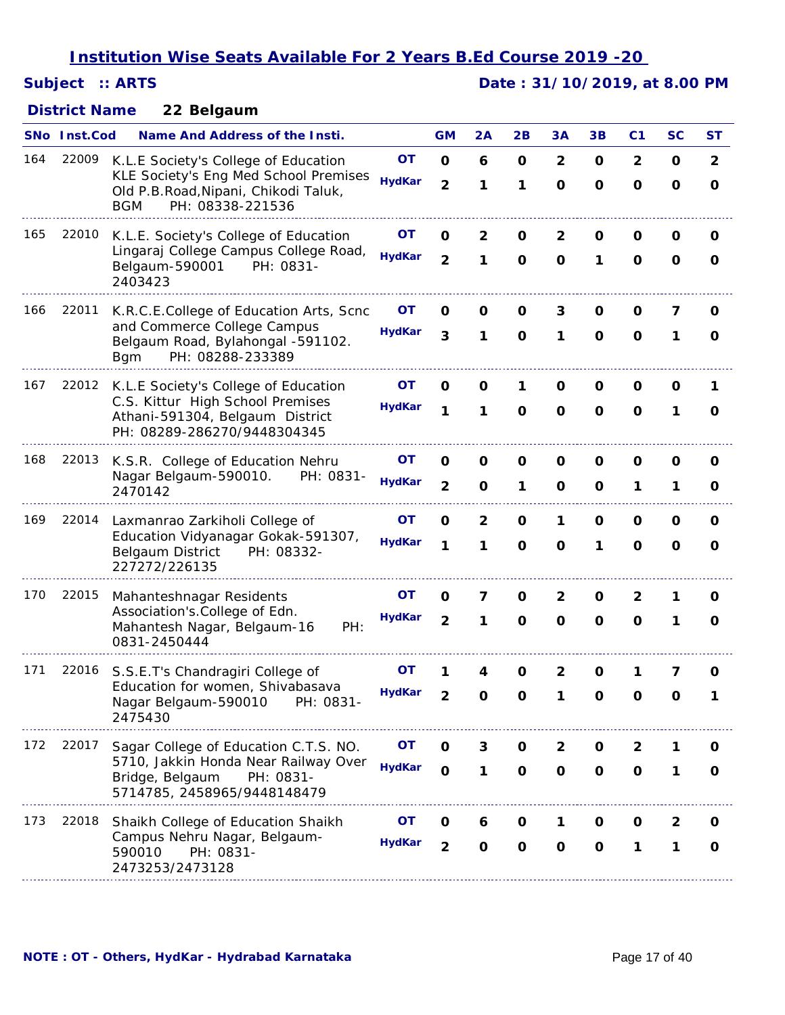## *Subject :: ARTS Date : 31/10/2019, at 8.00 PM*

### **22 Belgaum** *District Name*

|     | <b>SNo</b> Inst.Cod | <b>Name And Address of the Insti.</b>                                                                           |               | <b>GM</b>      | 2A             | 2B           | 3A                      | 3B          | C <sub>1</sub> | SC          | <b>ST</b>      |
|-----|---------------------|-----------------------------------------------------------------------------------------------------------------|---------------|----------------|----------------|--------------|-------------------------|-------------|----------------|-------------|----------------|
| 164 | 22009               | K.L.E Society's College of Education                                                                            | <b>OT</b>     | $\mathbf 0$    | $\mathbf 6$    | $\mathbf 0$  | $\overline{\mathbf{2}}$ | $\mathbf 0$ | $\overline{2}$ | $\mathbf 0$ | $\overline{2}$ |
|     |                     | KLE Society's Eng Med School Premises<br>Old P.B.Road, Nipani, Chikodi Taluk,<br>PH: 08338-221536<br><b>BGM</b> | <b>HydKar</b> | $\overline{2}$ | 1              | 1            | $\mathbf 0$             | $\mathbf 0$ | $\mathbf 0$    | $\mathbf 0$ | $\mathbf 0$    |
| 165 | 22010               | K.L.E. Society's College of Education                                                                           | <b>OT</b>     | 0              | $\overline{2}$ | O            | $\overline{2}$          | 0           | O              | O           | 0              |
|     |                     | Lingaraj College Campus College Road,<br>Belgaum-590001<br>PH: 0831-<br>2403423                                 | <b>HydKar</b> | $\overline{2}$ | 1              | $\mathbf{o}$ | $\mathbf{o}$            | 1           | $\mathbf 0$    | $\mathbf 0$ | O              |
| 166 | 22011               | K.R.C.E.College of Education Arts, Scnc                                                                         | OΤ            | 0              | O              | O            | 3                       | O           | O              | 7           | 0              |
|     |                     | and Commerce College Campus<br>Belgaum Road, Bylahongal -591102.<br>PH: 08288-233389<br><b>Bgm</b>              | <b>HydKar</b> | 3              | 1              | $\mathbf{o}$ | 1                       | $\mathbf 0$ | $\mathbf 0$    | 1           | O              |
| 167 | 22012               | K.L.E Society's College of Education                                                                            | OΤ            | 0              | O              | 1            | 0                       | 0           | 0              | O           | 1              |
|     |                     | C.S. Kittur High School Premises<br>Athani-591304, Belgaum District<br>PH: 08289-286270/9448304345              | <b>HydKar</b> | 1              | 1              | $\mathbf 0$  | $\mathbf 0$             | $\mathbf 0$ | $\mathbf 0$    | 1           | O              |
| 168 | 22013               | K.S.R. College of Education Nehru                                                                               | OΤ            | O              | O              | O            | O                       | 0           | O              | O           | 0              |
|     |                     | Nagar Belgaum-590010.<br>PH: 0831-<br>2470142                                                                   | <b>HydKar</b> | $\overline{2}$ | $\mathbf 0$    | 1            | $\mathbf{o}$            | $\mathbf 0$ | 1              | 1           | O              |
| 169 | 22014               | Laxmanrao Zarkiholi College of                                                                                  | OT            | $\mathbf 0$    | $\overline{2}$ | $\mathbf 0$  | 1                       | $\mathbf 0$ | $\mathbf 0$    | $\mathbf 0$ | $\mathbf 0$    |
|     |                     | Education Vidyanagar Gokak-591307,<br>Belgaum District<br>PH: 08332-<br>227272/226135                           | <b>HydKar</b> | 1              | 1              | $\mathbf 0$  | $\mathbf 0$             | 1           | $\mathbf 0$    | $\mathbf 0$ | $\mathbf 0$    |
| 170 | 22015               | Mahanteshnagar Residents                                                                                        | OT            | O              | 7              | O            | $\overline{2}$          | $\mathbf 0$ | $\mathbf{2}$   | 1           | O              |
|     |                     | Association's.College of Edn.<br>Mahantesh Nagar, Belgaum-16<br>PH:<br>0831-2450444                             | <b>HydKar</b> | $\overline{2}$ | 1              | $\mathbf 0$  | $\mathbf 0$             | $\mathbf 0$ | $\Omega$       | 1           | $\mathbf 0$    |
| 171 | 22016               | S.S.E.T's Chandragiri College of                                                                                | OΤ            | 1              | 4              | O            | 2                       | 0           | 1              | 7           | O              |
|     |                     | Education for women, Shivabasava<br>Nagar Belgaum-590010<br>PH: 0831-<br>2475430                                | <b>HydKar</b> | 2              | O              | O            | $\mathbf{1}$            | $\mathbf 0$ | O              | O           |                |
| 172 | 22017               | Sagar College of Education C.T.S. NO.                                                                           | OT            | O              | 3              | 0            | 2                       | 0           | 2              | 1           | O              |
|     |                     | 5710, Jakkin Honda Near Railway Over<br>Bridge, Belgaum<br>PH: 0831-<br>5714785, 2458965/9448148479             | <b>HydKar</b> | $\mathbf O$    | 1              | $\mathbf{o}$ | O                       | $\mathbf 0$ | $\mathbf 0$    | 1           | 0              |
| 173 | 22018               | Shaikh College of Education Shaikh                                                                              | OТ            | O              | 6              | O            | 1                       | 0           | 0              | 2           | O              |
|     |                     | Campus Nehru Nagar, Belgaum-<br>590010<br>PH: 0831-<br>2473253/2473128                                          | <b>HydKar</b> | $\overline{2}$ | $\mathbf 0$    | $\mathbf 0$  | $\mathbf 0$             | $\mathbf 0$ | 1              | 1           | $\mathbf 0$    |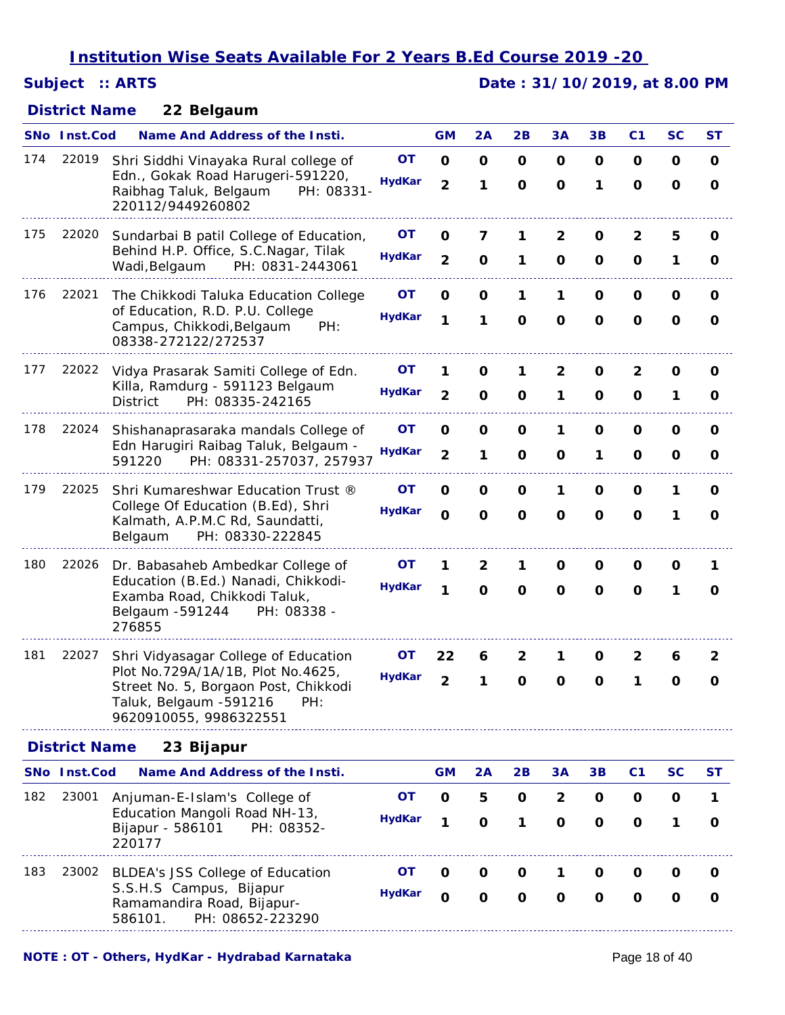## *Subject :: ARTS Date : 31/10/2019, at 8.00 PM*

### **22 Belgaum** *District Name*

|     | SNo Inst.Cod         | Name And Address of the Insti.                                                                                                                                               |                            | <b>GM</b>                     | 2A                             | 2B                            | 3A                             | 3B                         | C <sub>1</sub>                | SC                | ST                |
|-----|----------------------|------------------------------------------------------------------------------------------------------------------------------------------------------------------------------|----------------------------|-------------------------------|--------------------------------|-------------------------------|--------------------------------|----------------------------|-------------------------------|-------------------|-------------------|
| 174 | 22019                | Shri Siddhi Vinayaka Rural college of<br>Edn., Gokak Road Harugeri-591220,<br>Raibhag Taluk, Belgaum<br>PH: 08331-<br>220112/9449260802                                      | ΟT<br><b>HydKar</b>        | $\mathbf 0$<br>$\overline{2}$ | $\mathbf 0$<br>1               | O<br>$\mathbf 0$              | O<br>$\mathbf{o}$              | O<br>1                     | O<br>$\mathbf 0$              | 0<br>$\mathbf 0$  | 0<br>O            |
| 175 | 22020                | Sundarbai B patil College of Education,<br>Behind H.P. Office, S.C.Nagar, Tilak<br>PH: 0831-2443061<br>Wadi, Belgaum                                                         | OT<br><b>HydKar</b>        | 0<br>$\overline{2}$           | 7<br>O                         | 1<br>1                        | $\overline{2}$<br>O            | O<br>$\mathbf 0$           | $\overline{2}$<br>$\mathbf 0$ | 5<br>1            | 0<br>0            |
| 176 | 22021                | The Chikkodi Taluka Education College<br>of Education, R.D. P.U. College<br>Campus, Chikkodi, Belgaum<br>PH:<br>08338-272122/272537                                          | <b>OT</b><br><b>HydKar</b> | O<br>1                        | 0<br>1                         | 1<br>$\mathbf 0$              | 1<br>$\mathbf{o}$              | $\mathbf 0$<br>$\mathbf 0$ | $\mathbf 0$<br>$\mathbf 0$    | O<br>$\mathbf 0$  | 0<br>$\mathbf 0$  |
| 177 | 22022                | Vidya Prasarak Samiti College of Edn.<br>Killa, Ramdurg - 591123 Belgaum<br>PH: 08335-242165<br>District                                                                     | OТ<br><b>HydKar</b>        | 1<br>$\overline{2}$           | O<br>O                         | 1<br>O                        | $\overline{2}$<br>1            | O<br>$\Omega$              | $\overline{2}$<br>$\Omega$    | O<br>1            | O<br>0            |
| 178 | 22024                | Shishanaprasaraka mandals College of<br>Edn Harugiri Raibag Taluk, Belgaum -<br>PH: 08331-257037, 257937<br>591220                                                           | OТ<br><b>HydKar</b>        | O<br>$\overline{2}$           | O<br>1                         | $\mathbf 0$<br>$\mathbf 0$    | 1<br>O                         | $\mathbf 0$<br>1           | O<br>$\mathbf 0$              | O<br>$\mathbf 0$  | 0<br>0            |
| 179 | 22025                | Shri Kumareshwar Education Trust ®<br>College Of Education (B.Ed), Shri<br>Kalmath, A.P.M.C Rd, Saundatti,<br>PH: 08330-222845<br>Belgaum                                    | <b>OT</b><br><b>HydKar</b> | O<br>$\mathbf O$              | O<br>$\mathbf{o}$              | $\mathbf{o}$<br>$\mathbf 0$   | 1<br>$\mathbf 0$               | 0<br>$\mathbf 0$           | O<br>$\mathbf{o}$             | 1<br>1            | 0<br>O            |
| 180 | 22026                | Dr. Babasaheb Ambedkar College of<br>Education (B.Ed.) Nanadi, Chikkodi-<br>Examba Road, Chikkodi Taluk,<br>Belgaum -591244<br>PH: 08338 -<br>276855                         | <b>OT</b><br><b>HydKar</b> | 1<br>1                        | $\overline{2}$<br>$\mathbf{o}$ | 1<br>$\mathbf 0$              | O<br>$\mathbf 0$               | O<br>$\mathbf 0$           | 0<br>$\mathbf 0$              | O<br>1            | 1<br>0            |
| 181 | 22027                | Shri Vidyasagar College of Education<br>Plot No.729A/1A/1B, Plot No.4625,<br>Street No. 5, Borgaon Post, Chikkodi<br>PH:<br>Taluk, Belgaum -591216<br>9620910055, 9986322551 | OT<br><b>HydKar</b>        | 22<br>$\overline{2}$          | 6<br>1                         | $\overline{2}$<br>$\mathbf 0$ | 1<br>O                         | O<br>$\mathbf 0$           | 2<br>1                        | 6<br>O            | $\mathbf{2}$<br>0 |
|     | <b>District Name</b> | 23 Bijapur                                                                                                                                                                   |                            |                               |                                |                               |                                |                            |                               |                   |                   |
|     | SNo Inst.Cod         | <b>Name And Address of the Insti.</b>                                                                                                                                        |                            | <b>GM</b>                     | 2A                             | 2B                            | 3A                             | 3B                         | C <sub>1</sub>                | SC                | <b>ST</b>         |
| 182 | 23001                | Anjuman-E-Islam's College of<br>Education Mangoli Road NH-13,<br>Bijapur - 586101<br>PH: 08352-<br>220177                                                                    | OT<br><b>HydKar</b>        | O<br>1                        | 5<br>$\mathbf 0$               | O<br>1                        | $\overline{2}$<br>$\mathbf{o}$ | O<br>$\mathbf{o}$          | O<br>$\mathbf{o}$             | O<br>1            | 1<br>O            |
| 183 | 23002                | <b>BLDEA's JSS College of Education</b><br>S.S.H.S Campus, Bijapur<br>Ramamandira Road, Bijapur-<br>586101.<br>PH: 08652-223290                                              | OT<br><b>HydKar</b>        | O<br>$\mathbf{o}$             | 0<br>$\mathbf{o}$              | O<br>$\mathbf{o}$             | 1<br>$\mathbf{o}$              | O<br>$\mathbf{o}$          | O<br>$\mathbf 0$              | O<br>$\mathbf{o}$ | 0<br>O            |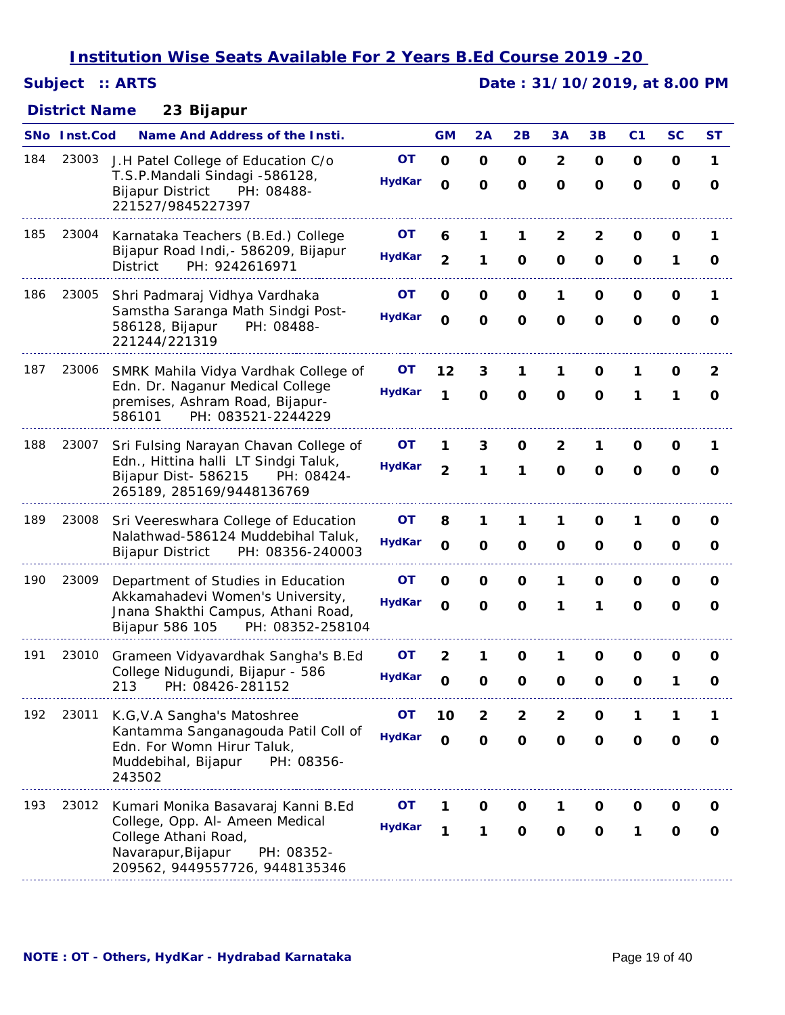## *Subject :: ARTS Date : 31/10/2019, at 8.00 PM*

### **23 Bijapur** *District Name*

|     | <b>SNo</b> Inst.Cod | <b>Name And Address of the Insti.</b>                                                                                                                               |                            | <b>GM</b>                  | 2A                         | 2B                          | 3A                          | 3B                  | C <sub>1</sub>    | <b>SC</b>                  | <b>ST</b>         |
|-----|---------------------|---------------------------------------------------------------------------------------------------------------------------------------------------------------------|----------------------------|----------------------------|----------------------------|-----------------------------|-----------------------------|---------------------|-------------------|----------------------------|-------------------|
| 184 | 23003               | J.H Patel College of Education C/o                                                                                                                                  | <b>OT</b>                  | $\mathbf 0$                | $\mathbf 0$                | $\mathbf 0$                 | $\overline{2}$              | O                   | O                 | O                          | 1                 |
|     |                     | T.S.P.Mandali Sindagi -586128,<br><b>Bijapur District</b><br>PH: 08488-<br>221527/9845227397                                                                        | <b>HydKar</b>              | $\mathbf 0$                | $\mathbf{o}$               | $\mathbf{o}$                | $\mathbf 0$                 | $\mathbf{o}$        | $\mathbf{o}$      | $\mathbf{o}$               | O                 |
| 185 | 23004               | Karnataka Teachers (B.Ed.) College<br>Bijapur Road Indi, - 586209, Bijapur<br><b>District</b>                                                                       | <b>OT</b><br><b>HydKar</b> | 6<br>$\overline{2}$        | 1<br>1                     | 1<br>$\mathbf 0$            | $\mathbf{2}$<br>$\mathbf 0$ | $\overline{2}$<br>O | 0<br>O            | O<br>1                     | 1<br>O            |
| 186 | 23005               | PH: 9242616971<br>Shri Padmaraj Vidhya Vardhaka<br>Samstha Saranga Math Sindgi Post-<br>586128, Bijapur<br>PH: 08488-<br>221244/221319                              | OΤ<br><b>HydKar</b>        | O<br>$\mathbf 0$           | $\mathbf 0$<br>$\mathbf 0$ | $\mathbf 0$<br>$\mathbf 0$  | 1<br>$\mathbf 0$            | O<br>$\mathbf{o}$   | O<br>$\mathbf{o}$ | $\mathbf 0$<br>$\mathbf 0$ | 1<br>$\mathbf{o}$ |
| 187 | 23006               | SMRK Mahila Vidya Vardhak College of<br>Edn. Dr. Naganur Medical College<br>premises, Ashram Road, Bijapur-<br>PH: 083521-2244229<br>586101                         | OΤ<br><b>HydKar</b>        | 12<br>1                    | 3<br>$\mathbf 0$           | 1<br>$\mathbf 0$            | 1<br>$\mathbf 0$            | 0<br>$\mathbf{o}$   | 1<br>1            | 0<br>1                     | 2<br>O            |
| 188 | 23007               | Sri Fulsing Narayan Chavan College of<br>Edn., Hittina halli LT Sindgi Taluk,<br>Bijapur Dist- 586215<br>PH: 08424-<br>265189, 285169/9448136769                    | OΤ<br><b>HydKar</b>        | 1<br>$\overline{2}$        | 3<br>1                     | 0<br>1                      | 2<br>$\mathbf 0$            | 1<br>$\mathbf 0$    | 0<br>$\mathbf 0$  | 0<br>$\mathbf 0$           | 1<br>O            |
| 189 | 23008               | Sri Veereswhara College of Education<br>Nalathwad-586124 Muddebihal Taluk,<br><b>Bijapur District</b><br>PH: 08356-240003                                           | <b>OT</b><br><b>HydKar</b> | 8<br>$\mathbf{o}$          | 1<br>$\mathbf 0$           | 1<br>$\mathbf 0$            | 1<br>O                      | $\mathbf 0$<br>O    | 1<br>O            | O<br>$\mathbf 0$           | O<br>O            |
| 190 | 23009               | Department of Studies in Education<br>Akkamahadevi Women's University,<br>Jnana Shakthi Campus, Athani Road,<br>Bijapur 586 105<br>PH: 08352-258104                 | <b>OT</b><br><b>HydKar</b> | $\mathbf 0$<br>$\mathbf 0$ | $\mathbf 0$<br>$\mathbf 0$ | $\mathbf 0$<br>$\mathbf 0$  | 1<br>1                      | O<br>1              | O<br>$\Omega$     | $\mathbf 0$<br>$\mathbf 0$ | 0<br>$\Omega$     |
| 191 | 23010               | Grameen Vidyavardhak Sangha's B.Ed<br>College Nidugundi, Bijapur - 586<br>213<br>PH: 08426-281152                                                                   | <b>OT</b><br><b>HydKar</b> | 2<br>$\mathbf 0$           | 1<br>$\mathbf 0$           | O<br>$\mathbf 0$            | 1<br>O                      | O<br>$\Omega$       | O<br>O            | O<br>1                     | 0<br>O            |
| 192 | 23011               | K.G, V.A Sangha's Matoshree<br>Kantamma Sanganagouda Patil Coll of<br>Edn. For Womn Hirur Taluk,<br>Muddebihal, Bijapur<br>PH: 08356-<br>243502                     | <b>OT</b><br><b>HydKar</b> | 10<br>$\mathbf{o}$         | 2<br>$\mathbf 0$           | $\mathbf{2}$<br>$\mathbf 0$ | 2<br>$\mathbf 0$            | 0<br>$\mathbf 0$    | 1<br>O            | 0                          | 0                 |
| 193 | 23012               | Kumari Monika Basavaraj Kanni B.Ed<br>College, Opp. Al- Ameen Medical<br>College Athani Road,<br>PH: 08352-<br>Navarapur, Bijapur<br>209562, 9449557726, 9448135346 | OТ<br><b>HydKar</b>        | 1<br>1                     | O<br>1                     | O<br>$\mathbf 0$            | 1<br>$\mathbf 0$            | 0<br>$\mathbf 0$    | O<br>1            | O<br>0                     | O<br>O            |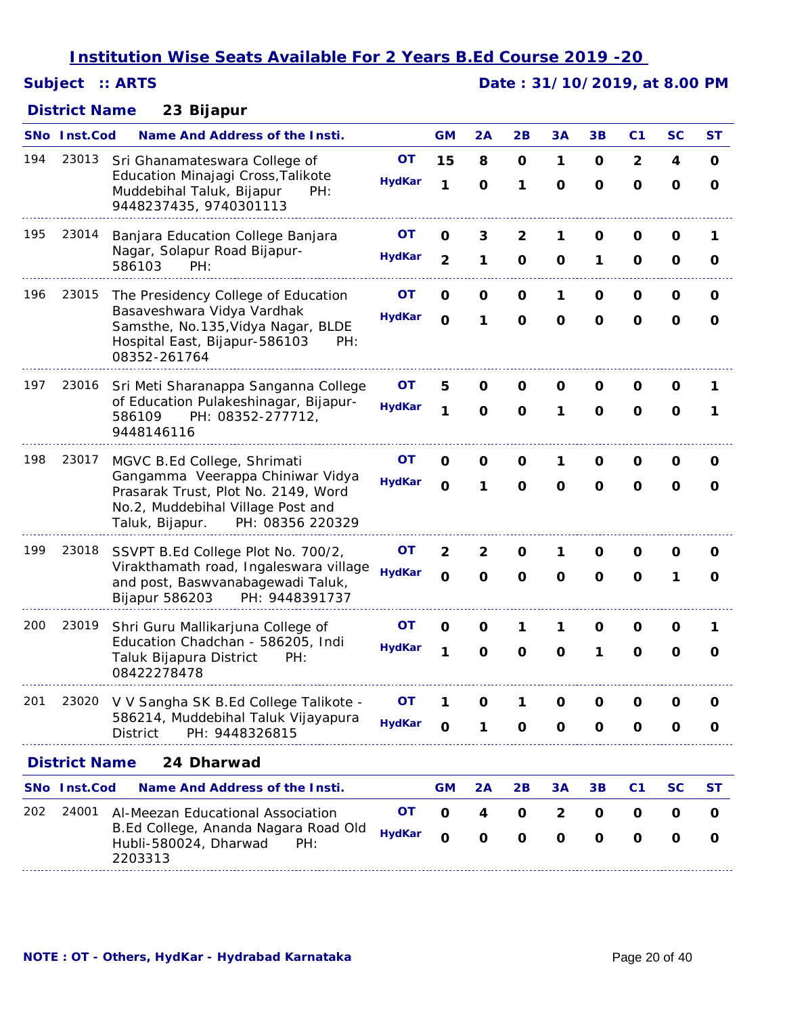## *Subject :: ARTS Date : 31/10/2019, at 8.00 PM*

### **23 Bijapur** *District Name*

|     | <b>SNo Inst.Cod</b>  | Name And Address of the Insti.                                                                                                                      |               | <b>GM</b>      | 2Α             | 2B             | 3A             | 3В           | C1             | <b>SC</b>   | ST       |
|-----|----------------------|-----------------------------------------------------------------------------------------------------------------------------------------------------|---------------|----------------|----------------|----------------|----------------|--------------|----------------|-------------|----------|
| 194 | 23013                | Sri Ghanamateswara College of                                                                                                                       | <b>OT</b>     | 15             | 8              | 0              | 1              | 0            | $\overline{2}$ | 4           | O        |
|     |                      | Education Minajagi Cross, Talikote<br>Muddebihal Taluk, Bijapur<br>PH:<br>9448237435, 9740301113                                                    | <b>HydKar</b> | 1              | $\mathbf 0$    | 1              | $\mathbf{o}$   | $\mathbf{o}$ | $\mathbf{o}$   | $\mathbf 0$ | $\Omega$ |
| 195 | 23014                | Banjara Education College Banjara                                                                                                                   | ΟT            | O              | 3              | $\overline{2}$ | 1              | 0            | 0              | 0           | 1        |
|     |                      | Nagar, Solapur Road Bijapur-<br>586103<br>PH:                                                                                                       | <b>HydKar</b> | $\overline{2}$ | 1              | $\mathbf 0$    | O              | 1            | O              | O           | 0        |
| 196 | 23015                | The Presidency College of Education                                                                                                                 | OΤ            | O              | O              | O              | 1              | O            | 0              | O           | O        |
|     |                      | Basaveshwara Vidya Vardhak<br>Samsthe, No.135, Vidya Nagar, BLDE<br>Hospital East, Bijapur-586103<br>PH:<br>08352-261764                            | <b>HydKar</b> | $\mathbf 0$    | 1              | $\mathbf 0$    | $\mathbf{o}$   | $\mathbf{o}$ | O              | $\mathbf 0$ | O        |
| 197 | 23016                | Sri Meti Sharanappa Sanganna College                                                                                                                | OΤ            | 5              | O              | O              | 0              | O            | O              | O           | 1        |
|     |                      | of Education Pulakeshinagar, Bijapur-<br>PH: 08352-277712,<br>586109<br>9448146116                                                                  | <b>HydKar</b> | 1              | $\mathbf 0$    | $\mathbf 0$    | 1              | O            | O              | $\mathbf 0$ | 1        |
| 198 | 23017                | MGVC B.Ed College, Shrimati                                                                                                                         | <b>OT</b>     | O              | 0              | O              | 1              | 0            | O              | O           | O        |
|     |                      | Gangamma Veerappa Chiniwar Vidya<br>Prasarak Trust, Plot No. 2149, Word<br>No.2, Muddebihal Village Post and<br>Taluk, Bijapur.<br>PH: 08356 220329 | <b>HydKar</b> | $\mathbf{o}$   | 1              | $\mathbf 0$    | $\Omega$       | $\Omega$     | O              | 0           | 0        |
| 199 | 23018                | SSVPT B.Ed College Plot No. 700/2,                                                                                                                  | OΤ            | $\overline{2}$ | $\overline{2}$ | O              | 1              | 0            | 0              | O           | 0        |
|     |                      | Virakthamath road, Ingaleswara village<br>and post, Baswvanabagewadi Taluk,<br>Bijapur 586203<br>PH: 9448391737                                     | <b>HydKar</b> | $\mathbf O$    | $\mathbf 0$    | $\mathbf 0$    | O              | O            | O              | 1           | 0        |
| 200 | 23019                | Shri Guru Mallikarjuna College of                                                                                                                   | OΤ            | O              | O              | 1              | 1              | O            | 0              | O           | 1        |
|     |                      | Education Chadchan - 586205, Indi<br>Taluk Bijapura District<br>PH:<br>08422278478                                                                  | <b>HydKar</b> | 1              | $\mathbf 0$    | $\mathbf 0$    | O              | 1            | $\mathbf 0$    | $\mathbf 0$ | O        |
| 201 |                      | 23020 V V Sangha SK B.Ed College Talikote -                                                                                                         | ΟT            | 1              | O              | 1              | O              | O            | O              | O           | O        |
|     |                      | 586214, Muddebihal Taluk Vijayapura<br>PH: 9448326815<br><b>District</b>                                                                            | <b>HydKar</b> | Ω              | 1              | O              | O              | O            | 0              | 0           | 0        |
|     | <b>District Name</b> | 24 Dharwad                                                                                                                                          |               |                |                |                |                |              |                |             |          |
|     | SNo Inst.Cod         | <b>Name And Address of the Insti.</b>                                                                                                               |               | <b>GM</b>      | 2A             | 2B             | 3A             | 3B           | C <sub>1</sub> | <b>SC</b>   | ST       |
| 202 | 24001                | Al-Meezan Educational Association                                                                                                                   | <b>OT</b>     | $\mathbf 0$    | 4              | O              | $\overline{2}$ | O            | O              | 0           | 0        |
|     |                      | B.Ed College, Ananda Nagara Road Old<br>Hubli-580024, Dharwad<br>PH:<br>2203313                                                                     | <b>HydKar</b> | $\mathbf{o}$   | O              | $\mathbf{o}$   | $\mathbf 0$    | $\mathbf 0$  | $\mathbf 0$    | O           | O        |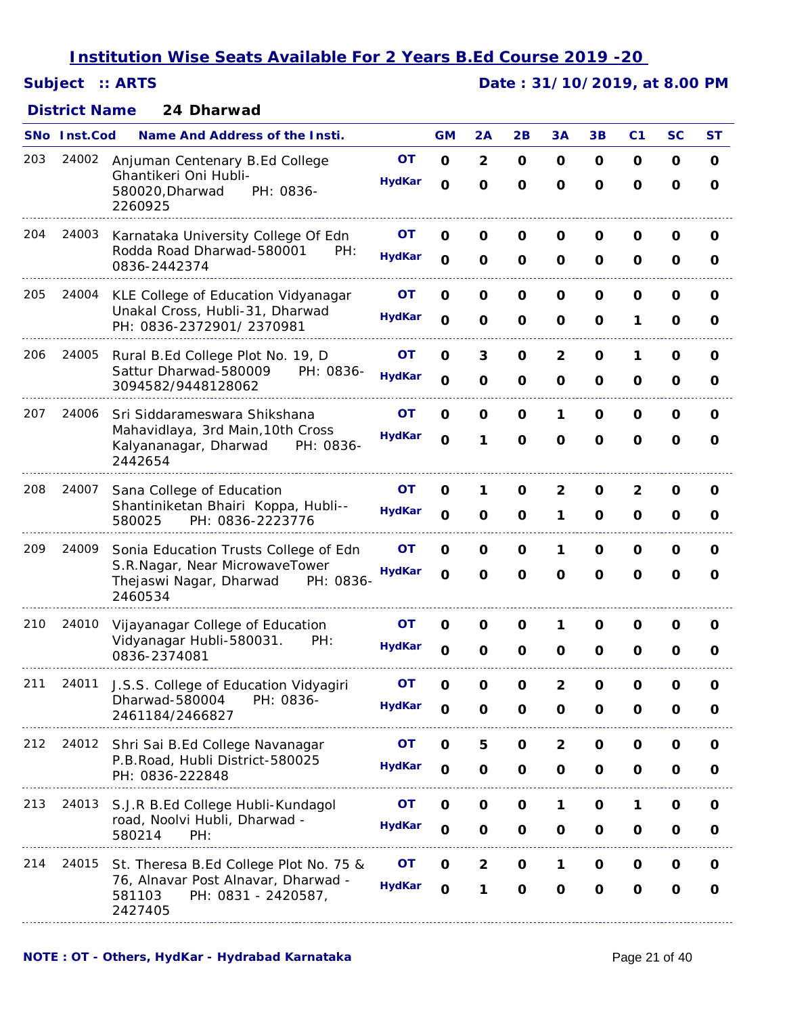## *Subject :: ARTS Date : 31/10/2019, at 8.00 PM*

### **24 Dharwad** *District Name*

|     | <b>SNo</b> Inst.Cod | <b>Name And Address of the Insti.</b>                                                                                      |                            | <b>GM</b>                    | 2A                                     | 2B                          | 3A                                     | 3B                          | C <sub>1</sub>              | <b>SC</b>                   | ST                           |
|-----|---------------------|----------------------------------------------------------------------------------------------------------------------------|----------------------------|------------------------------|----------------------------------------|-----------------------------|----------------------------------------|-----------------------------|-----------------------------|-----------------------------|------------------------------|
| 203 | 24002               | Anjuman Centenary B.Ed College<br>Ghantikeri Oni Hubli-<br>580020, Dharwad<br>PH: 0836-<br>2260925                         | <b>OT</b><br><b>HydKar</b> | O<br>$\mathbf{o}$            | $\overline{\mathbf{2}}$<br>$\mathbf 0$ | 0<br>$\mathbf{o}$           | O<br>$\mathbf{o}$                      | 0<br>$\mathbf{o}$           | 0<br>$\mathbf{o}$           | O<br>$\mathbf 0$            | O<br>O                       |
| 204 | 24003               | Karnataka University College Of Edn<br>Rodda Road Dharwad-580001<br>PH:<br>0836-2442374                                    | OΤ<br><b>HydKar</b>        | 0<br>$\mathbf 0$             | O<br>$\mathbf 0$                       | $\mathbf 0$<br>$\mathbf 0$  | O<br>$\mathbf 0$                       | O<br>O                      | 0<br>O                      | O<br>O                      | O<br>O                       |
| 205 | 24004               | KLE College of Education Vidyanagar<br>Unakal Cross, Hubli-31, Dharwad<br>PH: 0836-2372901/2370981                         | OΤ<br><b>HydKar</b>        | $\mathbf 0$<br>$\mathbf 0$   | $\mathbf 0$<br>$\mathbf 0$             | $\mathbf 0$<br>$\mathbf 0$  | $\mathbf 0$<br>O                       | O<br>O                      | O<br>1                      | O<br>O                      | O<br>O                       |
| 206 | 24005               | Rural B.Ed College Plot No. 19, D<br>Sattur Dharwad-580009<br>PH: 0836-<br>3094582/9448128062                              | OΤ<br><b>HydKar</b>        | O<br>$\mathbf 0$             | 3<br>$\mathbf 0$                       | O<br>$\mathbf 0$            | $\overline{\mathbf{2}}$<br>$\mathbf 0$ | O<br>0                      | 1<br>O                      | 0<br>O                      | 0<br>O                       |
| 207 | 24006               | Sri Siddarameswara Shikshana<br>Mahavidlaya, 3rd Main, 10th Cross<br>Kalyananagar, Dharwad<br>PH: 0836-<br>2442654         | OΤ<br><b>HydKar</b>        | O<br>$\mathbf{o}$            | O<br>1                                 | O<br>$\mathbf{o}$           | 1<br>$\mathbf{o}$                      | 0<br>$\mathbf 0$            | 0<br>O                      | O<br>$\mathbf 0$            | 0<br>O                       |
| 208 | 24007               | Sana College of Education<br>Shantiniketan Bhairi Koppa, Hubli--<br>PH: 0836-2223776<br>580025                             | <b>OT</b><br><b>HydKar</b> | O<br>$\mathbf 0$             | 1<br>O                                 | O<br>O                      | $\mathbf{2}$<br>1                      | O<br>O                      | $\mathbf{2}$<br>0           | O<br>O                      | O<br>O                       |
| 209 | 24009               | Sonia Education Trusts College of Edn<br>S.R.Nagar, Near MicrowaveTower<br>Thejaswi Nagar, Dharwad<br>PH: 0836-<br>2460534 | ΟT<br><b>HydKar</b>        | $\mathbf 0$<br>$\mathbf 0$   | $\mathbf 0$<br>$\mathbf 0$             | $\mathbf 0$<br>$\mathbf{o}$ | 1<br>$\mathbf 0$                       | O<br>$\Omega$               | O<br>O                      | O<br>$\mathbf 0$            | O<br>$\Omega$                |
| 210 | 24010               | Vijayanagar College of Education<br>Vidyanagar Hubli-580031.<br>PH:<br>0836-2374081                                        | <b>OT</b><br><b>HydKar</b> | 0<br>$\mathbf 0$             | O<br>$\mathbf 0$                       | O<br>$\mathbf 0$            | 1<br>O                                 | O<br>$\Omega$               | 0<br>O                      | O<br>0                      | 0<br>O                       |
| 211 | 24011               | J.S.S. College of Education Vidyagiri<br>Dharwad-580004<br>PH: 0836-<br>2461184/2466827                                    | OΤ<br><b>HydKar</b>        | O<br>O                       | $\mathbf{o}$<br>$\mathbf 0$            | $\mathbf 0$<br>$\mathbf 0$  | $\overline{\mathbf{c}}$<br>$\mathbf 0$ | O<br>$\mathbf 0$            | $\mathbf o$<br>O            | O<br>O                      | O<br>O                       |
| 212 | 24012               | Shri Sai B.Ed College Navanagar<br>P.B.Road, Hubli District-580025<br>PH: 0836-222848                                      | <b>OT</b><br><b>HydKar</b> | $\mathbf 0$<br>$\mathbf{o}$  | 5<br>$\mathbf 0$                       | $\mathbf 0$<br>$\mathbf 0$  | $\mathbf{2}$<br>$\mathbf{o}$           | $\mathbf{o}$<br>$\mathbf 0$ | $\mathbf o$<br>$\mathbf 0$  | $\mathbf{o}$<br>$\mathbf 0$ | O<br>$\mathbf o$             |
| 213 | 24013               | S.J.R B.Ed College Hubli-Kundagol<br>road, Noolvi Hubli, Dharwad -<br>580214<br>PH:                                        | OT<br><b>HydKar</b>        | $\mathbf{o}$<br>$\mathbf{o}$ | $\mathbf O$<br>$\mathbf{o}$            | $\mathbf O$<br>$\mathbf 0$  | 1<br>$\mathbf{o}$                      | $\mathbf 0$<br>$\mathbf 0$  | 1<br>$\mathbf 0$            | $\mathbf 0$<br>$\mathbf{o}$ | $\mathbf{o}$<br>$\mathbf{o}$ |
| 214 | 24015               | St. Theresa B.Ed College Plot No. 75 &<br>76, Alnavar Post Alnavar, Dharwad -<br>PH: 0831 - 2420587,<br>581103<br>2427405  | OT<br><b>HydKar</b>        | $\mathbf{o}$<br>$\mathbf 0$  | $\overline{\mathbf{2}}$<br>1           | $\mathbf 0$<br>$\mathbf 0$  | 1<br>$\mathbf{o}$                      | $\mathbf{o}$<br>$\mathbf 0$ | $\mathbf{o}$<br>$\mathbf 0$ | $\mathbf{o}$<br>$\mathbf 0$ | O<br>O                       |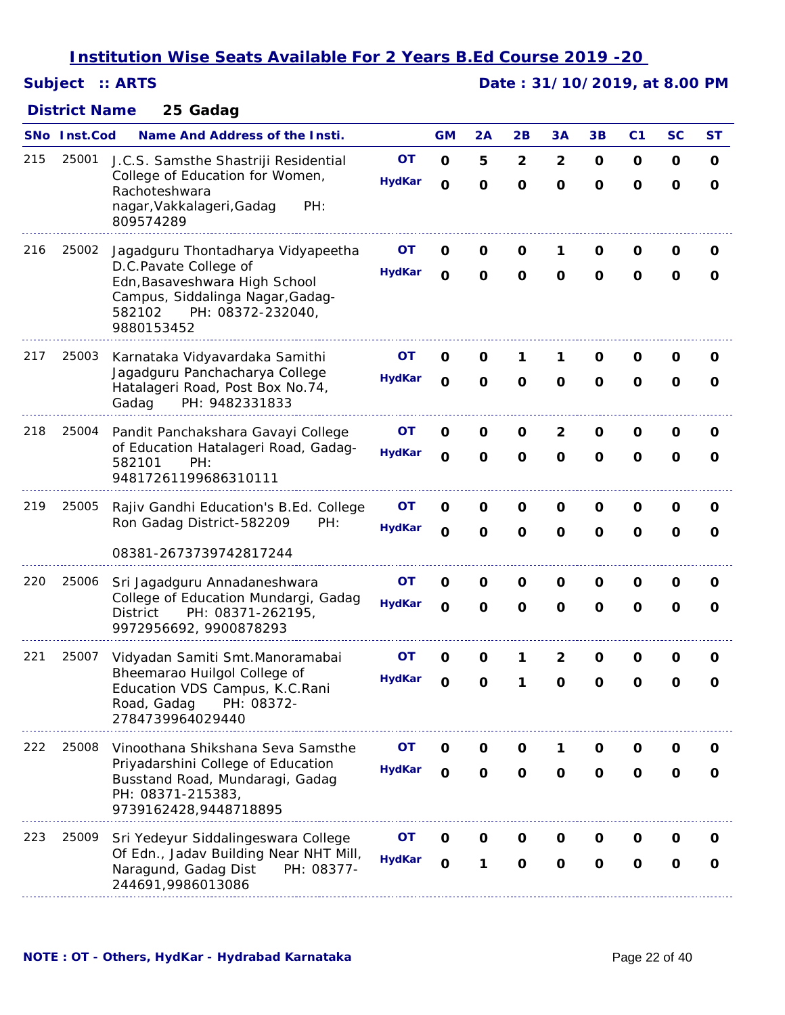## *Subject :: ARTS Date : 31/10/2019, at 8.00 PM*

### **25 Gadag** *District Name*

|     | SNo Inst.Cod | <b>Name And Address of the Insti.</b>                                                                                                   |               | <b>GM</b>    | 2A           | 2B                      | 3A                      | 3B           | C <sub>1</sub> | <b>SC</b>   | ST |
|-----|--------------|-----------------------------------------------------------------------------------------------------------------------------------------|---------------|--------------|--------------|-------------------------|-------------------------|--------------|----------------|-------------|----|
| 215 | 25001        | J.C.S. Samsthe Shastriji Residential                                                                                                    | <b>OT</b>     | $\mathbf 0$  | 5            | $\overline{\mathbf{c}}$ | $\overline{\mathbf{2}}$ | O            | O              | O           | O  |
|     |              | College of Education for Women,<br>Rachoteshwara<br>nagar, Vakkalageri, Gadag<br>PH:<br>809574289                                       | <b>HydKar</b> | $\mathbf O$  | $\mathbf{o}$ | $\mathbf{o}$            | $\mathbf{o}$            | $\mathbf 0$  | $\mathbf{o}$   | $\mathbf 0$ | O  |
| 216 | 25002        | Jagadguru Thontadharya Vidyapeetha                                                                                                      | OT            | 0            | O            | 0                       | 1                       | 0            | 0              | 0           | O  |
|     |              | D.C.Pavate College of<br>Edn, Basaveshwara High School<br>Campus, Siddalinga Nagar, Gadag-<br>PH: 08372-232040,<br>582102<br>9880153452 | <b>HydKar</b> | $\mathbf 0$  | $\mathbf 0$  | $\mathbf{o}$            | $\mathbf{o}$            | $\mathbf{o}$ | $\mathbf{o}$   | $\mathbf 0$ | O  |
| 217 | 25003        | Karnataka Vidyavardaka Samithi                                                                                                          | OΤ            | O            | O            | 1                       | 1                       | 0            | O              | O           | O  |
|     |              | Jagadguru Panchacharya College<br>Hatalageri Road, Post Box No.74,<br>Gadag<br>PH: 9482331833                                           | <b>HydKar</b> | $\mathbf{o}$ | $\mathbf 0$  | $\mathbf 0$             | $\mathbf{o}$            | $\mathbf{o}$ | O              | $\mathbf 0$ | O  |
| 218 | 25004        | Pandit Panchakshara Gavayi College                                                                                                      | OT            | 0            | O            | O                       | 2                       | 0            | 0              | 0           | 0  |
|     |              | of Education Hatalageri Road, Gadag-<br>582101<br>PH:<br>94817261199686310111                                                           | <b>HydKar</b> | $\mathbf{o}$ | $\mathbf 0$  | $\mathbf{o}$            | $\mathbf{o}$            | $\mathbf{o}$ | $\mathbf{o}$   | $\mathbf 0$ | 0  |
| 219 | 25005        | Rajiv Gandhi Education's B.Ed. College                                                                                                  | OΤ            | 0            | O            | 0                       | O                       | 0            | O              | O           | O  |
|     |              | Ron Gadag District-582209<br>PH:                                                                                                        | <b>HydKar</b> | $\mathbf{o}$ | $\mathbf 0$  | $\mathbf 0$             | $\mathbf 0$             | $\mathbf{o}$ | O              | $\mathbf 0$ | 0  |
|     |              | 08381-2673739742817244                                                                                                                  |               |              |              |                         |                         |              |                |             |    |
| 220 | 25006        | Sri Jagadguru Annadaneshwara                                                                                                            | <b>OT</b>     | O            | O            | O                       | O                       | O            | 0              | 0           | O  |
|     |              | College of Education Mundargi, Gadag<br>PH: 08371-262195,<br>District<br>9972956692, 9900878293                                         | <b>HydKar</b> | $\mathbf O$  | $\mathbf 0$  | $\mathbf 0$             | $\mathbf{o}$            | $\mathbf{o}$ | $\mathbf 0$    | $\mathbf 0$ | O  |
| 221 | 25007        | Vidyadan Samiti Smt.Manoramabai                                                                                                         | OT            | O            | O            | 1                       | $\mathbf{2}$            | O            | O              | O           | O  |
|     |              | Bheemarao Huilgol College of<br>Education VDS Campus, K.C.Rani<br>Road, Gadag<br>PH: 08372-<br>2784739964029440                         | <b>HydKar</b> | $\mathbf 0$  | $\mathbf 0$  | 1                       | $\Omega$                | $\Omega$     | $\Omega$       | 0           | 0  |
| 222 | 25008        | Vinoothana Shikshana Seva Samsthe                                                                                                       | OT.           | O            | O            | O                       | 1                       | O            | O              | O           | O  |
|     |              | Priyadarshini College of Education<br>Busstand Road, Mundaragi, Gadag<br>PH: 08371-215383,<br>9739162428,9448718895                     | <b>HydKar</b> | $\mathbf{o}$ | $\mathbf 0$  | $\mathbf 0$             | $\mathbf 0$             | O            | O              | O           | 0  |
| 223 | 25009        | Sri Yedeyur Siddalingeswara College                                                                                                     | OΤ            | 0            | O            | O                       | O                       | O            | O              | O           | O  |
|     |              | Of Edn., Jadav Building Near NHT Mill,<br>Naragund, Gadag Dist<br>PH: 08377-<br>244691,9986013086                                       | <b>HydKar</b> | $\mathbf 0$  | 1            | $\mathbf 0$             | $\mathbf 0$             | $\mathbf{o}$ | O              | O           | 0  |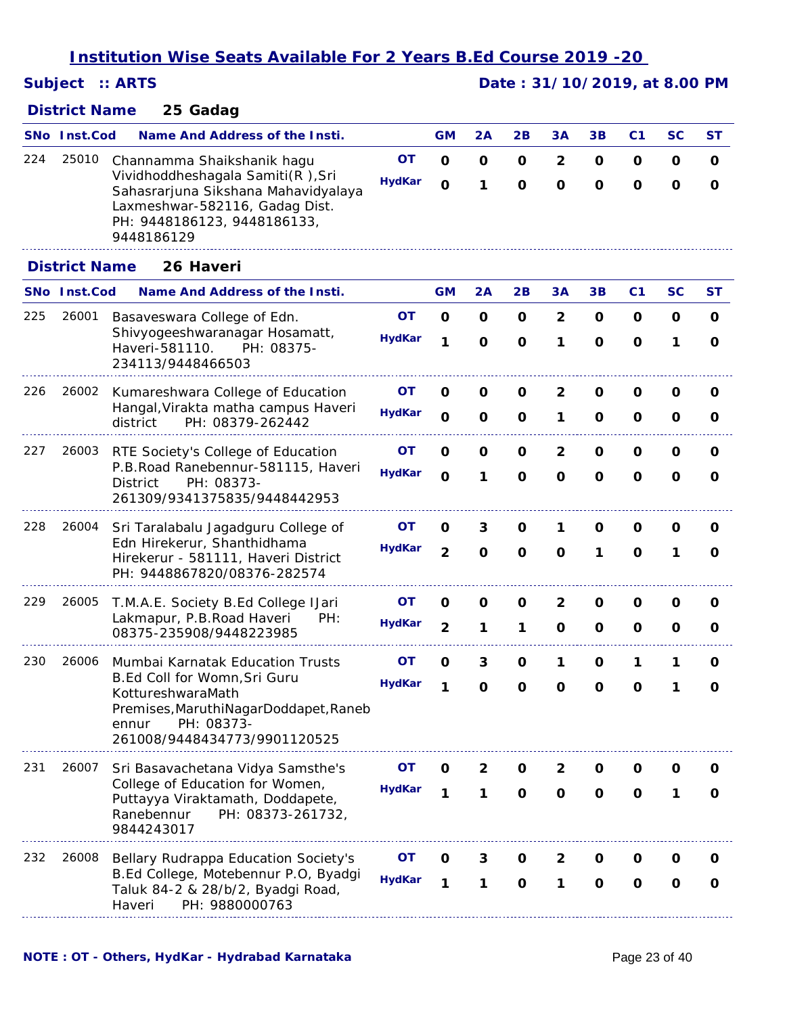|  |  |  | <b>Institution Wise Seats Available For 2 Years B.Ed Course 201</b> |
|--|--|--|---------------------------------------------------------------------|
|  |  |  |                                                                     |

| Subject :: ARTS |  |
|-----------------|--|
|                 |  |

## *Subject :: ARTS Date : 31/10/2019, at 8.00 PM*

### **25 Gadag** *District Name*

|     | SNo Inst.Cod         | <b>Name And Address of the Insti.</b>                                                                                                                                                 |                            | <b>GM</b>         | 2Α          | 2B               | 3A                            | 3В               | C <sub>1</sub>             | <b>SC</b> | <b>ST</b>    |
|-----|----------------------|---------------------------------------------------------------------------------------------------------------------------------------------------------------------------------------|----------------------------|-------------------|-------------|------------------|-------------------------------|------------------|----------------------------|-----------|--------------|
| 224 | 25010                | Channamma Shaikshanik hagu<br>Vividhoddheshagala Samiti(R), Sri<br>Sahasrarjuna Sikshana Mahavidyalaya<br>Laxmeshwar-582116, Gadag Dist.<br>PH: 9448186123, 9448186133,<br>9448186129 | <b>OT</b><br><b>HydKar</b> | O<br>$\mathbf{o}$ | O<br>1      | $\mathbf 0$<br>O | $\overline{2}$<br>$\mathbf 0$ | O<br>$\mathbf 0$ | $\mathbf 0$<br>$\mathbf 0$ | O<br>O    | O<br>0       |
|     | <b>District Name</b> | 26 Haveri                                                                                                                                                                             |                            |                   |             |                  |                               |                  |                            |           |              |
|     | <b>SNo Inst.Cod</b>  | Name And Address of the Insti.                                                                                                                                                        |                            | <b>GM</b>         | 2A          | 2B               | 3A                            | 3B               | C <sub>1</sub>             | SC        | <b>ST</b>    |
| 225 | 26001                | Basaveswara College of Edn.                                                                                                                                                           | OΤ                         | $\mathbf 0$       | O           | $\mathbf 0$      | $\overline{2}$                | 0                | $\mathbf{o}$               | O         | $\mathbf{o}$ |
|     |                      | Shivyogeeshwaranagar Hosamatt,<br>Haveri-581110.<br>PH: 08375-<br>234113/9448466503                                                                                                   | <b>HydKar</b>              | 1                 | $\mathbf 0$ | $\mathbf 0$      | 1                             | O                | $\mathbf 0$                | 1         | O            |
| 226 | 26002                | Kumareshwara College of Education                                                                                                                                                     | <b>OT</b>                  | 0                 | O           | O                | 2                             | O                | O                          | 0         | 0            |
|     |                      | Hangal, Virakta matha campus Haveri<br>PH: 08379-262442<br>district                                                                                                                   | <b>HydKar</b>              | $\mathbf 0$       | O           | $\mathbf 0$      | 1                             | O                | 0                          | O         | 0            |
| 227 | 26003                | RTE Society's College of Education                                                                                                                                                    | OΤ                         | 0                 | 0           | O                | 2                             | O                | O                          | O         | O            |
|     |                      | P.B.Road Ranebennur-581115, Haveri<br>PH: 08373-<br><b>District</b><br>261309/9341375835/9448442953                                                                                   | <b>HydKar</b>              | $\mathbf O$       | 1           | $\mathbf 0$      | $\mathbf 0$                   | O                | $\mathbf 0$                | O         | 0            |
| 228 | 26004                | Sri Taralabalu Jagadguru College of                                                                                                                                                   | OΤ                         | 0                 | 3           | O                | 1                             | O                | O                          | 0         | 0            |
|     |                      | Edn Hirekerur, Shanthidhama<br>Hirekerur - 581111, Haveri District<br>PH: 9448867820/08376-282574                                                                                     | <b>HydKar</b>              | $\overline{2}$    | O           | $\mathbf 0$      | O                             | 1                | $\mathbf 0$                | 1         | 0            |
| 229 | 26005                | T.M.A.E. Society B.Ed College IJari                                                                                                                                                   | OΤ                         | 0                 | O           | O                | 2                             | O                | O                          | O         | 0            |
|     |                      | Lakmapur, P.B. Road Haveri<br>PH:<br>08375-235908/9448223985                                                                                                                          | <b>HydKar</b>              | $\overline{2}$    | 1           | 1                | $\mathbf 0$                   | O                | O                          | O         | 0            |
| 230 | 26006                | Mumbai Karnatak Education Trusts                                                                                                                                                      | OΤ                         | O                 | 3           | $\mathbf 0$      | 1                             | O                | 1                          | 1         | O            |
|     |                      | B.Ed Coll for Womn, Sri Guru<br>KottureshwaraMath                                                                                                                                     | <b>HydKar</b>              | 1                 | O           | $\mathbf 0$      | $\mathbf 0$                   | $\Omega$         | 0                          | 1         | 0            |
|     |                      | Premises, Maruthi Nagar Doddapet, Raneb<br>PH: 08373-<br>ennur<br>261008/9448434773/9901120525                                                                                        |                            |                   |             |                  |                               |                  |                            |           |              |
| 231 | 26007                | Sri Basavachetana Vidya Samsthe's                                                                                                                                                     | OT.                        | O                 | 2           | O                | 2                             | O                | O                          | O         | O            |
|     |                      | College of Education for Women,<br>Puttayya Viraktamath, Doddapete,<br>Ranebennur<br>PH: 08373-261732,<br>9844243017                                                                  | <b>HydKar</b>              | 1                 | 1           | O                | O                             | O                | O                          | 1         | O            |
| 232 | 26008                | Bellary Rudrappa Education Society's                                                                                                                                                  | OТ                         | O                 | З           | O                | 2                             | O                | Ő                          |           | Ő            |
|     |                      | B.Ed College, Motebennur P.O, Byadgi<br>Taluk 84-2 & 28/b/2, Byadgi Road,<br>PH: 9880000763<br>Haveri                                                                                 | <b>HydKar</b>              | 1                 | 1           | $\mathbf 0$      | 1                             | 0                | 0                          | 0         | O            |
|     |                      |                                                                                                                                                                                       |                            |                   |             |                  |                               |                  |                            |           |              |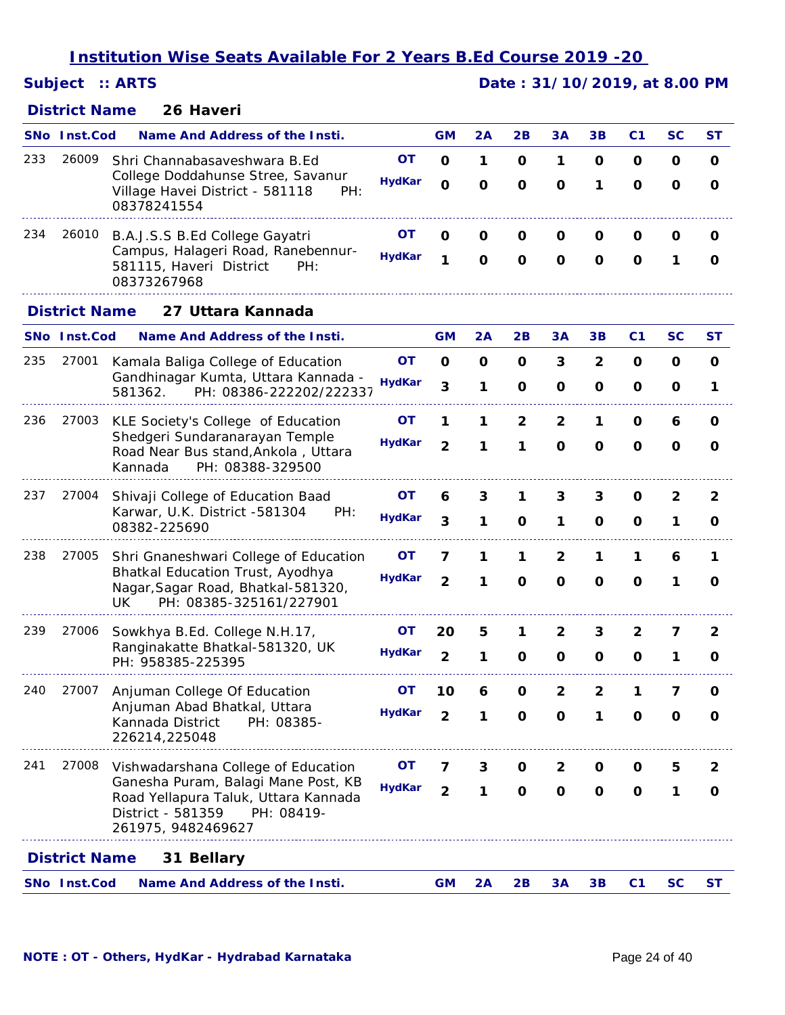## *Subject :: ARTS Date : 31/10/2019, at 8.00 PM*

### **26 Haveri** *District Name*

|     | <b>SNo</b> Inst.Cod  |                                                                   | <b>Name And Address of the Insti.</b>                                                     |               | <b>GM</b>               | 2A           | 2B           | 3A             | 3B             | C <sub>1</sub> | <b>SC</b>   | <b>ST</b>    |
|-----|----------------------|-------------------------------------------------------------------|-------------------------------------------------------------------------------------------|---------------|-------------------------|--------------|--------------|----------------|----------------|----------------|-------------|--------------|
| 233 | 26009                | Shri Channabasaveshwara B.Ed                                      |                                                                                           | <b>OT</b>     | $\mathbf 0$             | 1            | 0            | 1              | O              | O              | 0           | $\mathbf{o}$ |
|     |                      | Village Havei District - 581118<br>08378241554                    | College Doddahunse Stree, Savanur<br>PH:                                                  | <b>HydKar</b> | $\mathbf O$             | $\mathbf{o}$ | $\mathbf 0$  | $\mathbf 0$    | 1              | $\mathbf 0$    | $\mathbf 0$ | $\mathbf 0$  |
| 234 | 26010                | B.A.J.S.S B.Ed College Gayatri                                    |                                                                                           | OΤ            | O                       | O            | 0            | O              | O              | O              | 0           | O            |
|     |                      | 581115, Haveri District<br>08373267968                            | Campus, Halageri Road, Ranebennur-<br>PH:                                                 | <b>HydKar</b> | 1                       | $\mathbf 0$  | $\mathbf{o}$ | $\mathbf o$    | O              | O              | 1           | O            |
|     | <b>District Name</b> |                                                                   | 27 Uttara Kannada                                                                         |               |                         |              |              |                |                |                |             |              |
|     | <b>SNo</b> Inst.Cod  |                                                                   | <b>Name And Address of the Insti.</b>                                                     |               | <b>GM</b>               | 2A           | 2B           | 3A             | 3B             | C <sub>1</sub> | <b>SC</b>   | <b>ST</b>    |
| 235 | 27001                | Kamala Baliga College of Education                                |                                                                                           | <b>OT</b>     | O                       | O            | O            | 3              | $\overline{2}$ | $\mathbf 0$    | O           | $\mathbf{o}$ |
|     |                      | 581362.                                                           | Gandhinagar Kumta, Uttara Kannada -<br>PH: 08386-222202/222337                            | <b>HydKar</b> | 3                       | 1            | O            | O              | 0              | O              | O           | 1            |
| 236 | 27003                | KLE Society's College of Education                                |                                                                                           | OΤ            | 1                       | 1            | 2            | $\overline{2}$ | 1              | 0              | 6           | O            |
|     |                      | Shedgeri Sundaranarayan Temple<br>Kannada                         | Road Near Bus stand, Ankola, Uttara<br>PH: 08388-329500                                   | <b>HydKar</b> | $\overline{2}$          | 1            | 1            | $\mathbf 0$    | $\mathbf 0$    | $\mathbf 0$    | $\mathbf 0$ | $\mathbf 0$  |
| 237 | 27004                | Shivaji College of Education Baad                                 |                                                                                           | OΤ            | 6                       | 3            | 1            | 3              | 3              | O              | 2           | 2            |
|     |                      | Karwar, U.K. District -581304<br>08382-225690                     | PH:                                                                                       | <b>HydKar</b> | 3                       | 1            | O            | 1              | 0              | 0              | 1           | O            |
| 238 | 27005                |                                                                   | Shri Gnaneshwari College of Education                                                     | OΤ            | 7                       | 1            | 1            | 2              | 1              | 1              | 6           | 1            |
|     |                      | Bhatkal Education Trust, Ayodhya<br>UK.                           | Nagar, Sagar Road, Bhatkal-581320,<br>PH: 08385-325161/227901                             | <b>HydKar</b> | $\overline{2}$          | 1            | $\mathbf 0$  | O              | O              | $\mathbf 0$    | 1           | O            |
| 239 | 27006                | Sowkhya B.Ed. College N.H.17,                                     |                                                                                           | OТ            | 20                      | 5            | 1            | 2              | 3              | 2              | 7           | 2            |
|     |                      | Ranginakatte Bhatkal-581320, UK<br>PH: 958385-225395              |                                                                                           | <b>HydKar</b> | $\overline{\mathbf{c}}$ | 1            | O            | O              | O              | O              | 1           | 0            |
| 240 | 27007                | Anjuman College Of Education                                      |                                                                                           | OΤ            | 10                      | 6            | O            | $\overline{2}$ | $\overline{2}$ | 1              | 7           | $\mathbf 0$  |
|     |                      | Anjuman Abad Bhatkal, Uttara<br>Kannada District<br>226214,225048 | PH: 08385-                                                                                | <b>HydKar</b> | 2                       | 1            | O            | O              | 1              | 0              | O           | 0            |
| 241 | 27008                |                                                                   | Vishwadarshana College of Education                                                       | OT            | 7                       | 3            | O            | 2              | O              | 0              | 5           | 2            |
|     |                      | District - 581359<br>261975, 9482469627                           | Ganesha Puram, Balagi Mane Post, KB<br>Road Yellapura Taluk, Uttara Kannada<br>PH: 08419- | <b>HydKar</b> | $\overline{2}$          | 1            | $\mathbf 0$  | $\mathbf{o}$   | O              | O              | 1           | O            |
|     | <b>District Name</b> | 31 Bellary                                                        |                                                                                           |               |                         |              |              |                |                |                |             |              |
|     | SNo Inst.Cod         |                                                                   | <b>Name And Address of the Insti.</b>                                                     |               | <b>GM</b>               | 2A           | 2B           | 3A             | 3B             | C <sub>1</sub> | SC          | <b>ST</b>    |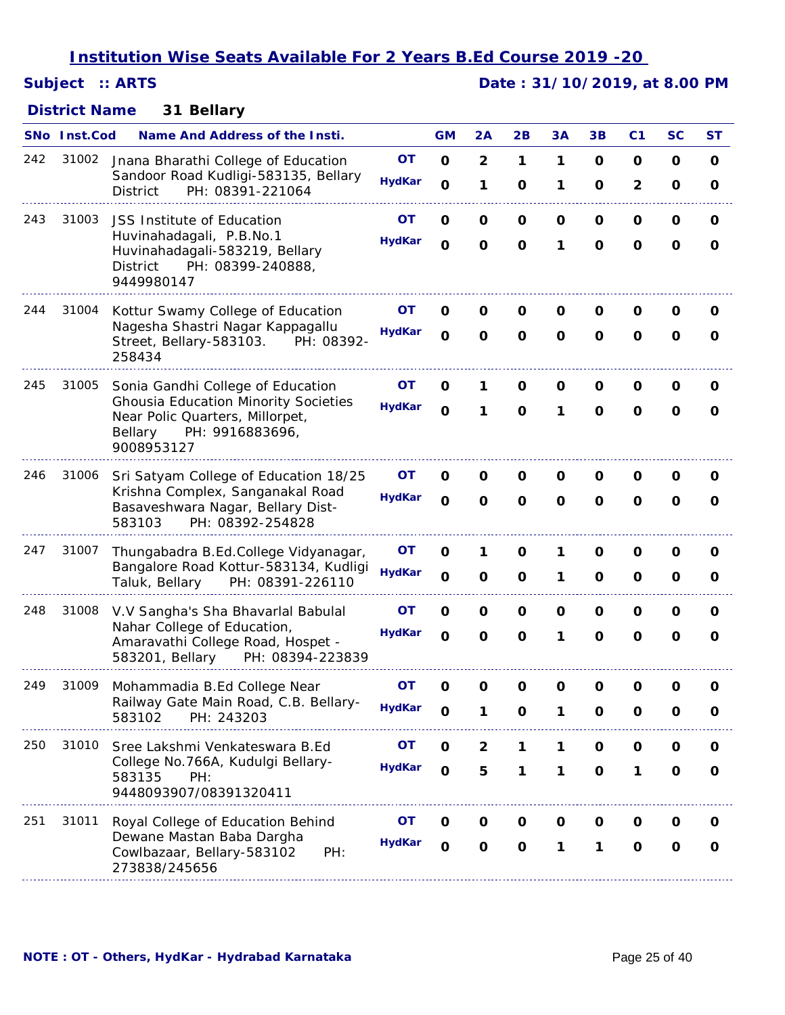## *Subject :: ARTS Date : 31/10/2019, at 8.00 PM*

### **31 Bellary** *District Name*

|     | <b>SNo</b> Inst.Cod | <b>Name And Address of the Insti.</b>                                                                                      |               | <b>GM</b>    | 2A                      | 2B           | 3A           | 3B           | C <sub>1</sub> | <b>SC</b>    | ST          |
|-----|---------------------|----------------------------------------------------------------------------------------------------------------------------|---------------|--------------|-------------------------|--------------|--------------|--------------|----------------|--------------|-------------|
| 242 | 31002               | Jnana Bharathi College of Education                                                                                        | <b>OT</b>     | $\mathbf 0$  | $\overline{2}$          | 1            | 1            | $\mathbf 0$  | O              | $\mathbf 0$  | 0           |
|     |                     | Sandoor Road Kudligi-583135, Bellary<br><b>District</b><br>PH: 08391-221064                                                | <b>HydKar</b> | $\mathbf 0$  | 1                       | $\mathbf 0$  | 1            | $\mathbf{o}$ | $\overline{2}$ | O            | O           |
| 243 | 31003               | <b>JSS Institute of Education</b>                                                                                          | OΤ            | O            | $\mathbf{o}$            | $\mathbf 0$  | O            | $\mathbf 0$  | O              | O            | O           |
|     |                     | Huvinahadagali, P.B.No.1<br>Huvinahadagali-583219, Bellary<br>PH: 08399-240888,<br><b>District</b><br>9449980147           | <b>HydKar</b> | $\mathbf{o}$ | $\mathbf{o}$            | $\mathbf{o}$ | 1            | $\mathbf{o}$ | $\mathbf{o}$   | O            | O           |
| 244 | 31004               | Kottur Swamy College of Education                                                                                          | OΤ            | O            | O                       | O            | 0            | O            | 0              | O            | O           |
|     |                     | Nagesha Shastri Nagar Kappagallu<br>Street, Bellary-583103.<br>PH: 08392-<br>258434                                        | <b>HydKar</b> | $\mathbf{o}$ | $\mathbf 0$             | $\mathbf 0$  | O            | O            | O              | O            | 0           |
| 245 | 31005               | Sonia Gandhi College of Education                                                                                          | <b>OT</b>     | O            | 1                       | O            | O            | O            | 0              | O            | O           |
|     |                     | <b>Ghousia Education Minority Societies</b><br>Near Polic Quarters, Millorpet,<br>Bellary<br>PH: 9916883696,<br>9008953127 | <b>HydKar</b> | $\mathbf{o}$ | 1                       | $\mathbf 0$  | 1            | $\mathbf 0$  | O              | O            | O           |
| 246 | 31006               | Sri Satyam College of Education 18/25                                                                                      | <b>OT</b>     | 0            | O                       | O            | O            | O            | O              | O            | O           |
|     |                     | Krishna Complex, Sanganakal Road<br>Basaveshwara Nagar, Bellary Dist-<br>PH: 08392-254828<br>583103                        | <b>HydKar</b> | $\mathbf{o}$ | $\mathbf 0$             | $\mathbf 0$  | $\mathbf{o}$ | $\mathbf 0$  | $\mathbf 0$    | O            | O           |
| 247 | 31007               | Thungabadra B.Ed.College Vidyanagar,                                                                                       | <b>OT</b>     | O            | 1                       | $\mathbf 0$  | 1            | 0            | O              | O            | O           |
|     |                     | Bangalore Road Kottur-583134, Kudligi<br>PH: 08391-226110<br>Taluk, Bellary                                                | <b>HydKar</b> | $\mathbf 0$  | $\mathbf 0$             | $\mathbf 0$  | 1            | $\mathbf 0$  | $\Omega$       | O            | O           |
| 248 | 31008               | V.V Sangha's Sha Bhavarlal Babulal                                                                                         | OΤ            | O            | O                       | $\mathbf 0$  | O            | $\mathbf 0$  | O              | $\mathbf 0$  | O           |
|     |                     | Nahar College of Education,<br>Amaravathi College Road, Hospet -<br>583201, Bellary<br>PH: 08394-223839                    | <b>HydKar</b> | $\Omega$     | $\mathbf 0$             | $\mathbf 0$  | 1            | $\mathbf 0$  | $\Omega$       | O            | $\Omega$    |
| 249 | 31009               | Mohammadia B.Ed College Near                                                                                               | ΟT            | O            | $\mathbf o$             | O            | O            | O            | O              | O            | $\mathbf o$ |
|     |                     | Railway Gate Main Road, C.B. Bellary-<br>583102<br>PH: 243203                                                              | <b>HydKar</b> | O            | 1                       | $\mathbf{o}$ | 1            | $\mathbf{o}$ | $\mathbf 0$    | O            | O           |
| 250 | 31010               | Sree Lakshmi Venkateswara B.Ed                                                                                             | OT            | $\mathbf{o}$ | $\overline{\mathbf{2}}$ | 1            | 1            | O            | $\mathbf o$    | O            | O           |
|     |                     | College No.766A, Kudulgi Bellary-<br>583135<br>PH:<br>9448093907/08391320411                                               | <b>HydKar</b> | $\mathbf 0$  | 5                       | 1            | 1            | $\mathbf 0$  | 1              | $\mathbf 0$  | O           |
| 251 | 31011               | Royal College of Education Behind                                                                                          | OΤ            | $\mathbf 0$  | O                       | O            | O            | O            | O              | $\mathbf 0$  | 0           |
|     |                     | Dewane Mastan Baba Dargha<br>Cowlbazaar, Bellary-583102<br>PH:<br>273838/245656                                            | <b>HydKar</b> | $\mathbf 0$  | $\mathbf{o}$            | $\mathbf{o}$ | 1            | 1            | $\mathbf{o}$   | $\mathbf{o}$ | O           |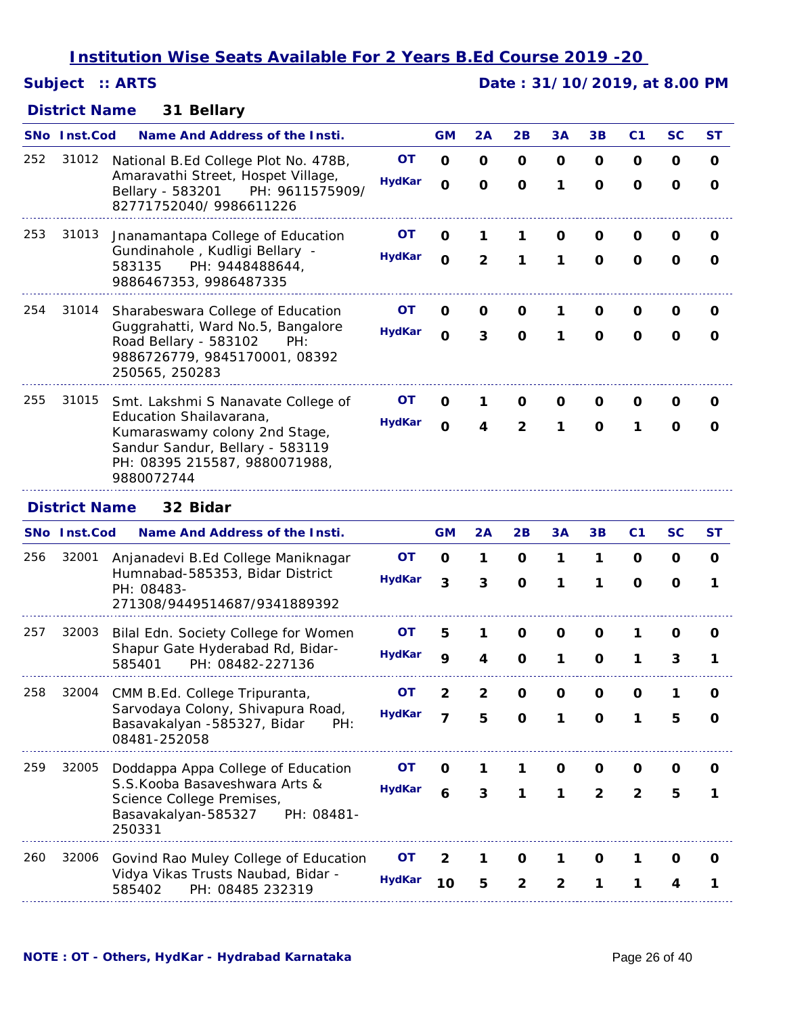## *Subject :: ARTS Date : 31/10/2019, at 8.00 PM*

### **31 Bellary** *District Name*

|     | <b>SNo</b> Inst.Cod  | <b>Name And Address of the Insti.</b>                                                                                                      |               | <b>GM</b>      | 2A                      | 2B             | 3A           | 3B             | C <sub>1</sub> | SC          | ST           |
|-----|----------------------|--------------------------------------------------------------------------------------------------------------------------------------------|---------------|----------------|-------------------------|----------------|--------------|----------------|----------------|-------------|--------------|
| 252 | 31012                | National B.Ed College Plot No. 478B,                                                                                                       | <b>OT</b>     | $\mathbf 0$    | $\mathbf 0$             | 0              | 0            | 0              | O              | 0           | O            |
|     |                      | Amaravathi Street, Hospet Village,<br>Bellary - 583201<br>PH: 9611575909/<br>82771752040/9986611226                                        | <b>HydKar</b> | $\mathbf{o}$   | $\mathbf 0$             | $\mathbf{o}$   | 1            | $\mathbf 0$    | O              | O           | 0            |
| 253 | 31013                | Jnanamantapa College of Education                                                                                                          | <b>OT</b>     | O              | 1                       | 1              | 0            | 0              | O              | 0           | 0            |
|     |                      | Gundinahole, Kudligi Bellary -<br>583135<br>PH: 9448488644,<br>9886467353, 9986487335                                                      | <b>HydKar</b> | $\mathbf{o}$   | $\overline{\mathbf{c}}$ | 1              | 1            | $\mathbf 0$    | $\mathbf 0$    | $\mathbf 0$ | O            |
| 254 | 31014                | Sharabeswara College of Education                                                                                                          | OΤ            | O              | O                       | 0              | 1            | O              | O              | O           | O            |
|     |                      | Guggrahatti, Ward No.5, Bangalore<br>Road Bellary - 583102<br>PH:<br>9886726779, 9845170001, 08392<br>250565, 250283                       | <b>HydKar</b> | $\mathbf 0$    | 3                       | $\mathbf{o}$   | 1            | O              | O              | O           | 0            |
| 255 | 31015                | Smt. Lakshmi S Nanavate College of                                                                                                         | OТ            | O              | 1                       | O              | 0            | 0              | O              | O           | 0            |
|     |                      | Education Shailavarana,<br>Kumaraswamy colony 2nd Stage,<br>Sandur Sandur, Bellary - 583119<br>PH: 08395 215587, 9880071988,<br>9880072744 | <b>HydKar</b> | $\mathbf{o}$   | 4                       | $\overline{2}$ | 1            | O              | 1              | O           | O            |
|     | <b>District Name</b> | 32 Bidar                                                                                                                                   |               |                |                         |                |              |                |                |             |              |
|     | <b>SNo</b> Inst.Cod  | <b>Name And Address of the Insti.</b>                                                                                                      |               | <b>GM</b>      | 2A                      | 2B             | 3A           | 3B             | C <sub>1</sub> | SC          | ST           |
| 256 | 32001                | Anjanadevi B.Ed College Maniknagar<br>Humnabad-585353, Bidar District                                                                      | <b>OT</b>     | $\mathbf 0$    | 1                       | $\mathbf 0$    | 1            | 1              | 0              | 0           | $\mathbf{o}$ |
|     |                      | PH: 08483-<br>271308/9449514687/9341889392                                                                                                 | <b>HydKar</b> | 3              | 3                       | $\mathbf 0$    | 1            | 1              | $\mathbf 0$    | $\mathbf 0$ | 1            |
| 257 | 32003                | Bilal Edn. Society College for Women                                                                                                       | OΤ            | 5              | 1                       | O              | 0            | O              | 1              | 0           | 0            |
|     |                      | Shapur Gate Hyderabad Rd, Bidar-<br>PH: 08482-227136<br>585401                                                                             | <b>HydKar</b> | 9              | 4                       | $\mathbf 0$    | 1            | O              | 1              | 3           | 1            |
| 258 |                      | 32004 CMM B.Ed. College Tripuranta,                                                                                                        | OΤ            | $\mathcal{P}$  | 2                       | O.             | O.           | O.             | <sup>o</sup>   | 1           | <sup>n</sup> |
|     |                      | Sarvodaya Colony, Shivapura Road,<br>Basavakalyan -585327, Bidar<br>PH:<br>08481-252058                                                    | <b>HydKar</b> | $\overline{7}$ | 5                       | $\mathbf 0$    | 1            | O              | 1              | 5           | O            |
| 259 | 32005                | Doddappa Appa College of Education                                                                                                         | ΟT            | O              |                         | 1              | O            | O              | O              | Ő           | O            |
|     |                      | S.S.Kooba Basaveshwara Arts &<br>Science College Premises,<br>Basavakalyan-585327<br>PH: 08481-<br>250331                                  | <b>HydKar</b> | 6              | 3                       | 1              | 1            | $\overline{2}$ | $\overline{2}$ | 5           | 1            |
| 260 | 32006                | Govind Rao Muley College of Education                                                                                                      | OТ            | 2              | 1                       | O              | 1            | 0              | 1              | O           | 0            |
|     |                      | Vidya Vikas Trusts Naubad, Bidar -<br>585402<br>PH: 08485 232319                                                                           | <b>HydKar</b> | 10             | 5                       | $\mathbf 2$    | $\mathbf{2}$ | 1              | 1              | 4           | 1            |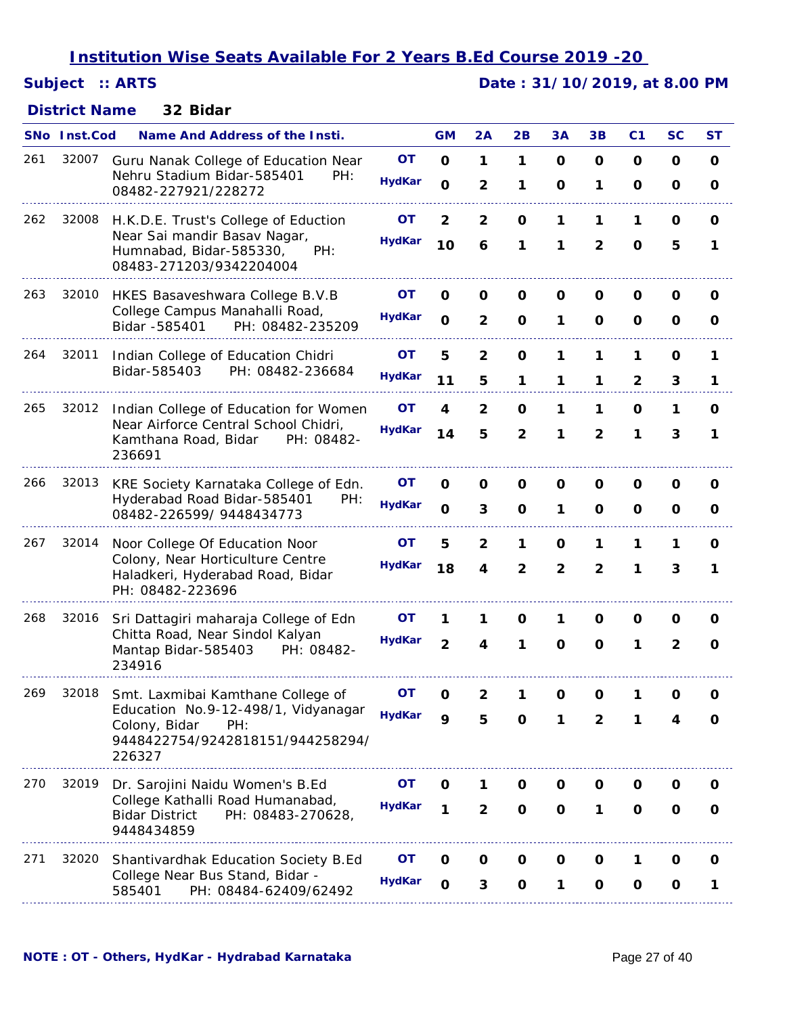## *Subject :: ARTS Date : 31/10/2019, at 8.00 PM*

### **32 Bidar** *District Name*

|     | <b>SNo Inst.Cod</b> | <b>Name And Address of the Insti.</b>                                                                                                          |                            | <b>GM</b>                   | 2A                  | 2B                           | 3A                           | 3B                  | C <sub>1</sub>   | SC                | ST                |
|-----|---------------------|------------------------------------------------------------------------------------------------------------------------------------------------|----------------------------|-----------------------------|---------------------|------------------------------|------------------------------|---------------------|------------------|-------------------|-------------------|
| 261 | 32007               | Guru Nanak College of Education Near<br>Nehru Stadium Bidar-585401<br>PH:<br>08482-227921/228272                                               | <b>OT</b><br><b>HydKar</b> | $\mathbf 0$<br>$\mathbf{o}$ | 1<br>2              | 1<br>1                       | $\mathbf 0$<br>O             | O<br>1              | O<br>O           | O<br>O            | $\mathbf 0$<br>O  |
| 262 | 32008               | H.K.D.E. Trust's College of Eduction<br>Near Sai mandir Basav Nagar,<br>Humnabad, Bidar-585330,<br>PH:<br>08483-271203/9342204004              | <b>OT</b><br><b>HydKar</b> | $\overline{2}$<br>10        | $\overline{2}$<br>6 | $\mathbf 0$<br>1             | 1<br>1                       | 1<br>$\overline{2}$ | 1<br>O           | 0<br>5            | O<br>1            |
| 263 | 32010               | HKES Basaveshwara College B.V.B<br>College Campus Manahalli Road,<br>Bidar -585401<br>PH: 08482-235209                                         | OТ<br><b>HydKar</b>        | 0<br>$\mathbf 0$            | O<br>2              | O<br>O                       | 0<br>1                       | O<br>O              | 0<br>O           | 0<br>O            | O<br>O            |
| 264 | 32011               | Indian College of Education Chidri<br>Bidar-585403<br>PH: 08482-236684                                                                         | <b>OT</b><br><b>HydKar</b> | 5<br>11                     | $\mathbf{2}$<br>5   | 0<br>1                       | 1<br>1                       | 1<br>1              | 1<br>2           | 0<br>З            | 1<br>1            |
| 265 | 32012               | Indian College of Education for Women<br>Near Airforce Central School Chidri,<br>Kamthana Road, Bidar<br>PH: 08482-<br>236691                  | OΤ<br><b>HydKar</b>        | 4<br>14                     | $\mathbf{2}$<br>5   | 0<br>$\mathbf{2}$            | 1<br>1                       | 1<br>$\overline{2}$ | $\mathbf 0$<br>1 | 1<br>3            | O<br>1            |
| 266 | 32013               | KRE Society Karnataka College of Edn.<br>Hyderabad Road Bidar-585401<br>PH:<br>08482-226599/9448434773                                         | OΤ<br><b>HydKar</b>        | O<br>$\mathbf 0$            | 0<br>3              | O<br>O                       | 0<br>1                       | 0<br>O              | O<br>O           | O<br>O            | O<br>O            |
| 267 | 32014               | Noor College Of Education Noor<br>Colony, Near Horticulture Centre<br>Haladkeri, Hyderabad Road, Bidar<br>PH: 08482-223696                     | OT.<br><b>HydKar</b>       | 5<br>18                     | $\overline{2}$<br>4 | 1<br>$\overline{\mathbf{2}}$ | O<br>$\overline{\mathbf{2}}$ | 1<br>$\overline{2}$ | 1<br>1           | 1<br>3            | O<br>1            |
| 268 | 32016               | Sri Dattagiri maharaja College of Edn<br>Chitta Road, Near Sindol Kalyan<br>Mantap Bidar-585403<br>PH: 08482-<br>234916                        | OΤ<br><b>HydKar</b>        | $\overline{2}$              | 1<br>4              | O<br>1                       | 1<br>$\mathbf{o}$            | 0<br>$\mathbf{o}$   | 0<br>1           | O<br>$\mathbf{2}$ | O<br>$\mathbf{o}$ |
| 269 | 32018               | Smt. Laxmibai Kamthane College of<br>Education No.9-12-498/1, Vidyanagar<br>Colony, Bidar<br>PH:<br>9448422754/9242818151/944258294/<br>226327 | OT.<br><b>HydKar</b>       | 0<br>9                      | $\mathcal{P}$<br>5  | 1.<br>O                      | 0<br>1                       | 0<br>2              | 1.<br>1          | $\Omega$          | O                 |
| 270 | 32019               | Dr. Sarojini Naidu Women's B.Ed<br>College Kathalli Road Humanabad,<br><b>Bidar District</b><br>PH: 08483-270628,<br>9448434859                | <b>OT</b><br><b>HydKar</b> | O<br>1                      | $\overline{2}$      | O<br>$\mathbf{o}$            | O<br>$\mathbf 0$             | O<br>1              | Ő<br>$\mathbf 0$ | O<br>O            | Ő<br>0            |
| 271 | 32020               | Shantivardhak Education Society B.Ed<br>College Near Bus Stand, Bidar -<br>585401<br>PH: 08484-62409/62492                                     | OT<br><b>HydKar</b>        | O<br>$\mathbf{o}$           | O<br>3              | O<br>$\mathbf{o}$            | 0<br>1                       | O<br>$\mathbf{o}$   | 1<br>O           | O<br>O            | O<br>1            |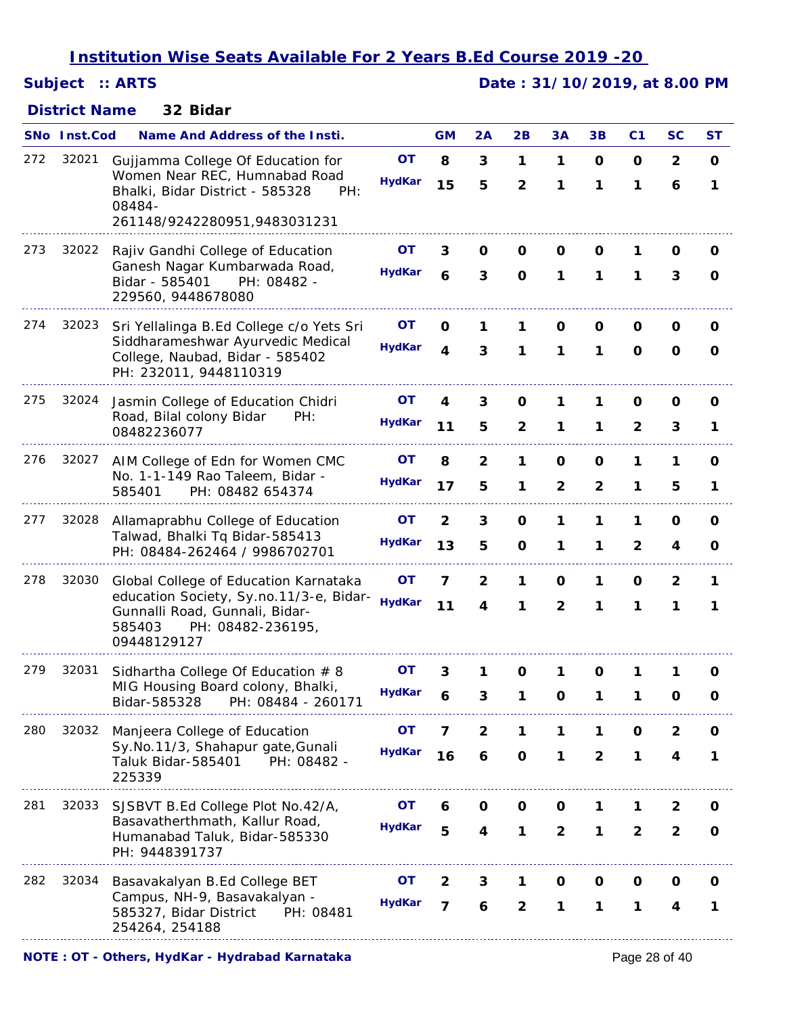## *Subject :: ARTS Date : 31/10/2019, at 8.00 PM*

### **32 Bidar** *District Name*

|     | SNo Inst.Cod | <b>Name And Address of the Insti.</b>                                                                                                                            |                            | <b>GM</b>                        | 2A                  | 2B                           | 3A                           | 3B                  | C <sub>1</sub>      | SC                  | <b>ST</b>        |
|-----|--------------|------------------------------------------------------------------------------------------------------------------------------------------------------------------|----------------------------|----------------------------------|---------------------|------------------------------|------------------------------|---------------------|---------------------|---------------------|------------------|
| 272 | 32021        | Gujjamma College Of Education for<br>Women Near REC, Humnabad Road<br>Bhalki, Bidar District - 585328<br>PH:<br>08484-<br>261148/9242280951,9483031231           | <b>OT</b><br><b>HydKar</b> | 8<br>15                          | 3<br>5              | 1<br>$\overline{\mathbf{c}}$ | 1<br>1                       | $\mathbf 0$<br>1    | $\mathbf 0$<br>1    | $\overline{2}$<br>6 | 0<br>1           |
| 273 | 32022        | Rajiv Gandhi College of Education<br>Ganesh Nagar Kumbarwada Road,<br>Bidar - 585401<br>PH: 08482 -<br>229560, 9448678080                                        | OΤ<br><b>HydKar</b>        | 3<br>6                           | 0<br>3              | O<br>$\mathbf 0$             | O<br>1                       | 0<br>1              | 1<br>1              | 0<br>3              | 0<br>O           |
| 274 | 32023        | Sri Yellalinga B.Ed College c/o Yets Sri<br>Siddharameshwar Ayurvedic Medical<br>College, Naubad, Bidar - 585402<br>PH: 232011, 9448110319                       | OΤ<br><b>HydKar</b>        | 0<br>4                           | 1<br>3              | 1<br>1                       | O<br>1                       | 0<br>1              | 0<br>$\mathbf 0$    | 0<br>$\mathbf 0$    | O<br>O           |
| 275 | 32024        | Jasmin College of Education Chidri<br>Road, Bilal colony Bidar<br>PH:<br>08482236077                                                                             | <b>OT</b><br><b>HydKar</b> | 4<br>11                          | 3<br>5              | O<br>$\overline{\mathbf{c}}$ | 1<br>1                       | 1<br>1              | O<br>$\mathbf{2}$   | O<br>3              | 0<br>1           |
| 276 | 32027        | AIM College of Edn for Women CMC<br>No. 1-1-149 Rao Taleem, Bidar -<br>585401<br>PH: 08482 654374                                                                | OΤ<br><b>HydKar</b>        | 8<br>17                          | $\overline{2}$<br>5 | 1<br>1                       | O<br>$\overline{2}$          | O<br>$\overline{2}$ | 1<br>1              | 1<br>5              | O<br>1           |
| 277 | 32028        | Allamaprabhu College of Education<br>Talwad, Bhalki Tq Bidar-585413<br>PH: 08484-262464 / 9986702701                                                             | ΟT<br><b>HydKar</b>        | $\mathbf{2}$<br>13               | 3<br>5              | $\mathbf{o}$<br>$\mathbf 0$  | 1<br>1                       | 1<br>1              | 1<br>$\overline{2}$ | $\mathbf 0$<br>4    | O<br>O           |
| 278 | 32030        | Global College of Education Karnataka<br>education Society, Sy.no.11/3-e, Bidar-<br>Gunnalli Road, Gunnali, Bidar-<br>585403<br>PH: 08482-236195,<br>09448129127 | ΟT<br><b>HydKar</b>        | 7<br>11                          | $\overline{2}$<br>4 | 1<br>1                       | O<br>$\overline{2}$          | 1<br>1              | O<br>1              | $\mathbf{2}$<br>1   | 1<br>1           |
| 279 | 32031        | Sidhartha College Of Education # 8<br>MIG Housing Board colony, Bhalki,<br>Bidar-585328<br>PH: 08484 - 260171                                                    | OΤ<br><b>HydKar</b>        | 3<br>ѧ                           | 1<br>ર              | O<br>1                       | 1<br>0                       | O<br>1              | 1<br>1              | 1<br>O              | O                |
| 280 | 32032        | Manjeera College of Education<br>Sy.No.11/3, Shahapur gate, Gunali<br>Taluk Bidar-585401<br>PH: 08482 -<br>225339                                                | OT<br><b>HydKar</b>        | 7<br>16                          | $\mathbf{2}$<br>6   | 1<br>$\mathbf 0$             | 1<br>1                       | 1<br>$\overline{2}$ | 0<br>1              | $\mathbf{2}$<br>4   | 0<br>1           |
| 281 | 32033        | SJSBVT B.Ed College Plot No.42/A,<br>Basavatherthmath, Kallur Road,<br>Humanabad Taluk, Bidar-585330<br>PH: 9448391737                                           | ΟT<br><b>HydKar</b>        | 6<br>5                           | O<br>4              | O<br>1                       | O<br>$\overline{\mathbf{c}}$ | 1<br>1              | 1<br>$\overline{2}$ | 2<br>$\overline{2}$ | 0<br>$\mathbf 0$ |
| 282 | 32034        | Basavakalyan B.Ed College BET<br>Campus, NH-9, Basavakalyan -<br>585327, Bidar District<br>PH: 08481<br>254264, 254188                                           | OT<br><b>HydKar</b>        | $\overline{2}$<br>$\overline{7}$ | 3<br>6              | 1<br>$\overline{2}$          | O<br>1                       | O<br>1              | O<br>1              | O<br>4              | 0<br>1           |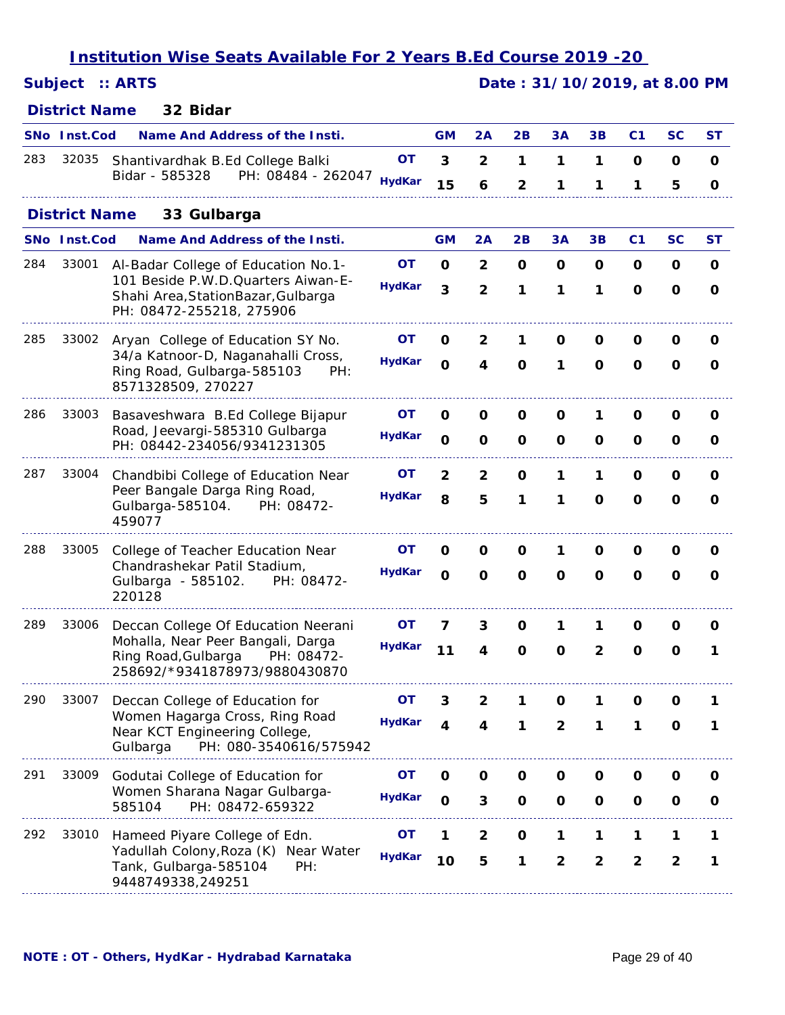|                 | <b>Institution Wise Seats Available For 2 Years B.Ed Course 2019 -20</b> |  |
|-----------------|--------------------------------------------------------------------------|--|
| Subject :: ARTS | Date: 31/10/2019, at 8.00 PM                                             |  |

# **32 Bidar** *District Name*

|     | SNo Inst.Cod         | Name And Address of the Insti.                                                                          |               | <b>GM</b>    | 2A                      | 2B           | 3A             | 3B                      | C <sub>1</sub> | <b>SC</b>      | <b>ST</b>   |
|-----|----------------------|---------------------------------------------------------------------------------------------------------|---------------|--------------|-------------------------|--------------|----------------|-------------------------|----------------|----------------|-------------|
| 283 | 32035                | Shantivardhak B.Ed College Balki                                                                        | OT.           | 3            | $\overline{2}$          | 1            | 1              | 1                       | $\mathbf 0$    | $\mathbf 0$    | $\mathbf 0$ |
|     |                      | PH: 08484 - 262047<br>Bidar - 585328                                                                    | <b>HydKar</b> | 15           | 6                       | $\mathbf{2}$ | 1              | 1                       | 1              | 5              | O           |
|     | <b>District Name</b> | 33 Gulbarga                                                                                             |               |              |                         |              |                |                         |                |                |             |
|     | SNo Inst.Cod         | <b>Name And Address of the Insti.</b>                                                                   |               | <b>GM</b>    | 2A                      | 2B           | 3A             | 3B                      | C <sub>1</sub> | <b>SC</b>      | <b>ST</b>   |
| 284 | 33001                | Al-Badar College of Education No.1-                                                                     | <b>OT</b>     | O            | $\overline{\mathbf{2}}$ | O            | $\mathbf 0$    | $\mathbf 0$             | O              | O              | $\mathbf 0$ |
|     |                      | 101 Beside P.W.D.Quarters Aiwan-E-<br>Shahi Area, Station Bazar, Gulbarga<br>PH: 08472-255218, 275906   | <b>HydKar</b> | 3            | $\overline{\mathbf{2}}$ | 1            | 1              | 1                       | $\mathbf 0$    | $\mathbf 0$    | $\mathbf 0$ |
| 285 | 33002                | Aryan College of Education SY No.                                                                       | <b>OT</b>     | O            | $\overline{2}$          | 1            | O              | O                       | O              | O              | 0           |
|     |                      | 34/a Katnoor-D, Naganahalli Cross,<br>Ring Road, Gulbarga-585103<br>PH:<br>8571328509, 270227           | <b>HydKar</b> | $\mathbf 0$  | 4                       | $\mathbf 0$  | 1              | $\mathbf 0$             | $\mathbf 0$    | $\mathbf 0$    | O           |
| 286 | 33003                | Basaveshwara B.Ed College Bijapur                                                                       | <b>OT</b>     | O            | O                       | O            | $\mathbf 0$    | 1                       | $\mathbf 0$    | O              | O           |
|     |                      | Road, Jeevargi-585310 Gulbarga<br>PH: 08442-234056/9341231305                                           | <b>HydKar</b> | $\mathbf O$  | $\mathbf{o}$            | $\mathbf 0$  | $\mathbf 0$    | $\mathbf 0$             | $\mathbf 0$    | $\Omega$       | O           |
| 287 | 33004                | Chandbibi College of Education Near                                                                     | <b>OT</b>     | $\mathbf{2}$ | $\mathbf{2}$            | $\mathbf{o}$ | 1              | 1                       | O              | $\mathbf 0$    | O           |
|     |                      | Peer Bangale Darga Ring Road,<br>Gulbarga-585104.<br>PH: 08472-<br>459077                               | <b>HydKar</b> | 8            | 5                       | 1            | 1              | $\mathbf 0$             | $\mathbf{o}$   | $\mathbf 0$    | O           |
| 288 | 33005                | College of Teacher Education Near                                                                       | <b>OT</b>     | O            | O                       | O            | 1              | 0                       | 0              | O              | O           |
|     |                      | Chandrashekar Patil Stadium,<br>Gulbarga - 585102.<br>PH: 08472-<br>220128                              | <b>HydKar</b> | $\mathbf O$  | $\mathbf{o}$            | $\mathbf{o}$ | $\mathbf{o}$   | $\mathbf 0$             | $\mathbf 0$    | $\mathbf 0$    | $\Omega$    |
| 289 | 33006                | Deccan College Of Education Neerani                                                                     | OΤ            | 7            | 3                       | O            | 1              | 1                       | O              | O              | O           |
|     |                      | Mohalla, Near Peer Bangali, Darga<br>Ring Road, Gulbarga<br>PH: 08472-<br>258692/*9341878973/9880430870 | <b>HydKar</b> | 11           | $\overline{4}$          | $\mathbf{o}$ | $\mathbf 0$    | $\overline{2}$          | $\mathbf{o}$   | $\mathbf 0$    | 1           |
| 290 | 33007                | Deccan College of Education for                                                                         | OТ            |              |                         |              | O              |                         | $\mathbf 0$    |                |             |
|     |                      | Women Hagarga Cross, Ring Road<br>Near KCT Engineering College,<br>Gulbarga<br>PH: 080-3540616/575942   | <b>HydKar</b> |              |                         | 1            | 2              | 1                       | 1              | $\mathbf 0$    | 1           |
| 291 | 33009                | Godutai College of Education for                                                                        | <b>OT</b>     | $\mathbf{o}$ | O                       | O            | O              | $\mathbf 0$             | O              | $\mathbf 0$    | 0           |
|     |                      | Women Sharana Nagar Gulbarga-<br>PH: 08472-659322<br>585104                                             | <b>HydKar</b> | $\mathbf 0$  | 3                       | $\mathbf{o}$ | $\mathbf O$    | $\mathbf 0$             | $\mathbf 0$    | $\mathbf 0$    | $\mathbf 0$ |
| 292 | 33010                | Hameed Piyare College of Edn.                                                                           | OT            | 1            | $\mathbf{2}$            | $\mathbf{o}$ | 1              | 1                       | 1              | 1              | 1           |
|     |                      | Yadullah Colony, Roza (K) Near Water<br>Tank, Gulbarga-585104<br>PH:<br>9448749338,249251               | <b>HydKar</b> | 10           | 5                       | 1            | $\overline{2}$ | $\overline{\mathbf{2}}$ | $\overline{2}$ | $\overline{2}$ | 1           |
|     |                      |                                                                                                         |               |              |                         |              |                |                         |                |                |             |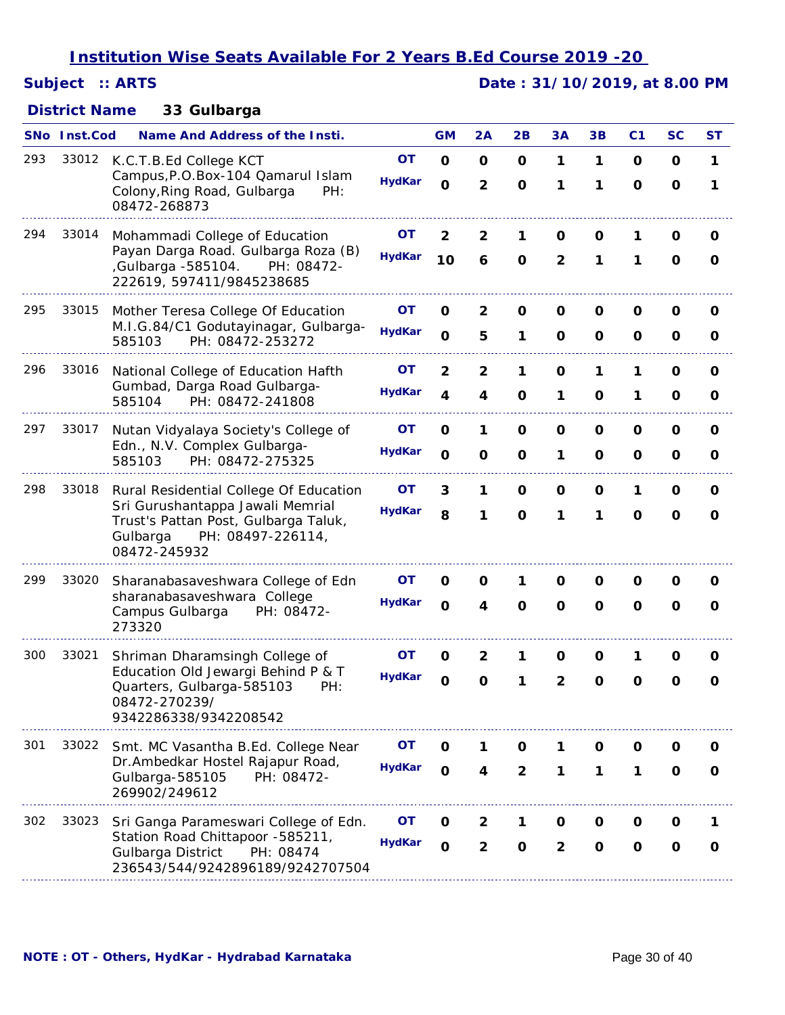## *Subject :: ARTS Date : 31/10/2019, at 8.00 PM*

### **33 Gulbarga** *District Name*

|     | SNo Inst.Cod | <b>Name And Address of the Insti.</b>                                                                                     |               | <b>GM</b>    | 2A                      | 2B             | 3A             | 3B           | C <sub>1</sub> | SC           | <b>ST</b>    |
|-----|--------------|---------------------------------------------------------------------------------------------------------------------------|---------------|--------------|-------------------------|----------------|----------------|--------------|----------------|--------------|--------------|
| 293 | 33012        | K.C.T.B.Ed College KCT                                                                                                    | <b>OT</b>     | $\mathbf 0$  | $\mathbf 0$             | $\mathbf 0$    | 1              | 1            | O              | 0            | $\mathbf{1}$ |
|     |              | Campus, P.O.Box-104 Qamarul Islam<br>Colony, Ring Road, Gulbarga<br>PH:<br>08472-268873                                   | <b>HydKar</b> | $\mathbf 0$  | $\overline{2}$          | $\mathbf 0$    | 1              | 1            | $\mathbf 0$    | $\mathbf{o}$ | 1            |
| 294 | 33014        | Mohammadi College of Education                                                                                            | <b>OT</b>     | 2            | $\overline{2}$          | 1              | O              | O            | 1              | O            | 0            |
|     |              | Payan Darga Road. Gulbarga Roza (B)<br>,Gulbarga -585104.<br>PH: 08472-<br>222619, 597411/9845238685                      | <b>HydKar</b> | 10           | 6                       | $\mathbf 0$    | $\overline{2}$ | 1            | 1              | $\mathbf 0$  | O            |
| 295 | 33015        | Mother Teresa College Of Education                                                                                        | OΤ            | 0            | $\overline{2}$          | 0              | O              | 0            | 0              | 0            | 0            |
|     |              | M.I.G.84/C1 Godutayinagar, Gulbarga-<br>PH: 08472-253272<br>585103                                                        | <b>HydKar</b> | $\mathbf 0$  | 5                       | 1              | $\mathbf{o}$   | O            | O              | O            | O            |
| 296 | 33016        | National College of Education Hafth                                                                                       | ΟT            | 2            | 2                       | 1              | O              | 1            | 1              | O            | 0            |
|     |              | Gumbad, Darga Road Gulbarga-<br>PH: 08472-241808<br>585104                                                                | <b>HydKar</b> | 4            | 4                       | $\mathbf 0$    | 1              | O            | 1              | $\mathbf 0$  | 0            |
| 297 | 33017        | Nutan Vidyalaya Society's College of                                                                                      | OΤ            | $\mathbf 0$  | 1                       | $\mathbf 0$    | O              | O            | O              | $\mathbf 0$  | O            |
|     |              | Edn., N.V. Complex Gulbarga-<br>585103<br>PH: 08472-275325                                                                | <b>HydKar</b> | $\mathbf O$  | O                       | $\mathbf 0$    | 1              | $\mathbf{o}$ | O              | $\mathbf 0$  | O            |
| 298 | 33018        | Rural Residential College Of Education                                                                                    | <b>OT</b>     | 3            | 1                       | $\mathbf 0$    | $\mathbf{o}$   | O            | 1              | $\mathbf 0$  | O            |
|     |              | Sri Gurushantappa Jawali Memrial<br>Trust's Pattan Post, Gulbarga Taluk,<br>PH: 08497-226114,<br>Gulbarga<br>08472-245932 | <b>HydKar</b> | 8            | 1                       | $\mathbf 0$    | 1              | 1            | $\mathbf 0$    | $\mathbf 0$  | $\Omega$     |
| 299 | 33020        | Sharanabasaveshwara College of Edn                                                                                        | ΟT            | O            | O                       | 1              | 0              | O            | O              | O            | 0            |
|     |              | sharanabasaveshwara College<br>Campus Gulbarga<br>PH: 08472-<br>273320                                                    | <b>HydKar</b> | $\mathbf 0$  | 4                       | $\mathbf 0$    | $\mathbf 0$    | $\mathbf 0$  | $\Omega$       | $\mathbf 0$  | $\Omega$     |
| 300 | 33021        | Shriman Dharamsingh College of                                                                                            | OΤ            | O            | $\mathbf{2}$            | 1              | O              | O            | 1              | 0            | O            |
|     |              | Education Old Jewargi Behind P & T<br>Quarters, Gulbarga-585103<br>PH:<br>08472-270239/<br>9342286338/9342208542          | <b>HydKar</b> | $\mathbf 0$  | $\mathbf 0$             | 1              | $\overline{2}$ | O            | O              | $\mathbf 0$  | 0            |
| 301 | 33022        | Smt. MC Vasantha B.Ed. College Near                                                                                       | OТ            | O            | 1                       | O              | 1              | O            | 0              | 0            | O            |
|     |              | Dr.Ambedkar Hostel Rajapur Road,<br>Gulbarga-585105<br>PH: 08472-<br>269902/249612                                        | <b>HydKar</b> | $\mathbf 0$  | 4                       | $\overline{2}$ | 1              | 1            | 1              | 0            | 0            |
| 302 | 33023        | Sri Ganga Parameswari College of Edn.                                                                                     | OΤ            | O            | $\overline{\mathbf{2}}$ | 1              | O              | 0            | 0              | O            | 1            |
|     |              | Station Road Chittapoor -585211,<br>Gulbarga District<br>PH: 08474<br>236543/544/9242896189/9242707504                    | <b>HydKar</b> | $\mathbf{o}$ | $\overline{2}$          | O              | $\overline{2}$ | O            | O              | O            | O            |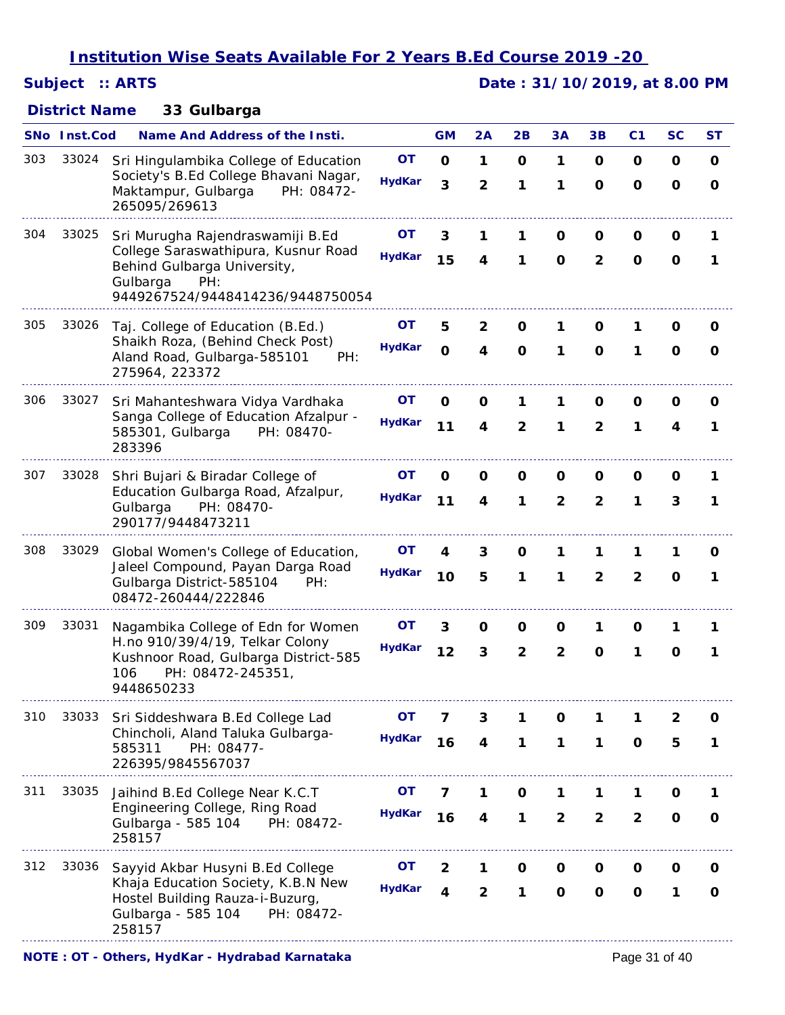## *Subject :: ARTS Date : 31/10/2019, at 8.00 PM*

### **33 Gulbarga** *District Name*

|     | SNo Inst.Cod | <b>Name And Address of the Insti.</b>                                                                                                                         |                            | <b>GM</b>                    | 2A                           | 2B                  | 3A                  | 3B                  | C <sub>1</sub>      | SC               | ST     |
|-----|--------------|---------------------------------------------------------------------------------------------------------------------------------------------------------------|----------------------------|------------------------------|------------------------------|---------------------|---------------------|---------------------|---------------------|------------------|--------|
| 303 | 33024        | Sri Hingulambika College of Education<br>Society's B.Ed College Bhavani Nagar,<br>Maktampur, Gulbarga<br>PH: 08472-<br>265095/269613                          | <b>OT</b><br><b>HydKar</b> | $\mathbf 0$<br>3             | 1<br>2                       | $\mathbf 0$<br>1    | 1<br>1              | O<br>$\mathbf{o}$   | O<br>$\mathbf 0$    | 0<br>$\mathbf 0$ | O<br>O |
| 304 | 33025        | Sri Murugha Rajendraswamiji B.Ed<br>College Saraswathipura, Kusnur Road<br>Behind Gulbarga University,<br>Gulbarga<br>PH:<br>9449267524/9448414236/9448750054 | <b>OT</b><br><b>HydKar</b> | 3<br>15                      | 1<br>4                       | 1<br>1              | O<br>$\mathbf{o}$   | 0<br>$\overline{2}$ | 0<br>O              | 0<br>$\mathbf 0$ | 1<br>1 |
| 305 | 33026        | Taj. College of Education (B.Ed.)<br>Shaikh Roza, (Behind Check Post)<br>Aland Road, Gulbarga-585101<br>PH:<br>275964, 223372                                 | OΤ<br><b>HydKar</b>        | 5<br>$\mathbf 0$             | $\mathbf{2}$<br>4            | 0<br>$\mathbf 0$    | 1<br>1              | 0<br>O              | 1<br>1              | O<br>$\mathbf 0$ | O<br>O |
| 306 | 33027        | Sri Mahanteshwara Vidya Vardhaka<br>Sanga College of Education Afzalpur -<br>585301, Gulbarga<br>PH: 08470-<br>283396                                         | OT<br><b>HydKar</b>        | O<br>11                      | 0<br>4                       | 1<br>$\overline{2}$ | 1<br>1              | 0<br>$\overline{2}$ | 0<br>1              | 0<br>4           | O<br>1 |
| 307 | 33028        | Shri Bujari & Biradar College of<br>Education Gulbarga Road, Afzalpur,<br>Gulbarga<br>PH: 08470-<br>290177/9448473211                                         | OT.<br><b>HydKar</b>       | O<br>11                      | O<br>4                       | 0<br>1              | O<br>$\overline{2}$ | 0<br>$\overline{2}$ | O<br>1              | O<br>3           | 1<br>1 |
| 308 | 33029        | Global Women's College of Education,<br>Jaleel Compound, Payan Darga Road<br>Gulbarga District-585104<br>PH:<br>08472-260444/222846                           | OT<br><b>HydKar</b>        | 4<br>10                      | 3<br>5                       | 0<br>1              | 1<br>1              | 1<br>$\overline{2}$ | 1<br>$\overline{2}$ | 1<br>$\mathbf 0$ | O<br>1 |
| 309 | 33031        | Nagambika College of Edn for Women<br>H.no 910/39/4/19, Telkar Colony<br>Kushnoor Road, Gulbarga District-585<br>PH: 08472-245351,<br>106<br>9448650233       | <b>OT</b><br><b>HydKar</b> | 3<br>12                      | O<br>3                       | O<br>$\overline{2}$ | O<br>$\overline{2}$ | 1<br>$\Omega$       | 0<br>1              | 1<br>$\mathbf 0$ | 1<br>1 |
| 310 | 33033        | Sri Siddeshwara B.Ed College Lad<br>Chincholi, Aland Taluka Gulbarga-<br>PH: 08477-<br>585311<br>226395/9845567037                                            | OT<br><b>HydKar</b>        | 16                           | 3<br>4                       | 1<br>1              | 0<br>1              | 1<br>1              | 1<br>$\mathbf o$    | 2<br>5           | 0<br>1 |
| 311 | 33035        | Jaihind B.Ed College Near K.C.T<br>Engineering College, Ring Road<br>Gulbarga - 585 104<br>PH: 08472-<br>258157                                               | OТ<br><b>HydKar</b>        | 7<br>16                      | 1<br>4                       | 0<br>1              | 1<br>$\overline{2}$ | 1<br>$\overline{2}$ | 1<br>$\overline{2}$ | O<br>$\mathbf 0$ | 1<br>0 |
| 312 | 33036        | Sayyid Akbar Husyni B.Ed College<br>Khaja Education Society, K.B.N New<br>Hostel Building Rauza-i-Buzurg,<br>Gulbarga - 585 104<br>PH: 08472-<br>258157       | OΤ<br><b>HydKar</b>        | $\overline{\mathbf{2}}$<br>4 | 1<br>$\overline{\mathbf{2}}$ | $\mathbf{o}$<br>1   | O<br>$\mathbf{o}$   | 0<br>$\mathbf 0$    | 0<br>O              | O<br>1           | O<br>0 |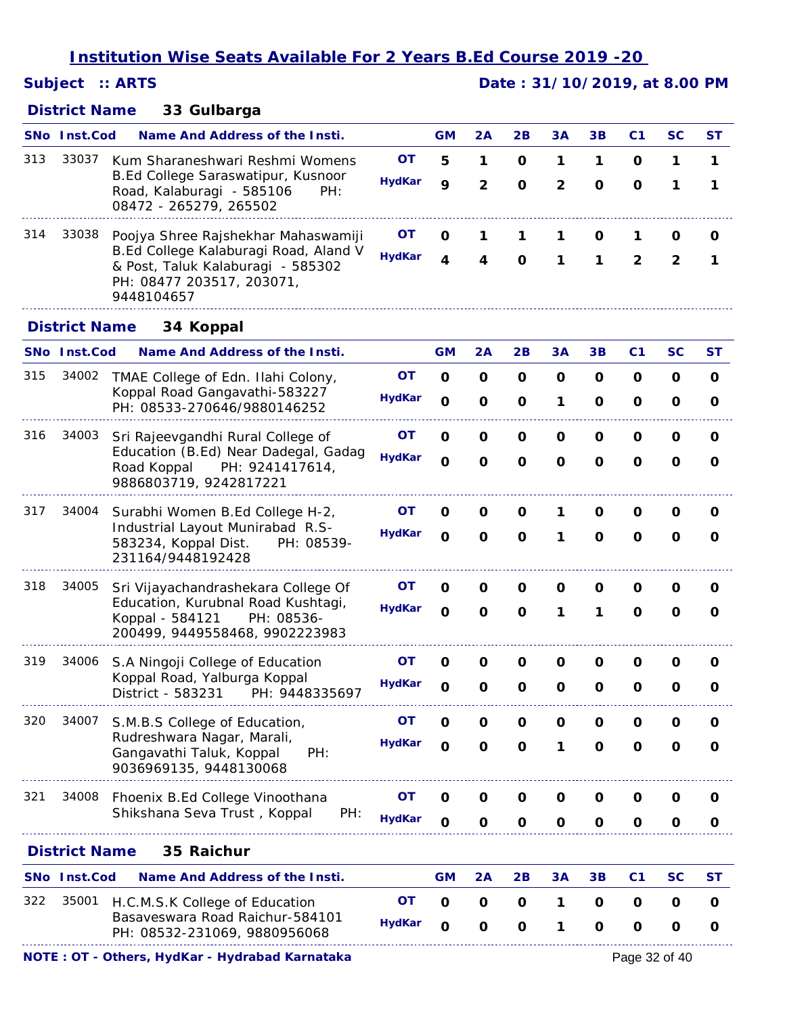## *Subject :: ARTS Date : 31/10/2019, at 8.00 PM*

### **33 Gulbarga** *District Name*

|     | SNo Inst.Cod         | <b>Name And Address of the Insti.</b>                                                                                 |               | <b>GM</b>    | 2A                      | 2B           | 3A                      | 3B           | C <sub>1</sub> | <b>SC</b>    | <b>ST</b>    |
|-----|----------------------|-----------------------------------------------------------------------------------------------------------------------|---------------|--------------|-------------------------|--------------|-------------------------|--------------|----------------|--------------|--------------|
| 313 | 33037                | Kum Sharaneshwari Reshmi Womens                                                                                       | <b>OT</b>     | 5            | 1                       | $\mathbf 0$  | 1                       | 1            | $\mathbf 0$    | 1            | 1            |
|     |                      | B.Ed College Saraswatipur, Kusnoor<br>Road, Kalaburagi - 585106<br>PH:<br>08472 - 265279, 265502                      | <b>HydKar</b> | 9            | $\overline{\mathbf{2}}$ | $\mathbf 0$  | $\overline{\mathbf{2}}$ | O            | $\mathbf{o}$   | 1            | 1            |
| 314 | 33038                | Poojya Shree Rajshekhar Mahaswamiji                                                                                   | OΤ            | 0            | 1                       | 1            | 1                       | 0            | 1              | 0            | 0            |
|     |                      | B.Ed College Kalaburagi Road, Aland V<br>& Post, Taluk Kalaburagi - 585302<br>PH: 08477 203517, 203071,<br>9448104657 | <b>HydKar</b> | 4            | 4                       | $\mathbf 0$  | 1                       | 1            | $\mathbf{2}$   | $\mathbf{2}$ | 1            |
|     | <b>District Name</b> | 34 Koppal                                                                                                             |               |              |                         |              |                         |              |                |              |              |
|     | <b>SNo</b> Inst.Cod  | <b>Name And Address of the Insti.</b>                                                                                 |               | <b>GM</b>    | 2A                      | 2B           | 3A                      | 3B           | C <sub>1</sub> | <b>SC</b>    | <b>ST</b>    |
| 315 | 34002                | TMAE College of Edn. Ilahi Colony,                                                                                    | OT            | $\mathbf 0$  | $\mathbf 0$             | $\mathbf 0$  | O                       | 0            | 0              | 0            | $\mathbf{o}$ |
|     |                      | Koppal Road Gangavathi-583227<br>PH: 08533-270646/9880146252                                                          | <b>HydKar</b> | $\mathbf 0$  | O                       | O            | 1                       | O            | O              | O            | O            |
| 316 | 34003                | Sri Rajeevgandhi Rural College of                                                                                     | OT            | O            | $\mathbf 0$             | O            | O                       | O            | O              | O            | 0            |
|     |                      | Education (B.Ed) Near Dadegal, Gadag<br>Road Koppal<br>PH: 9241417614,<br>9886803719, 9242817221                      | <b>HydKar</b> | $\mathbf 0$  | $\mathbf{o}$            | $\mathbf 0$  | $\mathbf{o}$            | $\mathbf{o}$ | $\mathbf{o}$   | O            | 0            |
| 317 | 34004                | Surabhi Women B.Ed College H-2,                                                                                       | OT            | O            | O                       | 0            | 1                       | 0            | 0              | 0            | 0            |
|     |                      | Industrial Layout Munirabad R.S-<br>583234, Koppal Dist.<br>PH: 08539-<br>231164/9448192428                           | <b>HydKar</b> | $\mathbf{o}$ | $\mathbf 0$             | $\mathbf 0$  | 1                       | O            | $\mathbf 0$    | $\mathbf 0$  | O            |
| 318 | 34005                | Sri Vijayachandrashekara College Of                                                                                   | OΤ            | 0            | 0                       | 0            | O                       | O            | 0              | 0            | O            |
|     |                      | Education, Kurubnal Road Kushtagi,<br>Koppal - 584121<br>PH: 08536-<br>200499, 9449558468, 9902223983                 | <b>HydKar</b> | $\mathbf{o}$ | $\mathbf 0$             | $\mathbf{o}$ | 1                       | 1            | $\mathbf 0$    | O            | 0            |
| 319 | 34006                | S.A Ningoji College of Education                                                                                      | OТ            | O            | O                       | O            | O                       | O            | O              | O            | 0            |
|     |                      | Koppal Road, Yalburga Koppal<br>PH: 9448335697<br>District - 583231                                                   | <b>HydKar</b> | O            | O                       | O            | O                       | O            | O              | O            | O            |
| 320 | 34007                | S.M.B.S College of Education,                                                                                         | <b>OT</b>     | O            | $\mathbf{o}$            | O            | O                       | O            | O              | O            | 0            |
|     |                      | Rudreshwara Nagar, Marali,<br>Gangavathi Taluk, Koppal<br>PH:<br>9036969135, 9448130068                               | <b>HydKar</b> | $\mathbf{o}$ | $\mathbf 0$             | $\mathbf 0$  | 1                       | $\mathbf{o}$ | $\mathbf{o}$   | O            | O            |
| 321 | 34008                | Fhoenix B.Ed College Vinoothana                                                                                       | OΤ            | 0            | $\mathbf 0$             | O            | O                       | O            | O              | O            | 0            |
|     |                      | PH:<br>Shikshana Seva Trust, Koppal                                                                                   | <b>HydKar</b> | $\mathbf 0$  | $\mathbf 0$             | O            | 0                       | 0            | $\mathbf{o}$   | 0            | $\mathbf 0$  |
|     | <b>District Name</b> | 35 Raichur                                                                                                            |               |              |                         |              |                         |              |                |              |              |
|     | <b>SNo</b> Inst.Cod  | <b>Name And Address of the Insti.</b>                                                                                 |               | <b>GM</b>    | 2A                      | 2B           | 3A                      | 3B           | C <sub>1</sub> | SC           | <b>ST</b>    |
| 322 | 35001                | H.C.M.S.K College of Education                                                                                        | OT            | $\mathbf 0$  | $\mathbf 0$             | $\mathbf 0$  | 1                       | 0            | O              | O            | O            |
|     |                      | Basaveswara Road Raichur-584101<br>PH: 08532-231069, 9880956068                                                       | <b>HydKar</b> | $\mathbf 0$  | $\mathbf 0$             | $\mathbf{o}$ | 1                       | $\mathbf{o}$ | $\mathbf{o}$   | O            | O            |

*NOTE* : *OT - Others, HydKar - Hydrabad Karnataka* Page 32 of 40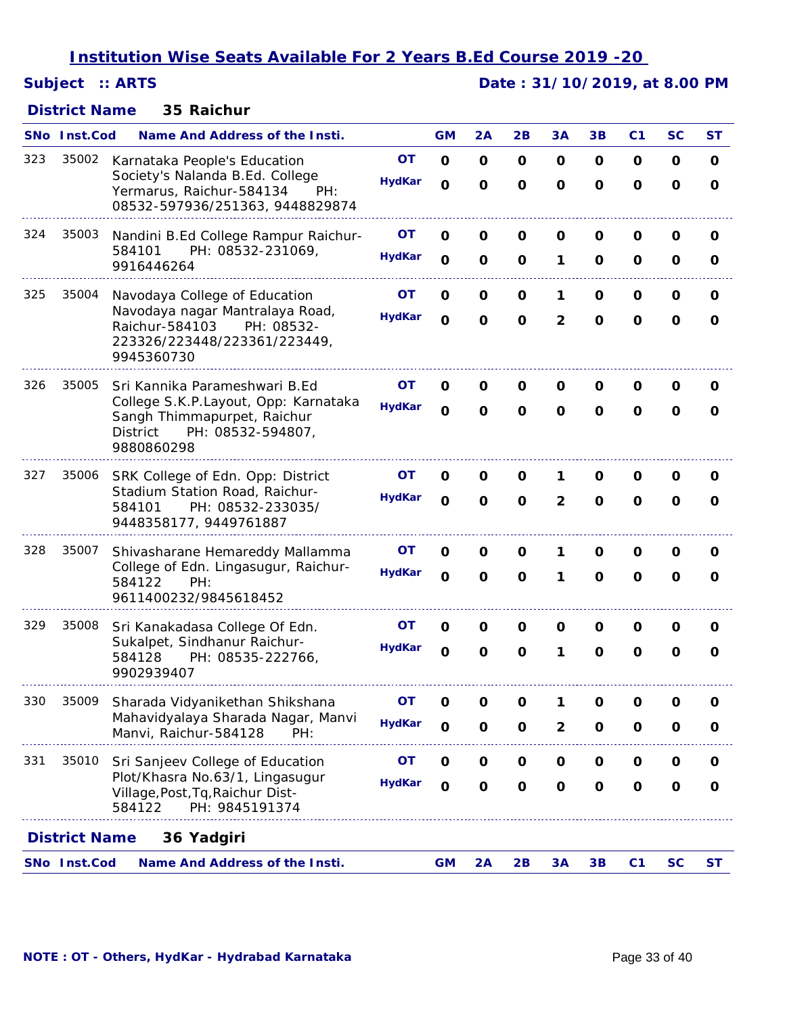## *Subject :: ARTS Date : 31/10/2019, at 8.00 PM*

### **35 Raichur** *District Name*

|     | <b>SNo</b> Inst.Cod  | Name And Address of the Insti.                                                                                            |               | <b>GM</b>    | 2A           | 2B           | 3A                      | 3B           | C <sub>1</sub> | <b>SC</b>    | ST           |
|-----|----------------------|---------------------------------------------------------------------------------------------------------------------------|---------------|--------------|--------------|--------------|-------------------------|--------------|----------------|--------------|--------------|
| 323 | 35002                | Karnataka People's Education                                                                                              | <b>OT</b>     | $\mathbf 0$  | $\mathbf 0$  | $\mathbf 0$  | $\mathbf 0$             | O            | O              | 0            | $\mathbf{o}$ |
|     |                      | Society's Nalanda B.Ed. College<br>Yermarus, Raichur-584134<br>PH:<br>08532-597936/251363, 9448829874                     | <b>HydKar</b> | $\mathbf O$  | $\mathbf 0$  | $\mathbf{o}$ | $\mathbf{o}$            | $\mathbf 0$  | $\mathbf 0$    | $\mathbf 0$  | O            |
| 324 | 35003                | Nandini B.Ed College Rampur Raichur-                                                                                      | OΤ            | 0            | O            | O            | O                       | 0            | 0              | O            | 0            |
|     |                      | PH: 08532-231069,<br>584101<br>9916446264                                                                                 | <b>HydKar</b> | $\mathbf 0$  | $\mathbf 0$  | $\mathbf 0$  | 1                       | $\Omega$     | O              | 0            | O            |
| 325 | 35004                | Navodaya College of Education                                                                                             | OТ            | O            | 0            | 0            | 1                       | O            | 0              | O            | 0            |
|     |                      | Navodaya nagar Mantralaya Road,<br>Raichur-584103<br>PH: 08532-<br>223326/223448/223361/223449,<br>9945360730             | <b>HydKar</b> | $\mathbf 0$  | $\mathbf 0$  | $\mathbf 0$  | $\overline{2}$          | O            | $\mathbf{o}$   | $\mathbf 0$  | O            |
| 326 | 35005                | Sri Kannika Parameshwari B.Ed                                                                                             | OT            | O            | 0            | 0            | O                       | O            | O              | O            | O            |
|     |                      | College S.K.P.Layout, Opp: Karnataka<br>Sangh Thimmapurpet, Raichur<br><b>District</b><br>PH: 08532-594807,<br>9880860298 | <b>HydKar</b> | $\mathbf{o}$ | $\mathbf 0$  | $\mathbf 0$  | O                       | O            | O              | 0            | 0            |
| 327 | 35006                | SRK College of Edn. Opp: District                                                                                         | OT.           | O            | 0            | 0            | 1                       | O            | 0              | 0            | 0            |
|     |                      | Stadium Station Road, Raichur-<br>584101<br>PH: 08532-233035/<br>9448358177, 9449761887                                   | <b>HydKar</b> | $\mathbf 0$  | $\mathbf 0$  | $\mathbf 0$  | $\overline{2}$          | $\mathbf 0$  | O              | $\mathbf 0$  | 0            |
| 328 | 35007                | Shivasharane Hemareddy Mallamma                                                                                           | OT.           | O            | O            | $\mathbf 0$  | 1                       | O            | 0              | 0            | O            |
|     |                      | College of Edn. Lingasugur, Raichur-<br>584122<br>PH:<br>9611400232/9845618452                                            | <b>HydKar</b> | $\mathbf 0$  | $\mathbf 0$  | $\mathbf 0$  | 1                       | $\mathbf 0$  | $\mathbf 0$    | $\mathbf 0$  | $\Omega$     |
| 329 | 35008                | Sri Kanakadasa College Of Edn.                                                                                            | OT            | 0            | 0            | O            | 0                       | O            | O              | 0            | 0            |
|     |                      | Sukalpet, Sindhanur Raichur-<br>PH: 08535-222766,<br>584128<br>9902939407                                                 | <b>HydKar</b> | $\mathbf{o}$ | $\mathbf 0$  | $\mathbf 0$  | 1                       | O            | O              | O            | O            |
| 330 | 35009                | Sharada Vidyanikethan Shikshana                                                                                           | OT            | $\mathbf{o}$ | $\mathbf{o}$ | $\mathbf 0$  | 1                       | $\mathbf 0$  | $\mathbf 0$    | O            | O            |
|     |                      | Mahavidyalaya Sharada Nagar, Manvi<br>Manvi, Raichur-584128<br>PH:                                                        | <b>HydKar</b> | $\mathbf{o}$ | $\mathbf{o}$ | $\mathbf{o}$ | $\overline{\mathbf{2}}$ | $\mathbf{o}$ | $\mathbf{o}$   | $\mathbf{o}$ | O            |
| 331 | 35010                | Sri Sanjeev College of Education                                                                                          | OТ            | O            | $\mathbf 0$  | $\mathbf 0$  | $\mathbf{o}$            | O            | O              | O            | O            |
|     |                      | Plot/Khasra No.63/1, Lingasugur<br>Village, Post, Tq, Raichur Dist-<br>584122<br>PH: 9845191374                           | <b>HydKar</b> | $\mathbf{o}$ | $\mathbf{o}$ | $\mathbf{o}$ | $\mathbf{o}$            | $\mathbf{o}$ | $\mathbf 0$    | $\mathbf 0$  | O            |
|     | <b>District Name</b> | 36 Yadgiri                                                                                                                |               |              |              |              |                         |              |                |              |              |
|     | SNo Inst.Cod         | <b>Name And Address of the Insti.</b>                                                                                     |               | <b>GM</b>    | 2A           | 2B           | 3A                      | 3B           | C <sub>1</sub> | <b>SC</b>    | <b>ST</b>    |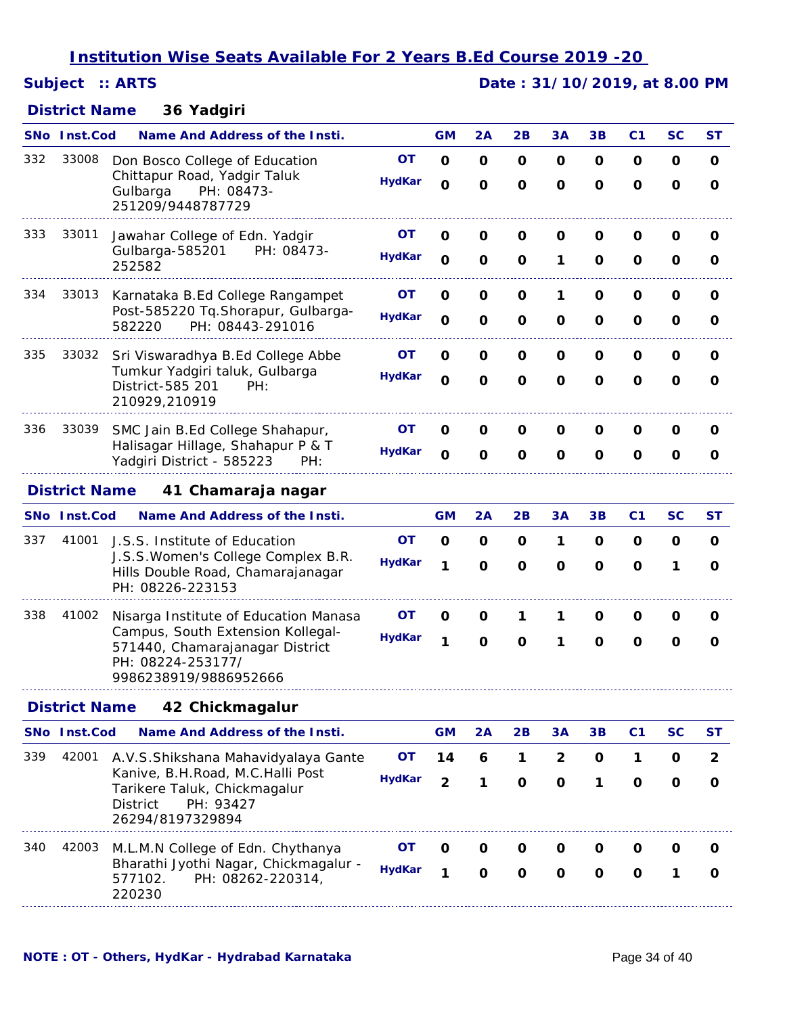## *Subject :: ARTS Date : 31/10/2019, at 8.00 PM*

### **36 Yadgiri** *District Name*

|     | <b>SNo</b> Inst.Cod  | Name And Address of the Insti.                                                                                       |                     | <b>GM</b>                  | 2A                | 2B                         | 3A                | 3B          | C <sub>1</sub>   | SC           | <b>ST</b>      |
|-----|----------------------|----------------------------------------------------------------------------------------------------------------------|---------------------|----------------------------|-------------------|----------------------------|-------------------|-------------|------------------|--------------|----------------|
| 332 | 33008                | Don Bosco College of Education                                                                                       | <b>OT</b>           | $\mathbf 0$                | 0                 | O                          | 0                 | 0           | O                | 0            | O              |
|     |                      | Chittapur Road, Yadgir Taluk<br>Gulbarga<br>PH: 08473-<br>251209/9448787729                                          | <b>HydKar</b>       | $\mathbf O$                | $\mathbf 0$       | $\mathbf 0$                | O                 | O           | $\mathbf 0$      | O            | $\mathbf 0$    |
| 333 | 33011                | Jawahar College of Edn. Yadgir<br>Gulbarga-585201<br>PH: 08473-<br>252582                                            | OΤ<br><b>HydKar</b> | 0<br>$\mathbf{o}$          | O<br>$\mathbf 0$  | O<br>$\mathbf 0$           | O<br>1            | 0<br>O      | O<br>O           | O<br>O       | 0<br>0         |
| 334 | 33013                | Karnataka B.Ed College Rangampet<br>Post-585220 Tq. Shorapur, Gulbarga-<br>PH: 08443-291016<br>582220                | OT<br><b>HydKar</b> | $\mathbf 0$<br>$\mathbf 0$ | O<br>$\mathbf 0$  | $\mathbf 0$<br>$\mathbf 0$ | 1<br>O            | O<br>O      | O<br>$\mathbf 0$ | O<br>O       | 0<br>O         |
| 335 | 33032                | Sri Viswaradhya B.Ed College Abbe<br>Tumkur Yadgiri taluk, Gulbarga<br>District-585 201<br>PH:<br>210929,210919      | OΤ<br><b>HydKar</b> | 0<br>$\mathbf 0$           | O<br>$\mathbf{o}$ | O<br>$\mathbf{o}$          | O<br>$\mathbf{o}$ | 0<br>O      | O<br>$\mathbf 0$ | 0<br>O       | 0<br>O         |
| 336 | 33039                | SMC Jain B.Ed College Shahapur,<br>Halisagar Hillage, Shahapur P & T<br>Yadgiri District - 585223<br>PH:             | OΤ<br><b>HydKar</b> | O<br>$\mathbf 0$           | O<br>$\mathbf 0$  | 0<br>$\mathbf 0$           | 0<br>O            | 0<br>O      | 0<br>$\mathbf 0$ | O<br>O       | 0<br>0         |
|     | <b>District Name</b> | 41 Chamaraja nagar                                                                                                   |                     |                            |                   |                            |                   |             |                  |              |                |
|     | <b>SNo</b> Inst.Cod  | <b>Name And Address of the Insti.</b>                                                                                |                     | <b>GM</b>                  | 2Α                | 2B                         | 3А                | 3В          | C1               | SC           | <b>ST</b>      |
| 337 | 41001                | J.S.S. Institute of Education                                                                                        | <b>OT</b>           | O                          | O                 | $\mathbf 0$                | 1                 | 0           | O                | O            | $\mathbf{o}$   |
|     |                      | J.S.S. Women's College Complex B.R.<br>Hills Double Road, Chamarajanagar<br>PH: 08226-223153                         | <b>HydKar</b>       | 1                          | $\mathbf{o}$      | $\mathbf{o}$               | O                 | O           | O                | 1            | $\mathbf 0$    |
| 338 | 41002                | Nisarga Institute of Education Manasa                                                                                | OΤ                  | O                          | O                 | 1                          | 1                 | 0           | 0                | 0            | 0              |
|     |                      | Campus, South Extension Kollegal-<br>571440, Chamarajanagar District<br>PH: 08224-253177/<br>9986238919/9886952666   | <b>HydKar</b>       | 1                          | $\mathbf 0$       | $\mathbf 0$                | 1                 | O           | $\mathbf 0$      | O            | O              |
|     | <b>District Name</b> | 42 Chickmagalur                                                                                                      |                     |                            |                   |                            |                   |             |                  |              |                |
|     | SNo Inst.Cod         | <b>Name And Address of the Insti.</b>                                                                                |                     | <b>GM</b>                  | 2A                | 2B                         | 3A                | 3B          | C <sub>1</sub>   | <b>SC</b>    | <b>ST</b>      |
| 339 | 42001                | A.V.S.Shikshana Mahavidyalaya Gante                                                                                  | <b>OT</b>           | 14                         | 6                 | 1                          | $\overline{2}$    | $\mathbf 0$ | $\mathbf 1$      | O            | $\overline{2}$ |
|     |                      | Kanive, B.H.Road, M.C.Halli Post<br>Tarikere Taluk, Chickmagalur<br>PH: 93427<br><b>District</b><br>26294/8197329894 | <b>HydKar</b>       | $\overline{2}$             | 1                 | $\mathbf 0$                | $\mathbf{o}$      | 1           | $\mathbf{o}$     | $\mathbf{o}$ | $\mathbf{o}$   |
| 340 | 42003                | M.L.M.N College of Edn. Chythanya                                                                                    | <b>OT</b>           | 0                          | O                 | $\mathbf 0$                | O                 | O           | O                | O            | 0              |
|     |                      | Bharathi Jyothi Nagar, Chickmagalur -<br>PH: 08262-220314,<br>577102.<br>220230                                      | <b>HydKar</b>       | 1                          | $\mathbf 0$       | $\mathbf 0$                | $\mathbf 0$       | $\mathbf 0$ | $\mathbf 0$      | 1            | $\mathbf{o}$   |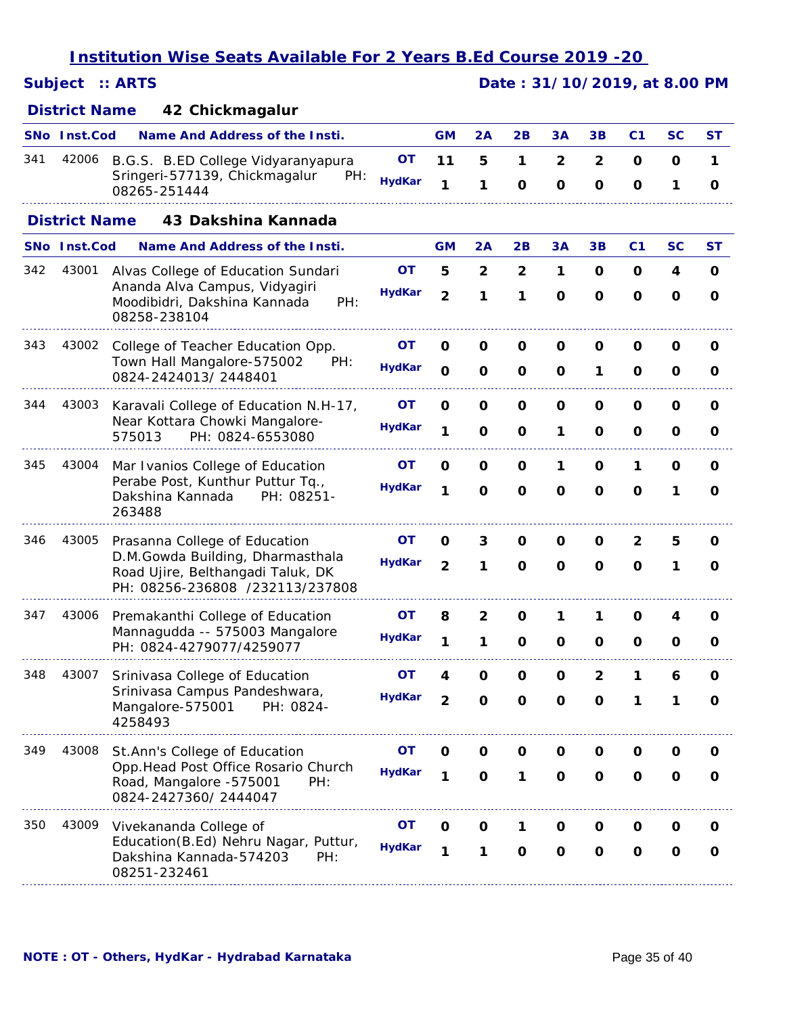|  | <b>Subject</b> | $::$ ARTS |  |
|--|----------------|-----------|--|
|  |                |           |  |

## *Subject :: ARTS Date : 31/10/2019, at 8.00 PM*

### **42 Chickmagalur** *District Name*

|     | SNo Inst.Cod         |         | <b>Name And Address of the Insti.</b>                                         |                                             |               | <b>GM</b>      | 2A             | 2B             | 3A             | 3B             | C <sub>1</sub> | SC           | <b>ST</b>    |
|-----|----------------------|---------|-------------------------------------------------------------------------------|---------------------------------------------|---------------|----------------|----------------|----------------|----------------|----------------|----------------|--------------|--------------|
| 341 | 42006                |         |                                                                               | B.G.S. B.ED College Vidyaranyapura          | <b>OT</b>     | 11             | 5              | 1              | $\overline{2}$ | $\mathbf{2}$   | 0              | O            | $\mathbf{1}$ |
|     |                      |         | Sringeri-577139, Chickmagalur<br>08265-251444                                 | PH:                                         | <b>HydKar</b> | 1              | 1              | $\mathbf 0$    | $\mathbf o$    | $\mathbf 0$    | $\mathbf{o}$   | 1            | O            |
|     | <b>District Name</b> |         |                                                                               | 43 Dakshina Kannada                         |               |                |                |                |                |                |                |              |              |
|     | SNo Inst.Cod         |         | <b>Name And Address of the Insti.</b>                                         |                                             |               | <b>GM</b>      | 2A             | 2B             | 3A             | 3B             | C <sub>1</sub> | <b>SC</b>    | ST           |
| 342 | 43001                |         | Alvas College of Education Sundari                                            |                                             | <b>OT</b>     | 5              | $\overline{2}$ | $\overline{2}$ | 1              | 0              | 0              | 4            | 0            |
|     |                      |         | Ananda Alva Campus, Vidyagiri<br>Moodibidri, Dakshina Kannada<br>08258-238104 | PH:                                         | <b>HydKar</b> | $\overline{2}$ | 1              | 1              | $\mathbf{o}$   | $\mathbf 0$    | $\mathbf 0$    | $\mathbf 0$  | O            |
| 343 | 43002                |         | College of Teacher Education Opp.                                             |                                             | OΤ            | 0              | O              | $\mathbf 0$    | 0              | O              | O              | O            | O            |
|     |                      |         | Town Hall Mangalore-575002<br>0824-2424013/2448401                            | PH:                                         | <b>HydKar</b> | $\mathbf{o}$   | $\mathbf 0$    | O              | O              | 1              | O              | O            | 0            |
| 344 | 43003                |         |                                                                               | Karavali College of Education N.H-17,       | <b>OT</b>     | $\mathbf 0$    | $\mathbf 0$    | $\mathbf 0$    | O              | O              | $\mathbf 0$    | O            | O            |
|     |                      | 575013  | Near Kottara Chowki Mangalore-                                                | PH: 0824-6553080                            | <b>HydKar</b> | 1              | $\mathbf 0$    | $\mathbf 0$    | 1              | O              | $\mathbf 0$    | O            | O            |
| 345 | 43004                |         | Mar Ivanios College of Education                                              |                                             | OТ            | O              | 0              | O              | 1              | O              | 1              | O            | O            |
|     |                      | 263488  | Perabe Post, Kunthur Puttur Tq.,<br>Dakshina Kannada                          | PH: 08251-                                  | <b>HydKar</b> | 1              | $\mathbf 0$    | $\mathbf 0$    | $\mathbf o$    | O              | $\mathbf 0$    | 1            | $\mathbf o$  |
| 346 | 43005                |         | Prasanna College of Education                                                 |                                             | OТ            | 0              | 3              | O              | 0              | 0              | $\mathbf{2}$   | 5            | O            |
|     |                      |         | D.M.Gowda Building, Dharmasthala<br>Road Ujire, Belthangadi Taluk, DK         | PH: 08256-236808 /232113/237808             | <b>HydKar</b> | $\overline{2}$ | 1              | $\mathbf 0$    | $\mathbf{o}$   | O              | $\mathbf 0$    | 1            | 0            |
| 347 | 43006                |         | Premakanthi College of Education                                              |                                             | OТ            | 8              | $\overline{2}$ | O              | 1              | 1              | O              | 4            | 0            |
|     |                      |         | Mannagudda -- 575003 Mangalore<br>PH: 0824-4279077/4259077                    |                                             | <b>HydKar</b> | 1              | 1              | $\mathbf o$    | O              | O              | O              | O            | 0            |
| 348 | 43007                |         | Srinivasa College of Education                                                |                                             | <b>OT</b>     | 4              | $\mathbf 0$    | $\mathbf 0$    | O              | $\overline{2}$ | 1              | 6            | O            |
|     |                      | 4258493 | Srinivasa Campus Pandeshwara,<br>Mangalore-575001                             | PH: 0824-                                   | <b>HydKar</b> | $\mathbf{z}$   | $\mathbf o$    | $\mathbf o$    | $\bf o$        | $\bf o$        |                |              | O            |
| 349 | 43008                |         | St. Ann's College of Education                                                |                                             | OT            | 0              | $\mathbf 0$    | $\mathbf 0$    | O              | 0              | 0              | 0            | O            |
|     |                      |         | Road, Mangalore -575001<br>0824-2427360/2444047                               | Opp. Head Post Office Rosario Church<br>PH: | <b>HydKar</b> | 1              | $\mathbf 0$    | 1              | $\mathbf 0$    | $\mathbf 0$    | $\mathbf 0$    | $\mathbf{o}$ | O            |
| 350 | 43009                |         | Vivekananda College of                                                        |                                             | OT            | O              | 0              | 1              | 0              | 0              | O              | 0            | O            |
|     |                      |         | Dakshina Kannada-574203<br>08251-232461                                       | Education(B.Ed) Nehru Nagar, Puttur,<br>PH: | <b>HydKar</b> | 1              | 1              | $\mathbf{o}$   | $\mathbf 0$    | $\mathbf 0$    | $\mathbf 0$    | O            | O            |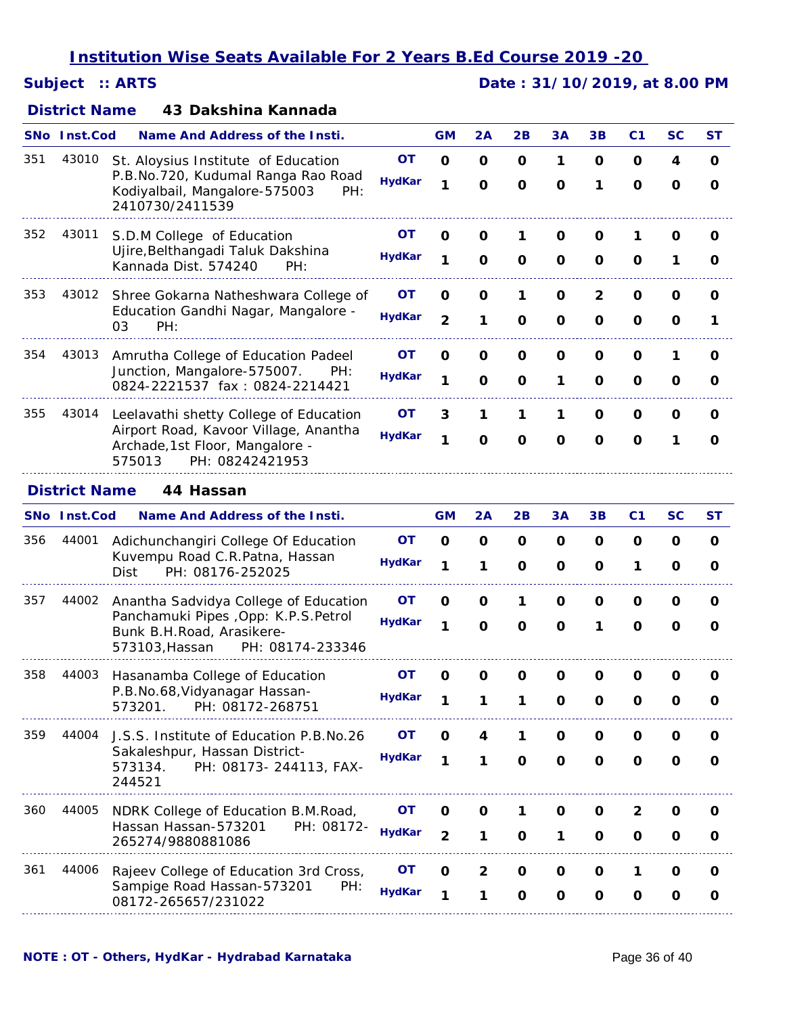## *Subject :: ARTS Date : 31/10/2019, at 8.00 PM*

### **43 Dakshina Kannada** *District Name*

|     | <b>SNo Inst.Cod</b>  | Name And Address of the Insti.                                                                                                                    |                            | <b>GM</b>           | 2A                | 2B                | 3A                | 3B               | C <sub>1</sub>   | SC               | ST                |
|-----|----------------------|---------------------------------------------------------------------------------------------------------------------------------------------------|----------------------------|---------------------|-------------------|-------------------|-------------------|------------------|------------------|------------------|-------------------|
| 351 | 43010                | St. Aloysius Institute of Education<br>P.B.No.720, Kudumal Ranga Rao Road<br>Kodiyalbail, Mangalore-575003<br>PH:<br>2410730/2411539              | OT<br><b>HydKar</b>        | $\mathbf 0$<br>1    | 0<br>$\mathbf 0$  | O<br>$\mathbf 0$  | 1<br>$\mathbf 0$  | 0<br>1           | O<br>$\mathbf 0$ | 4<br>$\mathbf 0$ | O<br>O            |
| 352 | 43011                | S.D.M College of Education<br>Ujire, Belthangadi Taluk Dakshina<br>Kannada Dist. 574240<br>PH:                                                    | <b>OT</b><br><b>HydKar</b> | 0<br>1              | 0<br>O            | 1<br>O            | 0<br>O            | O<br>O           | 1<br>O           | O<br>1           | O<br>O            |
| 353 | 43012                | Shree Gokarna Natheshwara College of<br>Education Gandhi Nagar, Mangalore -<br>03<br>PH:                                                          | OТ<br><b>HydKar</b>        | O<br>$\overline{2}$ | 0<br>1            | 1<br>O            | 0<br>O            | 2<br>O           | O<br>$\mathbf 0$ | O<br>O           | O<br>1            |
| 354 | 43013                | Amrutha College of Education Padeel<br>Junction, Mangalore-575007.<br>PH:<br>0824-2221537 fax: 0824-2214421                                       | OТ<br><b>HydKar</b>        | 0<br>1              | O<br>O            | O<br>O            | O<br>1            | O<br>O           | O<br>0           | 1<br>O           | O<br>O            |
| 355 | 43014                | Leelavathi shetty College of Education<br>Airport Road, Kavoor Village, Anantha<br>Archade, 1st Floor, Mangalore -<br>PH: 08242421953<br>575013   | OТ<br><b>HydKar</b>        | 3<br>1              | 1<br>$\mathbf 0$  | 1<br>$\mathbf{o}$ | 1<br>$\mathbf 0$  | O<br>$\mathbf 0$ | O<br>$\mathbf 0$ | O<br>1           | O<br>0            |
|     | <b>District Name</b> | 44 Hassan                                                                                                                                         |                            |                     |                   |                   |                   |                  |                  |                  |                   |
|     | <b>SNo Inst.Cod</b>  | <b>Name And Address of the Insti.</b>                                                                                                             |                            | <b>GM</b>           | 2A                | 2B                | 3A                | 3B               | C <sub>1</sub>   | SC               | <b>ST</b>         |
| 356 | 44001                | Adichunchangiri College Of Education<br>Kuvempu Road C.R.Patna, Hassan<br>PH: 08176-252025<br>Dist                                                | <b>OT</b><br><b>HydKar</b> | $\mathbf 0$<br>1    | 0<br>1            | O<br>O            | 0<br>O            | 0<br>O           | O<br>1           | O<br>0           | $\mathbf{o}$<br>0 |
| 357 | 44002                | Anantha Sadvidya College of Education<br>Panchamuki Pipes , Opp: K.P.S. Petrol<br>Bunk B.H.Road, Arasikere-<br>573103, Hassan<br>PH: 08174-233346 | <b>OT</b><br><b>HydKar</b> | 0<br>1              | O<br>$\mathbf{o}$ | 1<br>$\mathbf{o}$ | O<br>$\mathbf{o}$ | O<br>1           | O<br>O           | O<br>O           | O<br>O            |
| 358 | 44003                | Hasanamba College of Education<br>P.B.No.68, Vidyanagar Hassan-<br>PH: 08172-268751<br>573201.                                                    | OT<br>HydKar               | O<br>1              | 0<br>1            | O<br>1            | O<br>$\mathbf{o}$ | O<br>O           | 0<br>O           | 0<br>0           | O<br>O            |
| 359 | 44004                | J.S.S. Institute of Education P.B.No.26<br>Sakaleshpur, Hassan District-<br>573134.<br>PH: 08173-244113, FAX-<br>244521                           | OТ<br><b>HydKar</b>        | 0<br>1              | 4<br>1            | 1<br>$\mathbf 0$  | O<br>$\mathbf 0$  | O<br>$\mathbf 0$ | O<br>O           | O<br>O           | O<br>O            |
| 360 | 44005                | NDRK College of Education B.M.Road,<br>Hassan Hassan-573201<br>PH: 08172-<br>265274/9880881086                                                    | OT<br><b>HydKar</b>        | O<br>$\overline{2}$ | 0<br>1            | 1<br>O            | 0<br>1            | 0<br>O           | 2<br>O           | O<br>O           | 0<br>0            |
| 361 | 44006                | Rajeev College of Education 3rd Cross,<br>Sampige Road Hassan-573201<br>PH:<br>08172-265657/231022                                                | <b>OT</b><br><b>HydKar</b> | O<br>1              | 2<br>1            | O<br>O            | 0<br>O            | 0<br>O           | 1<br>O           | 0<br>0           | $\mathbf{o}$<br>0 |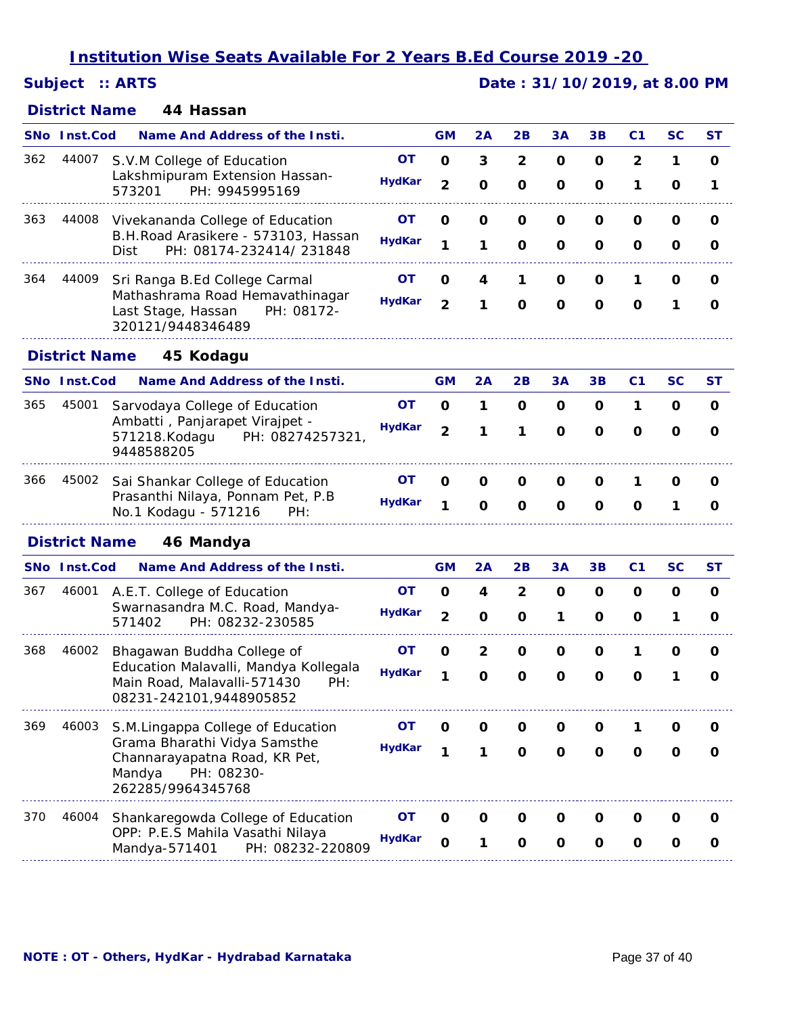## *Subject :: ARTS Date : 31/10/2019, at 8.00 PM*

### **44 Hassan** *District Name*

|     | SNo Inst.Cod         | <b>Name And Address of the Insti.</b>                                                                      |               | <b>GM</b>               | 2A             | 2B             | 3A           | 3B          | C <sub>1</sub> | <b>SC</b>    | ST          |
|-----|----------------------|------------------------------------------------------------------------------------------------------------|---------------|-------------------------|----------------|----------------|--------------|-------------|----------------|--------------|-------------|
| 362 | 44007                | S.V.M College of Education                                                                                 | <b>OT</b>     | $\mathbf 0$             | 3              | $\overline{2}$ | $\mathbf{o}$ | $\mathbf 0$ | $\overline{2}$ | 1            | $\mathbf 0$ |
|     |                      | Lakshmipuram Extension Hassan-<br>PH: 9945995169<br>573201                                                 | <b>HydKar</b> | $\overline{\mathbf{2}}$ | $\mathbf 0$    | $\mathbf{o}$   | O            | O           | 1              | O            | 1           |
| 363 | 44008                | Vivekananda College of Education                                                                           | <b>OT</b>     | $\mathbf 0$             | $\mathbf 0$    | $\mathbf 0$    | O            | $\mathbf 0$ | O              | 0            | O           |
|     |                      | B.H.Road Arasikere - 573103, Hassan<br>PH: 08174-232414/231848<br>Dist                                     | <b>HydKar</b> | 1                       | 1              | $\mathbf 0$    | O            | $\mathbf 0$ | $\Omega$       | O            | 0           |
| 364 | 44009                | Sri Ranga B.Ed College Carmal                                                                              | OT            | 0                       | 4              | 1              | O            | 0           | 1              | O            | O           |
|     |                      | Mathashrama Road Hemavathinagar<br>Last Stage, Hassan<br>PH: 08172-<br>320121/9448346489                   | <b>HydKar</b> | $\overline{2}$          | 1              | $\mathbf 0$    | $\mathbf 0$  | $\mathbf 0$ | $\mathbf 0$    | 1            | $\mathbf o$ |
|     | <b>District Name</b> | 45 Kodagu                                                                                                  |               |                         |                |                |              |             |                |              |             |
|     | SNo Inst.Cod         | <b>Name And Address of the Insti.</b>                                                                      |               | <b>GM</b>               | 2A             | 2B             | 3A           | 3B          | C <sub>1</sub> | <b>SC</b>    | ST          |
| 365 | 45001                | Sarvodaya College of Education                                                                             | <b>OT</b>     | $\mathbf 0$             | 1              | O              | O            | $\mathbf 0$ | 1              | 0            | O           |
|     |                      | Ambatti, Panjarapet Virajpet -<br>571218.Kodagu<br>PH: 08274257321,<br>9448588205                          | <b>HydKar</b> | $\overline{2}$          | 1              | 1              | $\mathbf 0$  | $\mathbf 0$ | $\mathbf 0$    | $\mathbf 0$  | O           |
| 366 | 45002                | Sai Shankar College of Education                                                                           | OΤ            | 0                       | O              | O              | O            | 0           | 1              | O            | 0           |
|     |                      | Prasanthi Nilaya, Ponnam Pet, P.B<br>No.1 Kodagu - 571216<br>PH:                                           | <b>HydKar</b> | 1                       | $\mathbf 0$    | $\mathbf 0$    | $\mathbf 0$  | $\mathbf 0$ | $\mathbf 0$    | 1            | O           |
|     | <b>District Name</b> | 46 Mandya                                                                                                  |               |                         |                |                |              |             |                |              |             |
|     | <b>SNo</b> Inst.Cod  | <b>Name And Address of the Insti.</b>                                                                      |               | <b>GM</b>               | 2A             | 2B             | 3A           | 3B          | C <sub>1</sub> | SC           | <b>ST</b>   |
| 367 | 46001                | A.E.T. College of Education                                                                                | <b>OT</b>     | $\mathbf 0$             | 4              | $\mathbf{2}$   | O            | O           | O              | O            | 0           |
|     |                      | Swarnasandra M.C. Road, Mandya-<br>571402<br>PH: 08232-230585                                              | <b>HydKar</b> | $\overline{2}$          | $\mathbf 0$    | $\mathbf 0$    | 1            | 0           | $\mathbf 0$    | 1            | 0           |
| 368 | 46002                | Bhagawan Buddha College of                                                                                 | OΤ            | 0                       | $\overline{2}$ | 0              | $\mathbf 0$  | $\mathbf 0$ | 1              | O            | 0           |
|     |                      | Education Malavalli, Mandya Kollegala<br>Main Road, Malavalli-571430<br>PH:<br>08231-242101,9448905852     | <b>HydKar</b> | 1                       | O              | $\mathbf 0$    | $\mathbf 0$  | $\mathbf 0$ | $\mathbf 0$    | 1            | 0           |
| 369 | 46003                | S.M.Lingappa College of Education                                                                          | OT            | 0                       | O              | $\mathbf{o}$   | O            | $\mathbf 0$ | 1              | O            | O           |
|     |                      | Grama Bharathi Vidya Samsthe<br>Channarayapatna Road, KR Pet,<br>PH: 08230-<br>Mandya<br>262285/9964345768 | <b>HydKar</b> | $\mathbf{1}$            | $\mathbf{1}$   | $\mathbf{o}$   | $\mathbf{o}$ | $\mathbf 0$ | $\mathbf 0$    | $\mathbf 0$  | $\mathbf 0$ |
| 370 | 46004                | Shankaregowda College of Education                                                                         | OT            | $\mathbf 0$             | $\mathbf 0$    | $\mathbf 0$    | $\mathbf 0$  | $\mathbf 0$ | $\mathbf 0$    | $\mathbf 0$  | O           |
|     |                      | OPP: P.E.S Mahila Vasathi Nilaya<br>PH: 08232-220809<br>Mandya-571401                                      | <b>HydKar</b> | $\mathbf{o}$            | 1              | $\mathbf{o}$   | $\mathbf{o}$ | $\mathbf 0$ | $\mathbf 0$    | $\mathbf{o}$ | $\mathbf 0$ |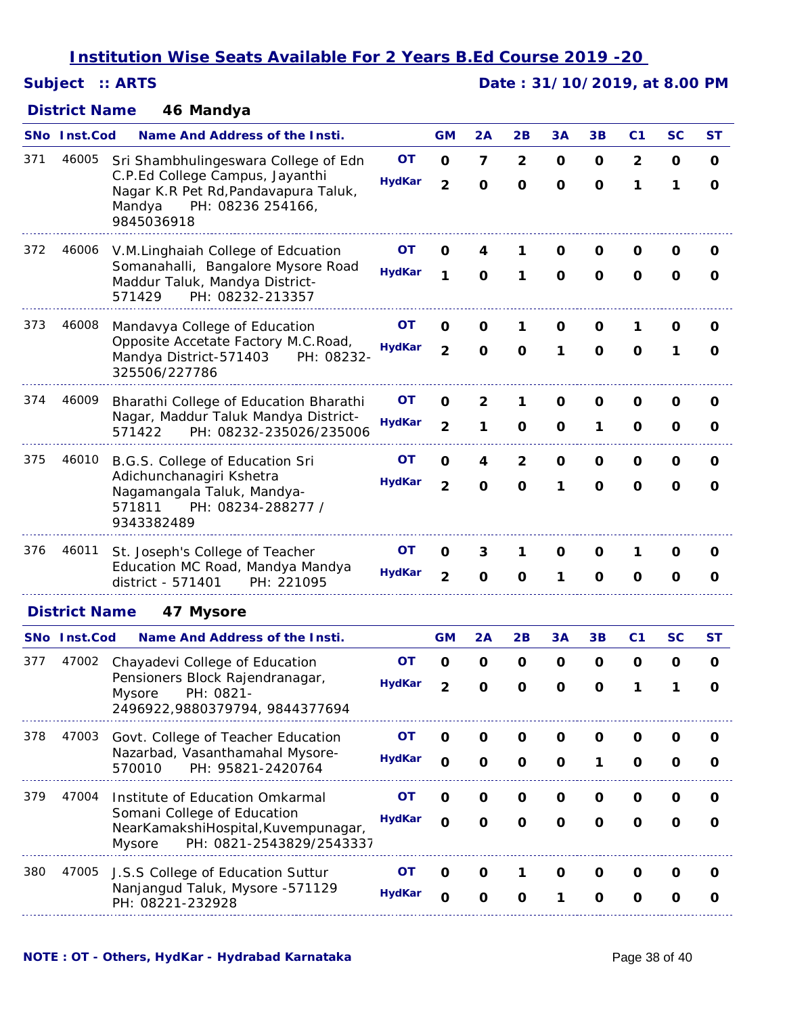## *Subject :: ARTS Date : 31/10/2019, at 8.00 PM*

### **46 Mandya** *District Name*

|     | SNo Inst.Cod         | <b>Name And Address of the Insti.</b>                                                                                |               | <b>GM</b>      | 2A           | 2B             | 3A           | 3B           | C <sub>1</sub> | <b>SC</b>    | ST           |
|-----|----------------------|----------------------------------------------------------------------------------------------------------------------|---------------|----------------|--------------|----------------|--------------|--------------|----------------|--------------|--------------|
| 371 | 46005                | Sri Shambhulingeswara College of Edn                                                                                 | OT            | $\mathbf 0$    | 7            | $\mathbf{2}$   | O            | 0            | $\mathbf{2}$   | O            | 0            |
|     |                      | C.P.Ed College Campus, Jayanthi<br>Nagar K.R Pet Rd, Pandavapura Taluk,<br>Mandya<br>PH: 08236 254166,<br>9845036918 | <b>HydKar</b> | $\overline{2}$ | $\mathbf 0$  | $\mathbf{o}$   | $\mathbf{o}$ | O            | 1              | 1            | O            |
| 372 | 46006                | V.M.Linghaiah College of Edcuation                                                                                   | OΤ            | O              | 4            | 1              | 0            | 0            | 0              | O            | O            |
|     |                      | Somanahalli, Bangalore Mysore Road<br>Maddur Taluk, Mandya District-<br>571429<br>PH: 08232-213357                   | <b>HydKar</b> | 1              | $\mathbf 0$  | 1              | $\mathbf 0$  | $\mathbf{o}$ | $\mathbf 0$    | $\mathbf 0$  | 0            |
| 373 | 46008                | Mandavya College of Education                                                                                        | OΤ            | O              | O            | 1              | 0            | 0            | 1              | 0            | O            |
|     |                      | Opposite Accetate Factory M.C.Road,<br>Mandya District-571403<br>PH: 08232-<br>325506/227786                         | <b>HydKar</b> | $\overline{2}$ | $\mathbf 0$  | $\mathbf 0$    | 1            | $\mathbf{o}$ | $\mathbf 0$    | 1            | O            |
| 374 | 46009                | Bharathi College of Education Bharathi                                                                               | OТ            | O              | 2            | 1              | 0            | 0            | O              | 0            | O            |
|     |                      | Nagar, Maddur Taluk Mandya District-<br>PH: 08232-235026/235006<br>571422                                            | <b>HydKar</b> | $\overline{2}$ | 1            | $\mathbf 0$    | O            | 1            | O              | O            | 0            |
| 375 | 46010                | B.G.S. College of Education Sri                                                                                      | OΤ            | O              | 4            | $\overline{2}$ | 0            | 0            | 0              | 0            | O            |
|     |                      | Adichunchanagiri Kshetra<br>Nagamangala Taluk, Mandya-<br>PH: 08234-288277 /<br>571811<br>9343382489                 | <b>HydKar</b> | $\overline{2}$ | $\mathbf 0$  | $\mathbf 0$    | 1            | $\mathbf{o}$ | $\mathbf 0$    | $\mathbf 0$  | O            |
| 376 | 46011                | St. Joseph's College of Teacher                                                                                      | <b>OT</b>     | 0              | 3            | 1              | 0            | 0            | 1              | O            | 0            |
|     |                      | Education MC Road, Mandya Mandya<br>district - 571401<br>PH: 221095                                                  | <b>HydKar</b> | $\overline{2}$ | $\mathbf{o}$ | O              | 1            | $\mathbf o$  | O              | O            | 0            |
|     | <b>District Name</b> | 47 Mysore                                                                                                            |               |                |              |                |              |              |                |              |              |
|     | SNo Inst.Cod         | <b>Name And Address of the Insti.</b>                                                                                |               | <b>GM</b>      | 2A           | 2B             | 3A           | 3B           | C <sub>1</sub> | <b>SC</b>    | ST           |
| 377 | 47002                | Chayadevi College of Education                                                                                       | OΤ            | $\mathbf 0$    | $\mathbf 0$  | $\mathbf 0$    | 0            | O            | $\mathbf 0$    | O            | 0            |
|     |                      | Pensioners Block Rajendranagar,<br>PH: 0821-<br>Mysore<br>2496922,9880379794,9844377694                              | <b>HydKar</b> | $\overline{2}$ | O            | $\mathbf 0$    | $\mathbf o$  | O            | 1              | 1            | O            |
| 378 | 47003                | Govt. College of Teacher Education                                                                                   | <b>OT</b>     | O              | O            | O              | O            | O            | O              | 0            | 0            |
|     |                      | Nazarbad, Vasanthamahal Mysore-<br>PH: 95821-2420764<br>570010                                                       | <b>HydKar</b> | $\mathbf{o}$   | $\mathbf 0$  | $\mathbf 0$    | $\mathbf{o}$ | 1            | $\mathbf 0$    | $\mathbf{o}$ | O            |
| 379 | 47004                | Institute of Education Omkarmal                                                                                      | OT            | $\mathbf 0$    | $\mathbf 0$  | $\mathbf 0$    | $\mathbf{o}$ | O            | O              | O            | O            |
|     |                      | Somani College of Education<br>NearKamakshiHospital, Kuvempunagar,<br>PH: 0821-2543829/2543337<br>Mysore             | <b>HydKar</b> | $\mathbf 0$    | $\mathbf{o}$ | $\mathbf 0$    | $\mathbf 0$  | $\mathbf 0$  | $\mathbf 0$    | $\mathbf{o}$ | $\mathbf{o}$ |
| 380 | 47005                | J.S.S College of Education Suttur                                                                                    | OT            | $\mathbf 0$    | $\mathbf 0$  | 1              | O            | O            | O              | O            | 0            |
|     |                      | Nanjangud Taluk, Mysore -571129<br>PH: 08221-232928                                                                  | <b>HydKar</b> | $\mathbf 0$    | $\mathbf{o}$ | O              | 1            | $\mathbf{o}$ | O              | O            | O            |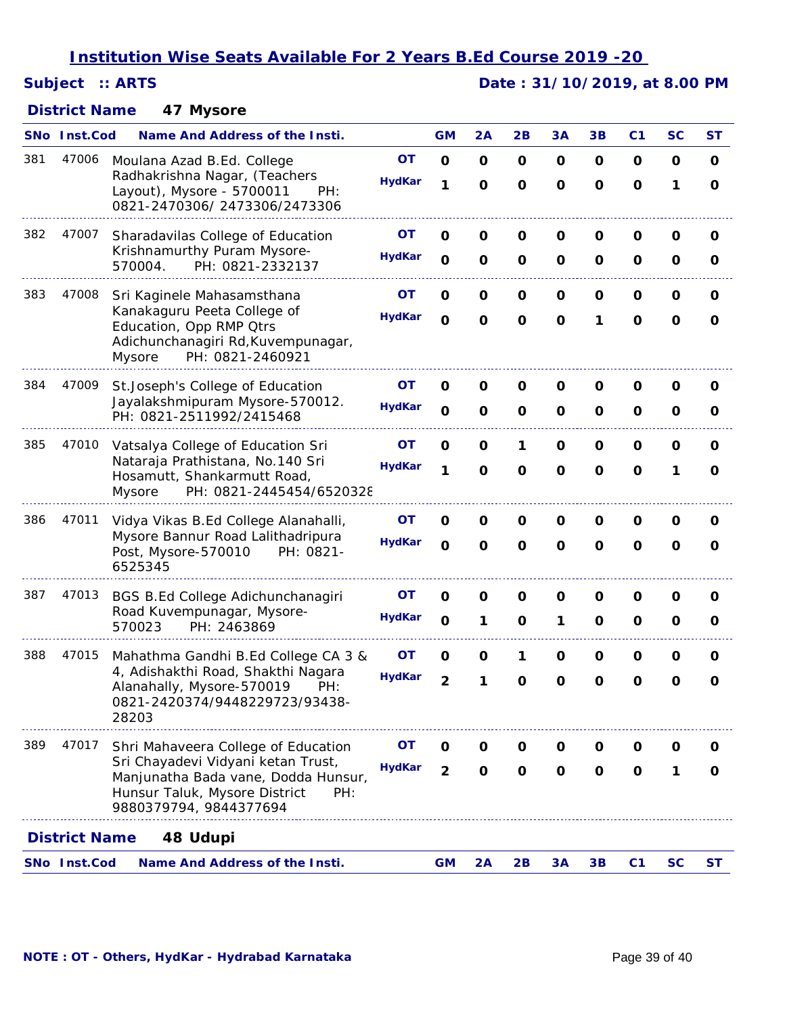## *Subject :: ARTS Date : 31/10/2019, at 8.00 PM*

### **47 Mysore** *District Name*

|     | <b>SNo</b> Inst.Cod  | <b>Name And Address of the Insti.</b>                                                                                                       |               | <b>GM</b>      | 2A           | 2B           | 3A          | 3B           | C <sub>1</sub> | <b>SC</b>   | <b>ST</b> |
|-----|----------------------|---------------------------------------------------------------------------------------------------------------------------------------------|---------------|----------------|--------------|--------------|-------------|--------------|----------------|-------------|-----------|
| 381 | 47006                | Moulana Azad B.Ed. College                                                                                                                  | <b>OT</b>     | $\mathbf 0$    | $\mathbf 0$  | $\mathbf 0$  | $\mathbf 0$ | $\mathbf{o}$ | $\mathbf 0$    | O           | O         |
|     |                      | Radhakrishna Nagar, (Teachers<br>Layout), Mysore - 5700011<br>PH:<br>0821-2470306/2473306/2473306                                           | <b>HydKar</b> | 1              | $\mathbf 0$  | $\mathbf 0$  | $\mathbf 0$ | $\mathbf 0$  | $\mathbf 0$    | 1           | O         |
| 382 | 47007                | Sharadavilas College of Education                                                                                                           | <b>OT</b>     | 0              | $\mathbf 0$  | $\mathbf 0$  | $\mathbf 0$ | O            | O              | O           | 0         |
|     |                      | Krishnamurthy Puram Mysore-<br>PH: 0821-2332137<br>570004.                                                                                  | <b>HydKar</b> | $\mathbf 0$    | $\mathbf 0$  | $\mathbf 0$  | $\mathbf 0$ | O            | O              | $\mathbf 0$ | O         |
| 383 | 47008                | Sri Kaginele Mahasamsthana                                                                                                                  | OТ            | O              | $\mathbf{o}$ | $\mathbf 0$  | $\mathbf 0$ | O            | O              | O           | O         |
|     |                      | Kanakaguru Peeta College of<br>Education, Opp RMP Qtrs                                                                                      | <b>HydKar</b> | $\mathbf 0$    | $\mathbf{o}$ | $\mathbf{o}$ | $\mathbf 0$ | 1            | $\mathbf{o}$   | $\mathbf 0$ | O         |
|     |                      | Adichunchanagiri Rd, Kuvempunagar,<br>PH: 0821-2460921<br>Mysore                                                                            |               |                |              |              |             |              |                |             |           |
| 384 | 47009                | St.Joseph's College of Education                                                                                                            | OΤ            | O              | O            | 0            | O           | 0            | 0              | O           | O         |
|     |                      | Jayalakshmipuram Mysore-570012.<br>PH: 0821-2511992/2415468                                                                                 | <b>HydKar</b> | $\mathbf 0$    | $\mathbf 0$  | $\mathbf 0$  | $\mathbf 0$ | O            | O              | O           | O         |
| 385 | 47010                | Vatsalya College of Education Sri                                                                                                           | <b>OT</b>     | $\mathbf 0$    | $\mathbf{o}$ | 1            | $\mathbf 0$ | O            | O              | $\mathbf 0$ | O         |
|     |                      | Nataraja Prathistana, No.140 Sri<br>Hosamutt, Shankarmutt Road,<br>PH: 0821-2445454/6520328<br><b>Mysore</b>                                | <b>HydKar</b> | 1              | $\mathbf{o}$ | $\mathbf 0$  | $\mathbf 0$ | $\mathbf{o}$ | $\mathbf{o}$   | 1           | O         |
| 386 | 47011                | Vidya Vikas B.Ed College Alanahalli,                                                                                                        | <b>OT</b>     | 0              | $\mathbf 0$  | $\mathbf 0$  | $\mathbf 0$ | O            | O              | O           | O         |
|     |                      | Mysore Bannur Road Lalithadripura<br>Post, Mysore-570010<br>PH: 0821-<br>6525345                                                            | <b>HydKar</b> | $\mathbf O$    | $\mathbf 0$  | $\mathbf 0$  | $\mathbf 0$ | $\mathbf 0$  | $\mathbf 0$    | $\mathbf 0$ | O         |
| 387 | 47013                | BGS B.Ed College Adichunchanagiri                                                                                                           | <b>OT</b>     | $\mathbf 0$    | $\mathbf 0$  | $\mathbf 0$  | $\mathbf 0$ | O            | 0              | O           | O         |
|     |                      | Road Kuvempunagar, Mysore-<br>570023<br>PH: 2463869                                                                                         | <b>HydKar</b> | $\mathbf{o}$   | 1            | $\mathbf 0$  | 1           | $\mathbf 0$  | $\mathbf 0$    | $\mathbf 0$ | O         |
| 388 | 47015                | Mahathma Gandhi B.Ed College CA 3 &                                                                                                         | OΤ            | O              | $\mathbf{o}$ | 1            | $\mathbf 0$ | $\mathbf 0$  | O              | O           | O         |
|     |                      | 4, Adishakthi Road, Shakthi Nagara<br>Alanahally, Mysore-570019<br>PH:<br>0821-2420374/9448229723/93438-<br>28203                           | <b>HydKar</b> | $\overline{2}$ | 1            | $\mathbf 0$  | $\mathbf 0$ | $\mathbf{o}$ | O              | $\mathbf 0$ | O         |
| 389 | 47017                | Shri Mahaveera College of Education                                                                                                         | OΤ            | 0              | 0            | 0            | 0           | 0            | 0              | 0           | O         |
|     |                      | Sri Chayadevi Vidyani ketan Trust,<br>Manjunatha Bada vane, Dodda Hunsur,<br>Hunsur Taluk, Mysore District<br>PH:<br>9880379794, 9844377694 | <b>HydKar</b> | $\overline{2}$ | $\mathbf 0$  | $\mathbf 0$  | $\mathbf 0$ | $\mathbf 0$  | O              | 1           | O         |
|     | <b>District Name</b> | 48 Udupi                                                                                                                                    |               |                |              |              |             |              |                |             |           |
|     | <b>SNo</b> Inst.Cod  | <b>Name And Address of the Insti.</b>                                                                                                       |               | <b>GM</b>      | 2A           | 2B           | 3A          | 3B           | C <sub>1</sub> | <b>SC</b>   | ST        |